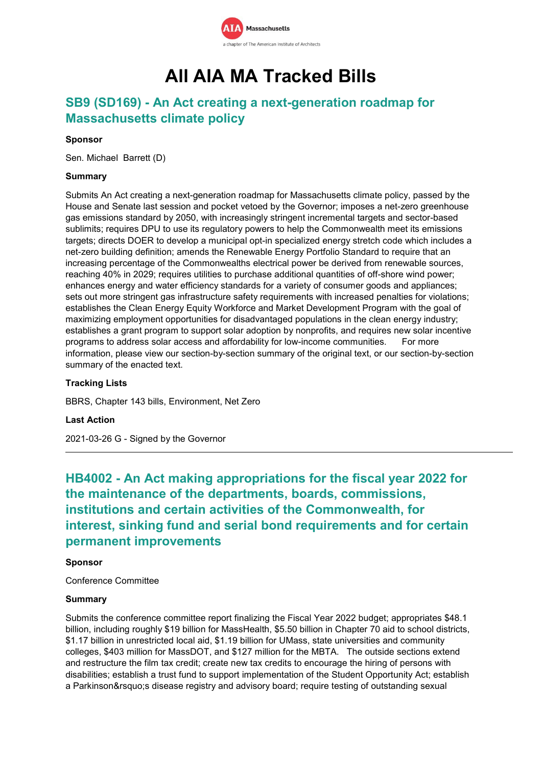

# **All AIA MA Tracked Bills**

## **SB9 (SD169) - An Act creating a next-generation roadmap for Massachusetts climate policy**

### **Sponsor**

Sen. Michael Barrett (D)

### **Summary**

Submits An Act creating a next-generation roadmap for Massachusetts climate policy, passed by the House and Senate last session and pocket vetoed by the Governor; imposes a net-zero greenhouse gas emissions standard by 2050, with increasingly stringent incremental targets and sector-based sublimits; requires DPU to use its regulatory powers to help the Commonwealth meet its emissions targets; directs DOER to develop a municipal opt-in specialized energy stretch code which includes a net-zero building definition; amends the Renewable Energy Portfolio Standard to require that an increasing percentage of the Commonwealths electrical power be derived from renewable sources, reaching 40% in 2029; requires utilities to purchase additional quantities of off-shore wind power; enhances energy and water efficiency standards for a variety of consumer goods and appliances; sets out more stringent gas infrastructure safety requirements with increased penalties for violations; establishes the Clean Energy Equity Workforce and Market Development Program with the goal of maximizing employment opportunities for disadvantaged populations in the clean energy industry; establishes a grant program to support solar adoption by nonprofits, and requires new solar incentive programs to address solar access and affordability for low-income communities. For more information, please view our section-by-section summary of the original text, or our section-by-section summary of the enacted text.

#### **Tracking Lists**

BBRS, Chapter 143 bills, Environment, Net Zero

#### **Last Action**

2021-03-26 G - Signed by the Governor

**HB4002 - An Act making appropriations for the fiscal year 2022 for the maintenance of the departments, boards, commissions, institutions and certain activities of the Commonwealth, for interest, sinking fund and serial bond requirements and for certain permanent improvements**

### **Sponsor**

Conference Committee

#### **Summary**

Submits the conference committee report finalizing the Fiscal Year 2022 budget; appropriates \$48.1 billion, including roughly \$19 billion for MassHealth, \$5.50 billion in Chapter 70 aid to school districts, \$1.17 billion in unrestricted local aid, \$1.19 billion for UMass, state universities and community colleges, \$403 million for MassDOT, and \$127 million for the MBTA. The outside sections extend and restructure the film tax credit; create new tax credits to encourage the hiring of persons with disabilities; establish a trust fund to support implementation of the Student Opportunity Act; establish a Parkinson's disease registry and advisory board; require testing of outstanding sexual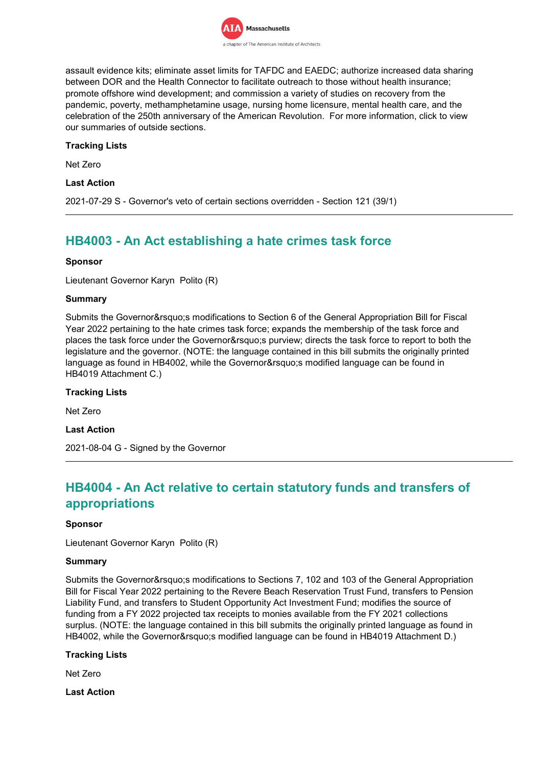

assault evidence kits; eliminate asset limits for TAFDC and EAEDC; authorize increased data sharing between DOR and the Health Connector to facilitate outreach to those without health insurance; promote offshore wind development; and commission a variety of studies on recovery from the pandemic, poverty, methamphetamine usage, nursing home licensure, mental health care, and the celebration of the 250th anniversary of the American Revolution. For more information, click to view our summaries of outside sections.

### **Tracking Lists**

Net Zero

### **Last Action**

2021-07-29 S - Governor's veto of certain sections overridden - Section 121 (39/1)

## **HB4003 - An Act establishing a hate crimes task force**

### **Sponsor**

Lieutenant Governor Karyn Polito (R)

### **Summary**

Submits the Governor's modifications to Section 6 of the General Appropriation Bill for Fiscal Year 2022 pertaining to the hate crimes task force; expands the membership of the task force and places the task force under the Governor's purview; directs the task force to report to both the legislature and the governor. (NOTE: the language contained in this bill submits the originally printed language as found in HB4002, while the Governor's modified language can be found in HB4019 Attachment C.)

## **Tracking Lists**

Net Zero

**Last Action**

2021-08-04 G - Signed by the Governor

## **HB4004 - An Act relative to certain statutory funds and transfers of appropriations**

#### **Sponsor**

Lieutenant Governor Karyn Polito (R)

#### **Summary**

Submits the Governor's modifications to Sections 7, 102 and 103 of the General Appropriation Bill for Fiscal Year 2022 pertaining to the Revere Beach Reservation Trust Fund, transfers to Pension Liability Fund, and transfers to Student Opportunity Act Investment Fund; modifies the source of funding from a FY 2022 projected tax receipts to monies available from the FY 2021 collections surplus. (NOTE: the language contained in this bill submits the originally printed language as found in HB4002, while the Governor's modified language can be found in HB4019 Attachment D.)

#### **Tracking Lists**

Net Zero

**Last Action**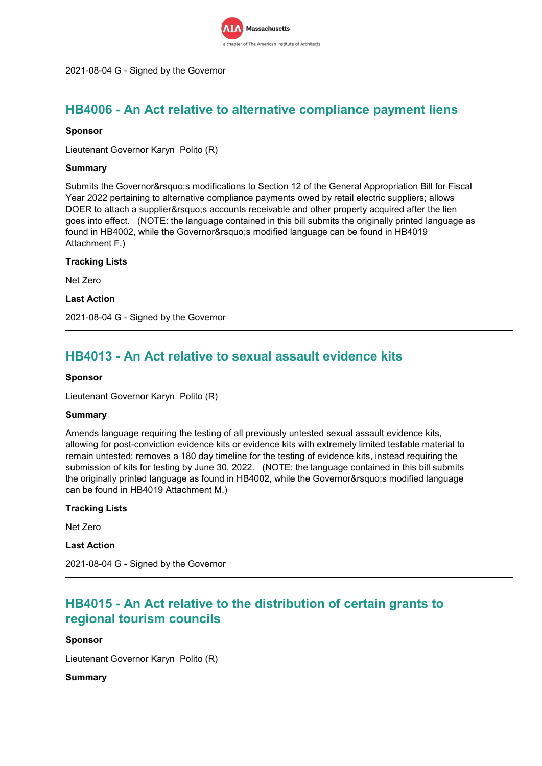

## **HB4006 - An Act relative to alternative compliance payment liens**

### **Sponsor**

Lieutenant Governor Karyn Polito (R)

### **Summary**

Submits the Governor&rsquo:s modifications to Section 12 of the General Appropriation Bill for Fiscal Year 2022 pertaining to alternative compliance payments owed by retail electric suppliers; allows DOER to attach a supplier' saccounts receivable and other property acquired after the lien goes into effect. (NOTE: the language contained in this bill submits the originally printed language as found in HB4002, while the Governor's modified language can be found in HB4019 Attachment F.)

### **Tracking Lists**

Net Zero

#### **Last Action**

2021-08-04 G - Signed by the Governor

## **HB4013 - An Act relative to sexual assault evidence kits**

#### **Sponsor**

Lieutenant Governor Karyn Polito (R)

#### **Summary**

Amends language requiring the testing of all previously untested sexual assault evidence kits, allowing for post-conviction evidence kits or evidence kits with extremely limited testable material to remain untested; removes a 180 day timeline for the testing of evidence kits, instead requiring the submission of kits for testing by June 30, 2022. (NOTE: the language contained in this bill submits the originally printed language as found in HB4002, while the Governor's modified language can be found in HB4019 Attachment M.)

## **Tracking Lists**

Net Zero

### **Last Action**

2021-08-04 G - Signed by the Governor

## **HB4015 - An Act relative to the distribution of certain grants to regional tourism councils**

#### **Sponsor**

Lieutenant Governor Karyn Polito (R)

## **Summary**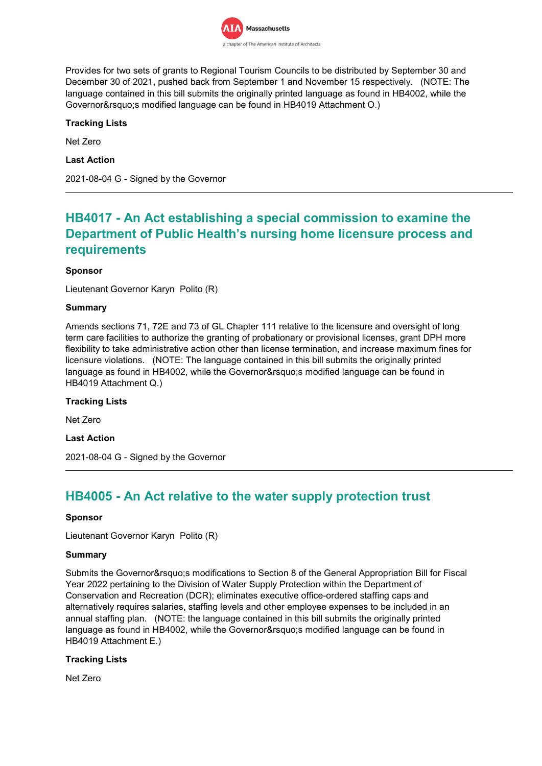

Provides for two sets of grants to Regional Tourism Councils to be distributed by September 30 and December 30 of 2021, pushed back from September 1 and November 15 respectively. (NOTE: The language contained in this bill submits the originally printed language as found in HB4002, while the Governor's modified language can be found in HB4019 Attachment O.)

## **Tracking Lists**

Net Zero

**Last Action**

2021-08-04 G - Signed by the Governor

## **HB4017 - An Act establishing a special commission to examine the Department of Public Health's nursing home licensure process and requirements**

## **Sponsor**

Lieutenant Governor Karyn Polito (R)

### **Summary**

Amends sections 71, 72E and 73 of GL Chapter 111 relative to the licensure and oversight of long term care facilities to authorize the granting of probationary or provisional licenses, grant DPH more flexibility to take administrative action other than license termination, and increase maximum fines for licensure violations. (NOTE: The language contained in this bill submits the originally printed language as found in HB4002, while the Governor's modified language can be found in HB4019 Attachment Q.)

#### **Tracking Lists**

Net Zero

**Last Action**

2021-08-04 G - Signed by the Governor

## **HB4005 - An Act relative to the water supply protection trust**

#### **Sponsor**

Lieutenant Governor Karyn Polito (R)

#### **Summary**

Submits the Governor's modifications to Section 8 of the General Appropriation Bill for Fiscal Year 2022 pertaining to the Division of Water Supply Protection within the Department of Conservation and Recreation (DCR); eliminates executive office-ordered staffing caps and alternatively requires salaries, staffing levels and other employee expenses to be included in an annual staffing plan. (NOTE: the language contained in this bill submits the originally printed language as found in HB4002, while the Governor's modified language can be found in HB4019 Attachment E.)

#### **Tracking Lists**

Net Zero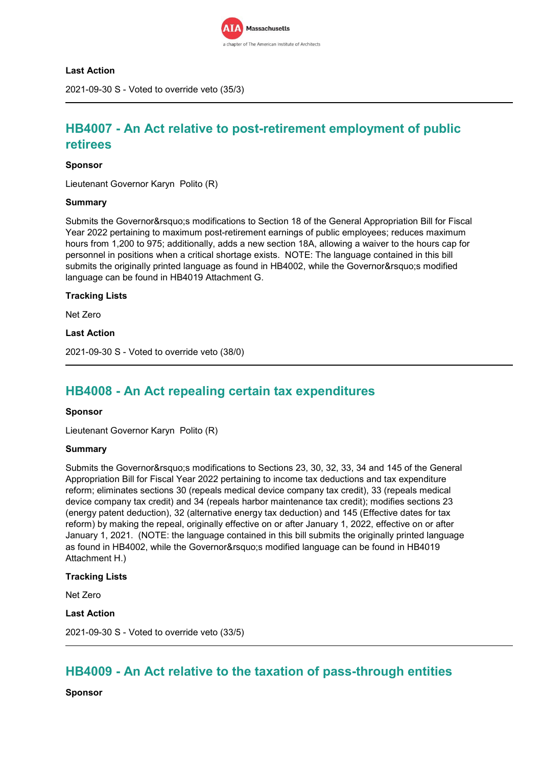

### **Last Action**

2021-09-30 S - Voted to override veto (35/3)

## **HB4007 - An Act relative to post-retirement employment of public retirees**

### **Sponsor**

Lieutenant Governor Karyn Polito (R)

#### **Summary**

Submits the Governor's modifications to Section 18 of the General Appropriation Bill for Fiscal Year 2022 pertaining to maximum post-retirement earnings of public employees; reduces maximum hours from 1,200 to 975; additionally, adds a new section 18A, allowing a waiver to the hours cap for personnel in positions when a critical shortage exists. NOTE: The language contained in this bill submits the originally printed language as found in HB4002, while the Governor' smodified language can be found in HB4019 Attachment G.

### **Tracking Lists**

Net Zero

### **Last Action**

2021-09-30 S - Voted to override veto (38/0)

## **HB4008 - An Act repealing certain tax expenditures**

#### **Sponsor**

Lieutenant Governor Karyn Polito (R)

#### **Summary**

Submits the Governor's modifications to Sections 23, 30, 32, 33, 34 and 145 of the General Appropriation Bill for Fiscal Year 2022 pertaining to income tax deductions and tax expenditure reform; eliminates sections 30 (repeals medical device company tax credit), 33 (repeals medical device company tax credit) and 34 (repeals harbor maintenance tax credit); modifies sections 23 (energy patent deduction), 32 (alternative energy tax deduction) and 145 (Effective dates for tax reform) by making the repeal, originally effective on or after January 1, 2022, effective on or after January 1, 2021. (NOTE: the language contained in this bill submits the originally printed language as found in HB4002, while the Governor' modified language can be found in HB4019 Attachment H.)

#### **Tracking Lists**

Net Zero

## **Last Action**

2021-09-30 S - Voted to override veto (33/5)

## **HB4009 - An Act relative to the taxation of pass-through entities**

**Sponsor**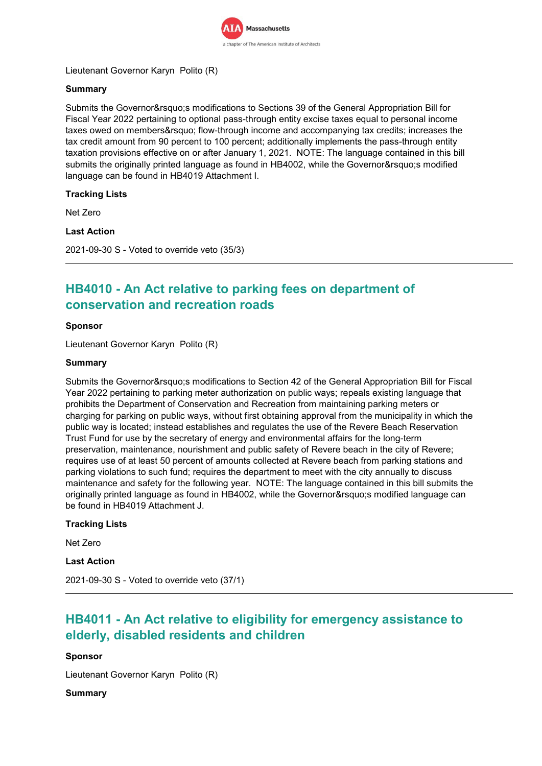

Lieutenant Governor Karyn Polito (R)

## **Summary**

Submits the Governor's modifications to Sections 39 of the General Appropriation Bill for Fiscal Year 2022 pertaining to optional pass-through entity excise taxes equal to personal income taxes owed on members' flow-through income and accompanying tax credits; increases the tax credit amount from 90 percent to 100 percent; additionally implements the pass-through entity taxation provisions effective on or after January 1, 2021. NOTE: The language contained in this bill submits the originally printed language as found in HB4002, while the Governor' smodified language can be found in HB4019 Attachment I.

## **Tracking Lists**

Net Zero

## **Last Action**

2021-09-30 S - Voted to override veto (35/3)

## **HB4010 - An Act relative to parking fees on department of conservation and recreation roads**

## **Sponsor**

Lieutenant Governor Karyn Polito (R)

## **Summary**

Submits the Governor's modifications to Section 42 of the General Appropriation Bill for Fiscal Year 2022 pertaining to parking meter authorization on public ways; repeals existing language that prohibits the Department of Conservation and Recreation from maintaining parking meters or charging for parking on public ways, without first obtaining approval from the municipality in which the public way is located; instead establishes and regulates the use of the Revere Beach Reservation Trust Fund for use by the secretary of energy and environmental affairs for the long-term preservation, maintenance, nourishment and public safety of Revere beach in the city of Revere; requires use of at least 50 percent of amounts collected at Revere beach from parking stations and parking violations to such fund; requires the department to meet with the city annually to discuss maintenance and safety for the following year. NOTE: The language contained in this bill submits the originally printed language as found in HB4002, while the Governor' smodified language can be found in HB4019 Attachment J.

## **Tracking Lists**

Net Zero

## **Last Action**

2021-09-30 S - Voted to override veto (37/1)

## **HB4011 - An Act relative to eligibility for emergency assistance to elderly, disabled residents and children**

## **Sponsor**

Lieutenant Governor Karyn Polito (R)

## **Summary**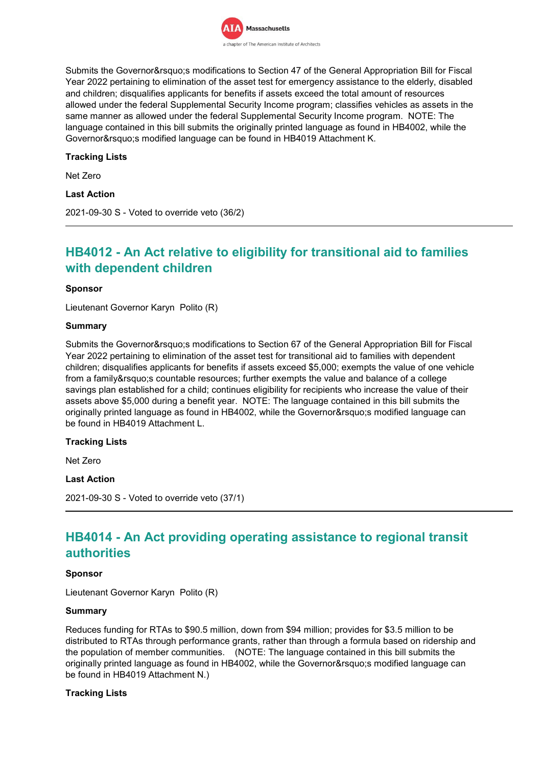

Submits the Governor's modifications to Section 47 of the General Appropriation Bill for Fiscal Year 2022 pertaining to elimination of the asset test for emergency assistance to the elderly, disabled and children; disqualifies applicants for benefits if assets exceed the total amount of resources allowed under the federal Supplemental Security Income program; classifies vehicles as assets in the same manner as allowed under the federal Supplemental Security Income program. NOTE: The language contained in this bill submits the originally printed language as found in HB4002, while the Governor' s modified language can be found in HB4019 Attachment K.

## **Tracking Lists**

Net Zero

## **Last Action**

2021-09-30 S - Voted to override veto (36/2)

## **HB4012 - An Act relative to eligibility for transitional aid to families with dependent children**

#### **Sponsor**

Lieutenant Governor Karyn Polito (R)

#### **Summary**

Submits the Governor&rsquo:s modifications to Section 67 of the General Appropriation Bill for Fiscal Year 2022 pertaining to elimination of the asset test for transitional aid to families with dependent children; disqualifies applicants for benefits if assets exceed \$5,000; exempts the value of one vehicle from a family's countable resources; further exempts the value and balance of a college savings plan established for a child; continues eligibility for recipients who increase the value of their assets above \$5,000 during a benefit year. NOTE: The language contained in this bill submits the originally printed language as found in HB4002, while the Governor's modified language can be found in HB4019 Attachment L.

#### **Tracking Lists**

Net Zero

#### **Last Action**

2021-09-30 S - Voted to override veto (37/1)

## **HB4014 - An Act providing operating assistance to regional transit authorities**

#### **Sponsor**

Lieutenant Governor Karyn Polito (R)

#### **Summary**

Reduces funding for RTAs to \$90.5 million, down from \$94 million; provides for \$3.5 million to be distributed to RTAs through performance grants, rather than through a formula based on ridership and the population of member communities. (NOTE: The language contained in this bill submits the originally printed language as found in HB4002, while the Governor' smodified language can be found in HB4019 Attachment N.)

#### **Tracking Lists**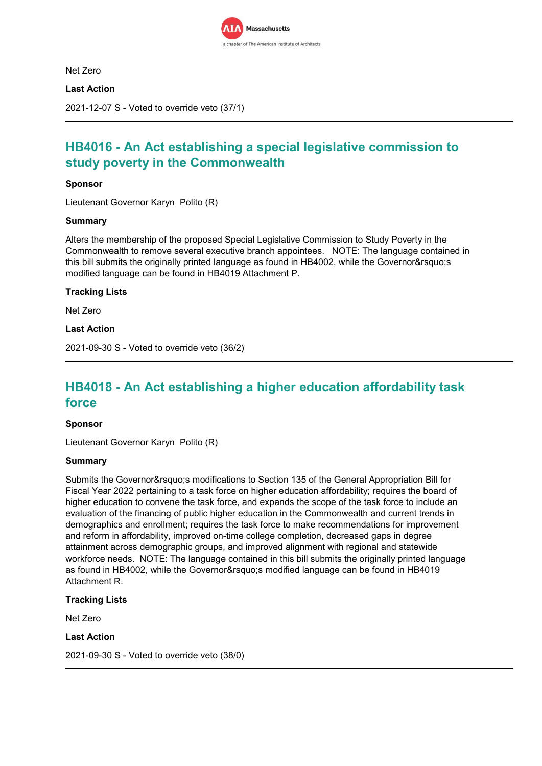

Net Zero

**Last Action**

2021-12-07 S - Voted to override veto (37/1)

## **HB4016 - An Act establishing a special legislative commission to study poverty in the Commonwealth**

### **Sponsor**

Lieutenant Governor Karyn Polito (R)

### **Summary**

Alters the membership of the proposed Special Legislative Commission to Study Poverty in the Commonwealth to remove several executive branch appointees. NOTE: The language contained in this bill submits the originally printed language as found in HB4002, while the Governor's modified language can be found in HB4019 Attachment P.

### **Tracking Lists**

Net Zero

**Last Action**

2021-09-30 S - Voted to override veto (36/2)

## **HB4018 - An Act establishing a higher education affordability task force**

#### **Sponsor**

Lieutenant Governor Karyn Polito (R)

#### **Summary**

Submits the Governor' smodifications to Section 135 of the General Appropriation Bill for Fiscal Year 2022 pertaining to a task force on higher education affordability; requires the board of higher education to convene the task force, and expands the scope of the task force to include an evaluation of the financing of public higher education in the Commonwealth and current trends in demographics and enrollment; requires the task force to make recommendations for improvement and reform in affordability, improved on-time college completion, decreased gaps in degree attainment across demographic groups, and improved alignment with regional and statewide workforce needs. NOTE: The language contained in this bill submits the originally printed language as found in HB4002, while the Governor's modified language can be found in HB4019 Attachment R.

## **Tracking Lists**

Net Zero

### **Last Action**

2021-09-30 S - Voted to override veto (38/0)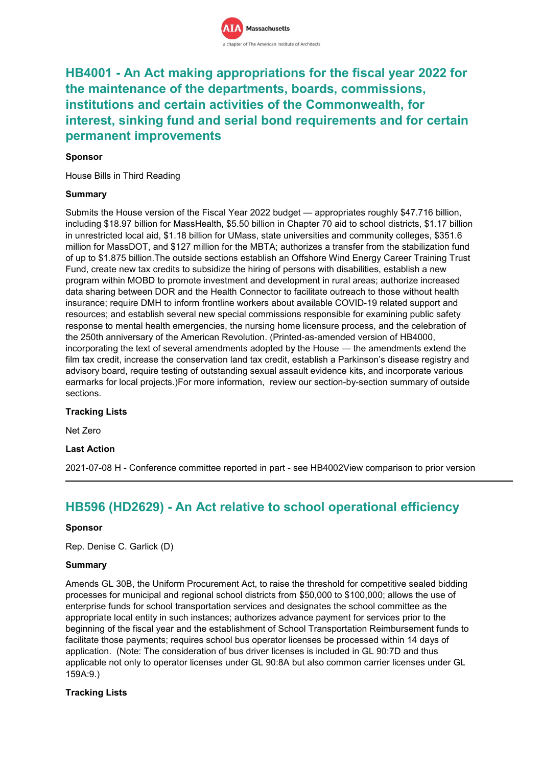## **HB4001 - An Act making appropriations for the fiscal year 2022 for the maintenance of the departments, boards, commissions, institutions and certain activities of the Commonwealth, for interest, sinking fund and serial bond requirements and for certain permanent improvements**

## **Sponsor**

House Bills in Third Reading

## **Summary**

Submits the House version of the Fiscal Year 2022 budget — appropriates roughly \$47.716 billion, including \$18.97 billion for MassHealth, \$5.50 billion in Chapter 70 aid to school districts, \$1.17 billion in unrestricted local aid, \$1.18 billion for UMass, state universities and community colleges, \$351.6 million for MassDOT, and \$127 million for the MBTA; authorizes a transfer from the stabilization fund of up to \$1.875 billion.The outside sections establish an Offshore Wind Energy Career Training Trust Fund, create new tax credits to subsidize the hiring of persons with disabilities, establish a new program within MOBD to promote investment and development in rural areas; authorize increased data sharing between DOR and the Health Connector to facilitate outreach to those without health insurance; require DMH to inform frontline workers about available COVID-19 related support and resources; and establish several new special commissions responsible for examining public safety response to mental health emergencies, the nursing home licensure process, and the celebration of the 250th anniversary of the American Revolution. (Printed-as-amended version of HB4000, incorporating the text of several amendments adopted by the House — the amendments extend the film tax credit, increase the conservation land tax credit, establish a Parkinson's disease registry and advisory board, require testing of outstanding sexual assault evidence kits, and incorporate various earmarks for local projects.)For more information, review our section-by-section summary of outside sections.

## **Tracking Lists**

Net Zero

## **Last Action**

2021-07-08 H - Conference committee reported in part - see HB4002View comparison to prior version

## **HB596 (HD2629) - An Act relative to school operational efficiency**

#### **Sponsor**

Rep. Denise C. Garlick (D)

## **Summary**

Amends GL 30B, the Uniform Procurement Act, to raise the threshold for competitive sealed bidding processes for municipal and regional school districts from \$50,000 to \$100,000; allows the use of enterprise funds for school transportation services and designates the school committee as the appropriate local entity in such instances; authorizes advance payment for services prior to the beginning of the fiscal year and the establishment of School Transportation Reimbursement funds to facilitate those payments; requires school bus operator licenses be processed within 14 days of application. (Note: The consideration of bus driver licenses is included in GL 90:7D and thus applicable not only to operator licenses under GL 90:8A but also common carrier licenses under GL 159A:9.)

## **Tracking Lists**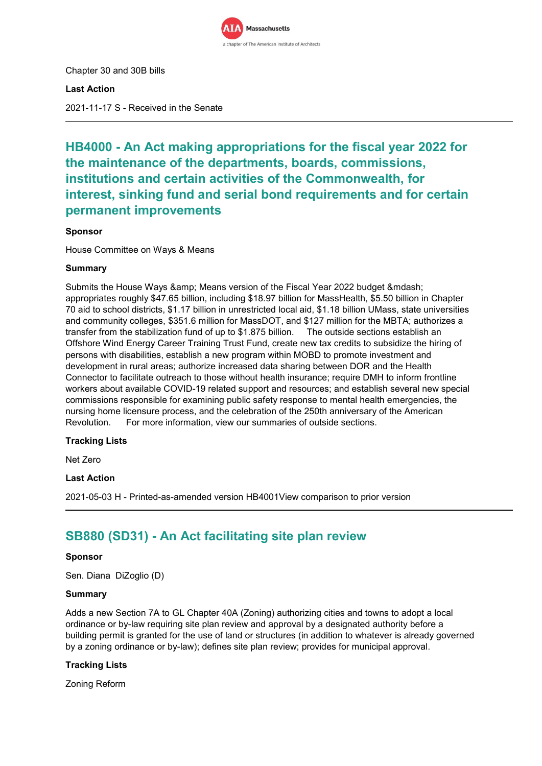

Chapter 30 and 30B bills

**Last Action**

2021-11-17 S - Received in the Senate

## **HB4000 - An Act making appropriations for the fiscal year 2022 for the maintenance of the departments, boards, commissions, institutions and certain activities of the Commonwealth, for interest, sinking fund and serial bond requirements and for certain permanent improvements**

## **Sponsor**

House Committee on Ways & Means

## **Summary**

Submits the House Ways & amp; Means version of the Fiscal Year 2022 budget & mdash; appropriates roughly \$47.65 billion, including \$18.97 billion for MassHealth, \$5.50 billion in Chapter 70 aid to school districts, \$1.17 billion in unrestricted local aid, \$1.18 billion UMass, state universities and community colleges, \$351.6 million for MassDOT, and \$127 million for the MBTA; authorizes a transfer from the stabilization fund of up to \$1.875 billion. The outside sections establish an Offshore Wind Energy Career Training Trust Fund, create new tax credits to subsidize the hiring of persons with disabilities, establish a new program within MOBD to promote investment and development in rural areas; authorize increased data sharing between DOR and the Health Connector to facilitate outreach to those without health insurance; require DMH to inform frontline workers about available COVID-19 related support and resources; and establish several new special commissions responsible for examining public safety response to mental health emergencies, the nursing home licensure process, and the celebration of the 250th anniversary of the American Revolution. For more information, view our summaries of outside sections.

## **Tracking Lists**

Net Zero

## **Last Action**

2021-05-03 H - Printed-as-amended version HB4001View comparison to prior version

## **SB880 (SD31) - An Act facilitating site plan review**

#### **Sponsor**

Sen. Diana DiZoglio (D)

### **Summary**

Adds a new Section 7A to GL Chapter 40A (Zoning) authorizing cities and towns to adopt a local ordinance or by-law requiring site plan review and approval by a designated authority before a building permit is granted for the use of land or structures (in addition to whatever is already governed by a zoning ordinance or by-law); defines site plan review; provides for municipal approval.

## **Tracking Lists**

Zoning Reform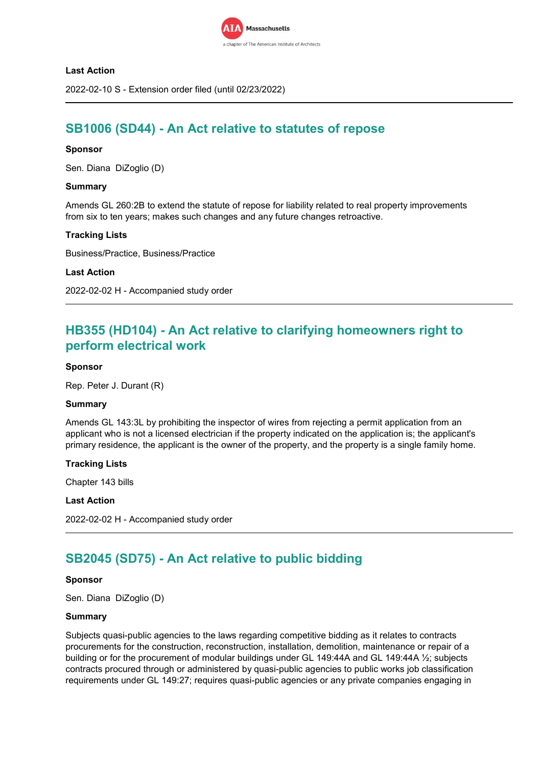

## **Last Action**

2022-02-10 S - Extension order filed (until 02/23/2022)

## **SB1006 (SD44) - An Act relative to statutes of repose**

#### **Sponsor**

Sen. Diana DiZoglio (D)

#### **Summary**

Amends GL 260:2B to extend the statute of repose for liability related to real property improvements from six to ten years; makes such changes and any future changes retroactive.

## **Tracking Lists**

Business/Practice, Business/Practice

#### **Last Action**

2022-02-02 H - Accompanied study order

## **HB355 (HD104) - An Act relative to clarifying homeowners right to perform electrical work**

### **Sponsor**

Rep. Peter J. Durant (R)

#### **Summary**

Amends GL 143:3L by prohibiting the inspector of wires from rejecting a permit application from an applicant who is not a licensed electrician if the property indicated on the application is; the applicant's primary residence, the applicant is the owner of the property, and the property is a single family home.

#### **Tracking Lists**

Chapter 143 bills

#### **Last Action**

```
2022-02-02 H - Accompanied study order
```
## **SB2045 (SD75) - An Act relative to public bidding**

#### **Sponsor**

Sen. Diana DiZoglio (D)

#### **Summary**

Subjects quasi-public agencies to the laws regarding competitive bidding as it relates to contracts procurements for the construction, reconstruction, installation, demolition, maintenance or repair of a building or for the procurement of modular buildings under GL 149:44A and GL 149:44A ½; subjects contracts procured through or administered by quasi-public agencies to public works job classification requirements under GL 149:27; requires quasi-public agencies or any private companies engaging in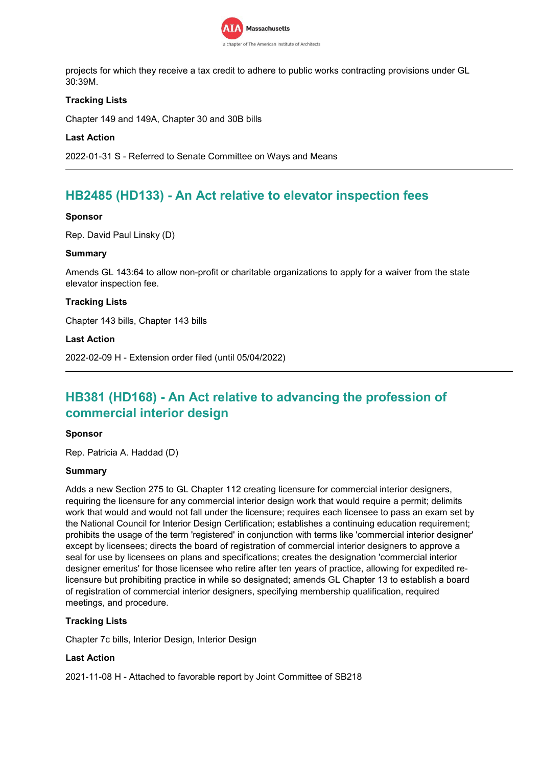

projects for which they receive a tax credit to adhere to public works contracting provisions under GL 30:39M.

## **Tracking Lists**

Chapter 149 and 149A, Chapter 30 and 30B bills

## **Last Action**

2022-01-31 S - Referred to Senate Committee on Ways and Means

## **HB2485 (HD133) - An Act relative to elevator inspection fees**

## **Sponsor**

Rep. David Paul Linsky (D)

### **Summary**

Amends GL 143:64 to allow non-profit or charitable organizations to apply for a waiver from the state elevator inspection fee.

## **Tracking Lists**

Chapter 143 bills, Chapter 143 bills

### **Last Action**

2022-02-09 H - Extension order filed (until 05/04/2022)

## **HB381 (HD168) - An Act relative to advancing the profession of commercial interior design**

## **Sponsor**

Rep. Patricia A. Haddad (D)

#### **Summary**

Adds a new Section 275 to GL Chapter 112 creating licensure for commercial interior designers, requiring the licensure for any commercial interior design work that would require a permit; delimits work that would and would not fall under the licensure; requires each licensee to pass an exam set by the National Council for Interior Design Certification; establishes a continuing education requirement; prohibits the usage of the term 'registered' in conjunction with terms like 'commercial interior designer' except by licensees; directs the board of registration of commercial interior designers to approve a seal for use by licensees on plans and specifications; creates the designation 'commercial interior designer emeritus' for those licensee who retire after ten years of practice, allowing for expedited relicensure but prohibiting practice in while so designated; amends GL Chapter 13 to establish a board of registration of commercial interior designers, specifying membership qualification, required meetings, and procedure.

## **Tracking Lists**

Chapter 7c bills, Interior Design, Interior Design

## **Last Action**

2021-11-08 H - Attached to favorable report by Joint Committee of SB218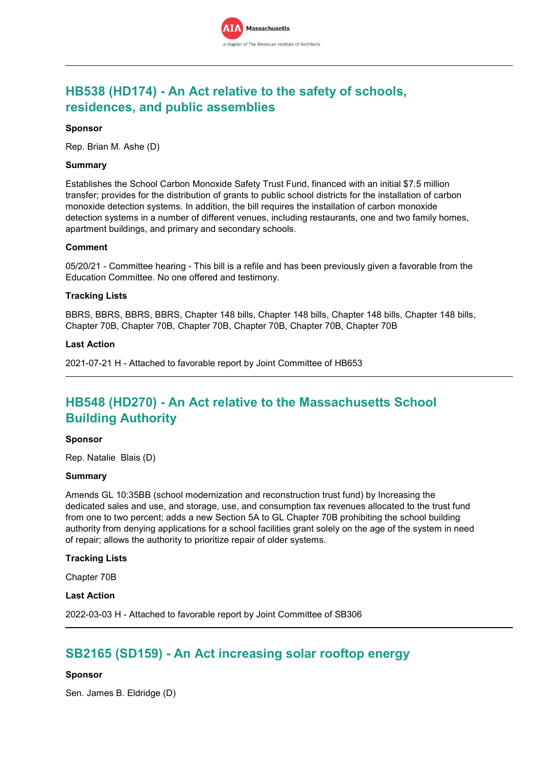

## **HB538 (HD174) - An Act relative to the safety of schools, residences, and public assemblies**

### **Sponsor**

Rep. Brian M. Ashe (D)

### **Summary**

Establishes the School Carbon Monoxide Safety Trust Fund, financed with an initial \$7.5 million transfer; provides for the distribution of grants to public school districts for the installation of carbon monoxide detection systems. In addition, the bill requires the installation of carbon monoxide detection systems in a number of different venues, including restaurants, one and two family homes, apartment buildings, and primary and secondary schools.

### **Comment**

05/20/21 - Committee hearing - This bill is a refile and has been previously given a favorable from the Education Committee. No one offered and testimony.

### **Tracking Lists**

BBRS, BBRS, BBRS, BBRS, Chapter 148 bills, Chapter 148 bills, Chapter 148 bills, Chapter 148 bills, Chapter 70B, Chapter 70B, Chapter 70B, Chapter 70B, Chapter 70B, Chapter 70B

### **Last Action**

2021-07-21 H - Attached to favorable report by Joint Committee of HB653

## **HB548 (HD270) - An Act relative to the Massachusetts School Building Authority**

#### **Sponsor**

Rep. Natalie Blais (D)

#### **Summary**

Amends GL 10:35BB (school modernization and reconstruction trust fund) by Increasing the dedicated sales and use, and storage, use, and consumption tax revenues allocated to the trust fund from one to two percent; adds a new Section 5A to GL Chapter 70B prohibiting the school building authority from denying applications for a school facilities grant solely on the age of the system in need of repair; allows the authority to prioritize repair of older systems.

#### **Tracking Lists**

Chapter 70B

#### **Last Action**

2022-03-03 H - Attached to favorable report by Joint Committee of SB306

## **SB2165 (SD159) - An Act increasing solar rooftop energy**

## **Sponsor**

Sen. James B. Eldridge (D)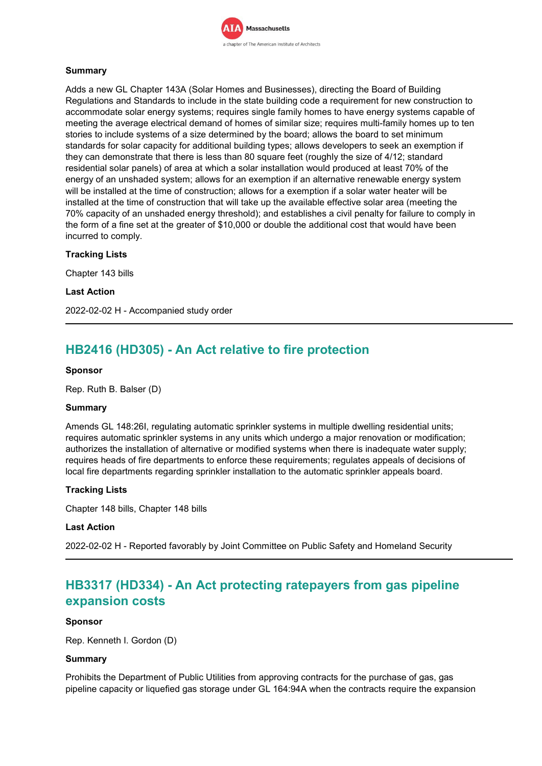

## **Summary**

Adds a new GL Chapter 143A (Solar Homes and Businesses), directing the Board of Building Regulations and Standards to include in the state building code a requirement for new construction to accommodate solar energy systems; requires single family homes to have energy systems capable of meeting the average electrical demand of homes of similar size; requires multi-family homes up to ten stories to include systems of a size determined by the board; allows the board to set minimum standards for solar capacity for additional building types; allows developers to seek an exemption if they can demonstrate that there is less than 80 square feet (roughly the size of 4/12; standard residential solar panels) of area at which a solar installation would produced at least 70% of the energy of an unshaded system; allows for an exemption if an alternative renewable energy system will be installed at the time of construction; allows for a exemption if a solar water heater will be installed at the time of construction that will take up the available effective solar area (meeting the 70% capacity of an unshaded energy threshold); and establishes a civil penalty for failure to comply in the form of a fine set at the greater of \$10,000 or double the additional cost that would have been incurred to comply.

### **Tracking Lists**

Chapter 143 bills

**Last Action**

2022-02-02 H - Accompanied study order

## **HB2416 (HD305) - An Act relative to fire protection**

#### **Sponsor**

Rep. Ruth B. Balser (D)

#### **Summary**

Amends GL 148:26I, regulating automatic sprinkler systems in multiple dwelling residential units; requires automatic sprinkler systems in any units which undergo a major renovation or modification; authorizes the installation of alternative or modified systems when there is inadequate water supply; requires heads of fire departments to enforce these requirements; regulates appeals of decisions of local fire departments regarding sprinkler installation to the automatic sprinkler appeals board.

## **Tracking Lists**

Chapter 148 bills, Chapter 148 bills

#### **Last Action**

2022-02-02 H - Reported favorably by Joint Committee on Public Safety and Homeland Security

## **HB3317 (HD334) - An Act protecting ratepayers from gas pipeline expansion costs**

#### **Sponsor**

Rep. Kenneth I. Gordon (D)

#### **Summary**

Prohibits the Department of Public Utilities from approving contracts for the purchase of gas, gas pipeline capacity or liquefied gas storage under GL 164:94A when the contracts require the expansion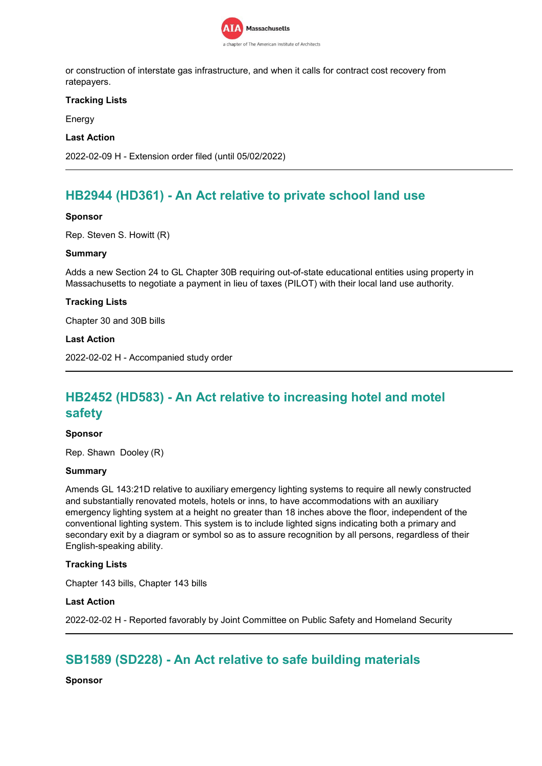

or construction of interstate gas infrastructure, and when it calls for contract cost recovery from ratepayers.

### **Tracking Lists**

Energy

### **Last Action**

2022-02-09 H - Extension order filed (until 05/02/2022)

## **HB2944 (HD361) - An Act relative to private school land use**

### **Sponsor**

Rep. Steven S. Howitt (R)

### **Summary**

Adds a new Section 24 to GL Chapter 30B requiring out-of-state educational entities using property in Massachusetts to negotiate a payment in lieu of taxes (PILOT) with their local land use authority.

### **Tracking Lists**

Chapter 30 and 30B bills

### **Last Action**

2022-02-02 H - Accompanied study order

## **HB2452 (HD583) - An Act relative to increasing hotel and motel safety**

#### **Sponsor**

Rep. Shawn Dooley (R)

#### **Summary**

Amends GL 143:21D relative to auxiliary emergency lighting systems to require all newly constructed and substantially renovated motels, hotels or inns, to have accommodations with an auxiliary emergency lighting system at a height no greater than 18 inches above the floor, independent of the conventional lighting system. This system is to include lighted signs indicating both a primary and secondary exit by a diagram or symbol so as to assure recognition by all persons, regardless of their English-speaking ability.

#### **Tracking Lists**

Chapter 143 bills, Chapter 143 bills

#### **Last Action**

2022-02-02 H - Reported favorably by Joint Committee on Public Safety and Homeland Security

## **SB1589 (SD228) - An Act relative to safe building materials**

**Sponsor**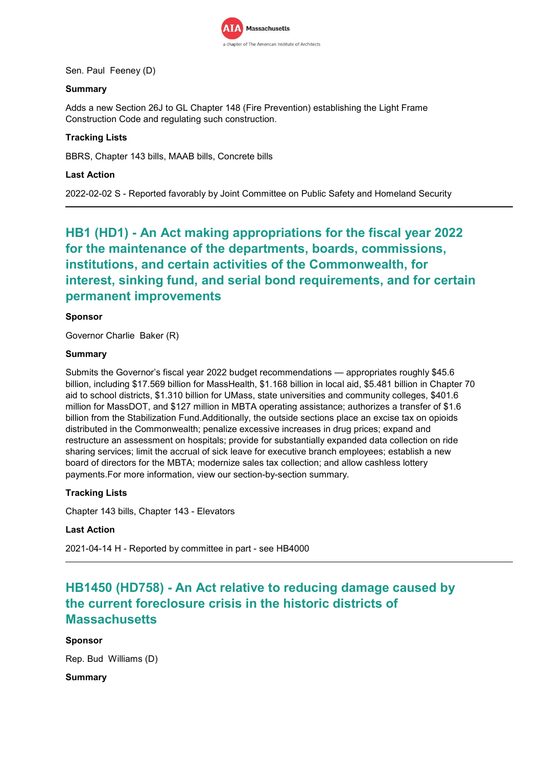

Sen. Paul Feeney (D)

## **Summary**

Adds a new Section 26J to GL Chapter 148 (Fire Prevention) establishing the Light Frame Construction Code and regulating such construction.

## **Tracking Lists**

BBRS, Chapter 143 bills, MAAB bills, Concrete bills

## **Last Action**

2022-02-02 S - Reported favorably by Joint Committee on Public Safety and Homeland Security

## **HB1 (HD1) - An Act making appropriations for the fiscal year 2022 for the maintenance of the departments, boards, commissions, institutions, and certain activities of the Commonwealth, for interest, sinking fund, and serial bond requirements, and for certain permanent improvements**

## **Sponsor**

Governor Charlie Baker (R)

### **Summary**

Submits the Governor's fiscal year 2022 budget recommendations — appropriates roughly \$45.6 billion, including \$17.569 billion for MassHealth, \$1.168 billion in local aid, \$5.481 billion in Chapter 70 aid to school districts, \$1.310 billion for UMass, state universities and community colleges, \$401.6 million for MassDOT, and \$127 million in MBTA operating assistance; authorizes a transfer of \$1.6 billion from the Stabilization Fund.Additionally, the outside sections place an excise tax on opioids distributed in the Commonwealth; penalize excessive increases in drug prices; expand and restructure an assessment on hospitals; provide for substantially expanded data collection on ride sharing services; limit the accrual of sick leave for executive branch employees; establish a new board of directors for the MBTA; modernize sales tax collection; and allow cashless lottery payments.For more information, view our section-by-section summary.

## **Tracking Lists**

Chapter 143 bills, Chapter 143 - Elevators

## **Last Action**

2021-04-14 H - Reported by committee in part - see HB4000

## **HB1450 (HD758) - An Act relative to reducing damage caused by the current foreclosure crisis in the historic districts of Massachusetts**

#### **Sponsor**

Rep. Bud Williams (D)

**Summary**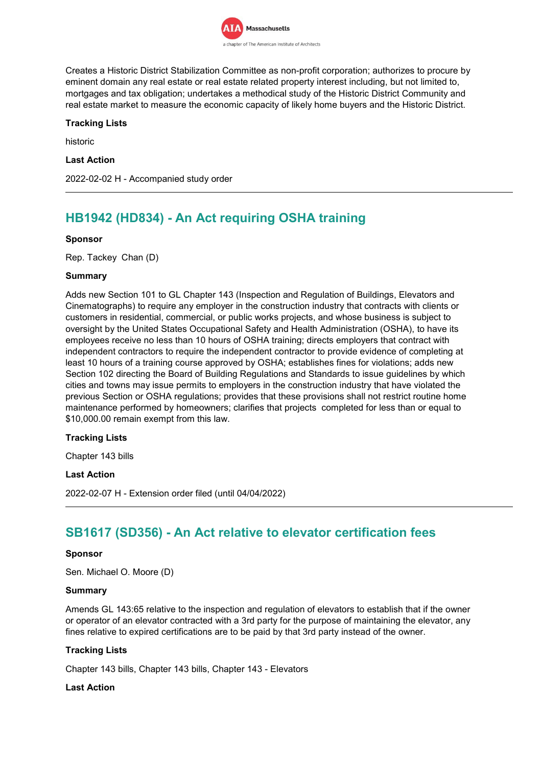

Creates a Historic District Stabilization Committee as non-profit corporation; authorizes to procure by eminent domain any real estate or real estate related property interest including, but not limited to, mortgages and tax obligation; undertakes a methodical study of the Historic District Community and real estate market to measure the economic capacity of likely home buyers and the Historic District.

## **Tracking Lists**

historic

### **Last Action**

2022-02-02 H - Accompanied study order

## **HB1942 (HD834) - An Act requiring OSHA training**

### **Sponsor**

Rep. Tackey Chan (D)

### **Summary**

Adds new Section 101 to GL Chapter 143 (Inspection and Regulation of Buildings, Elevators and Cinematographs) to require any employer in the construction industry that contracts with clients or customers in residential, commercial, or public works projects, and whose business is subject to oversight by the United States Occupational Safety and Health Administration (OSHA), to have its employees receive no less than 10 hours of OSHA training; directs employers that contract with independent contractors to require the independent contractor to provide evidence of completing at least 10 hours of a training course approved by OSHA; establishes fines for violations; adds new Section 102 directing the Board of Building Regulations and Standards to issue guidelines by which cities and towns may issue permits to employers in the construction industry that have violated the previous Section or OSHA regulations; provides that these provisions shall not restrict routine home maintenance performed by homeowners; clarifies that projects completed for less than or equal to \$10,000.00 remain exempt from this law.

## **Tracking Lists**

Chapter 143 bills

## **Last Action**

2022-02-07 H - Extension order filed (until 04/04/2022)

## **SB1617 (SD356) - An Act relative to elevator certification fees**

## **Sponsor**

Sen. Michael O. Moore (D)

#### **Summary**

Amends GL 143:65 relative to the inspection and regulation of elevators to establish that if the owner or operator of an elevator contracted with a 3rd party for the purpose of maintaining the elevator, any fines relative to expired certifications are to be paid by that 3rd party instead of the owner.

## **Tracking Lists**

Chapter 143 bills, Chapter 143 bills, Chapter 143 - Elevators

## **Last Action**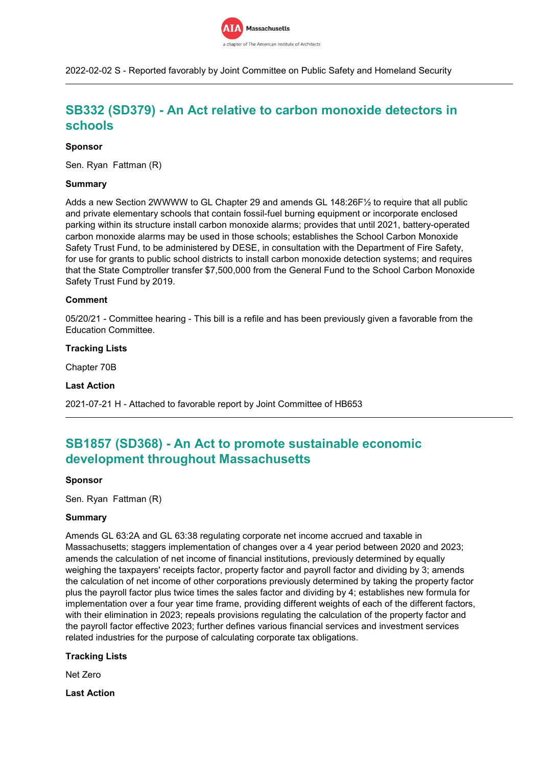

2022-02-02 S - Reported favorably by Joint Committee on Public Safety and Homeland Security

## **SB332 (SD379) - An Act relative to carbon monoxide detectors in schools**

### **Sponsor**

Sen. Ryan Fattman (R)

### **Summary**

Adds a new Section 2WWWW to GL Chapter 29 and amends GL 148:26F½ to require that all public and private elementary schools that contain fossil-fuel burning equipment or incorporate enclosed parking within its structure install carbon monoxide alarms; provides that until 2021, battery-operated carbon monoxide alarms may be used in those schools; establishes the School Carbon Monoxide Safety Trust Fund, to be administered by DESE, in consultation with the Department of Fire Safety, for use for grants to public school districts to install carbon monoxide detection systems; and requires that the State Comptroller transfer \$7,500,000 from the General Fund to the School Carbon Monoxide Safety Trust Fund by 2019.

#### **Comment**

05/20/21 - Committee hearing - This bill is a refile and has been previously given a favorable from the Education Committee.

#### **Tracking Lists**

Chapter 70B

#### **Last Action**

2021-07-21 H - Attached to favorable report by Joint Committee of HB653

## **SB1857 (SD368) - An Act to promote sustainable economic development throughout Massachusetts**

#### **Sponsor**

Sen. Ryan Fattman (R)

#### **Summary**

Amends GL 63:2A and GL 63:38 regulating corporate net income accrued and taxable in Massachusetts; staggers implementation of changes over a 4 year period between 2020 and 2023; amends the calculation of net income of financial institutions, previously determined by equally weighing the taxpayers' receipts factor, property factor and payroll factor and dividing by 3; amends the calculation of net income of other corporations previously determined by taking the property factor plus the payroll factor plus twice times the sales factor and dividing by 4; establishes new formula for implementation over a four year time frame, providing different weights of each of the different factors, with their elimination in 2023; repeals provisions regulating the calculation of the property factor and the payroll factor effective 2023; further defines various financial services and investment services related industries for the purpose of calculating corporate tax obligations.

#### **Tracking Lists**

Net Zero

**Last Action**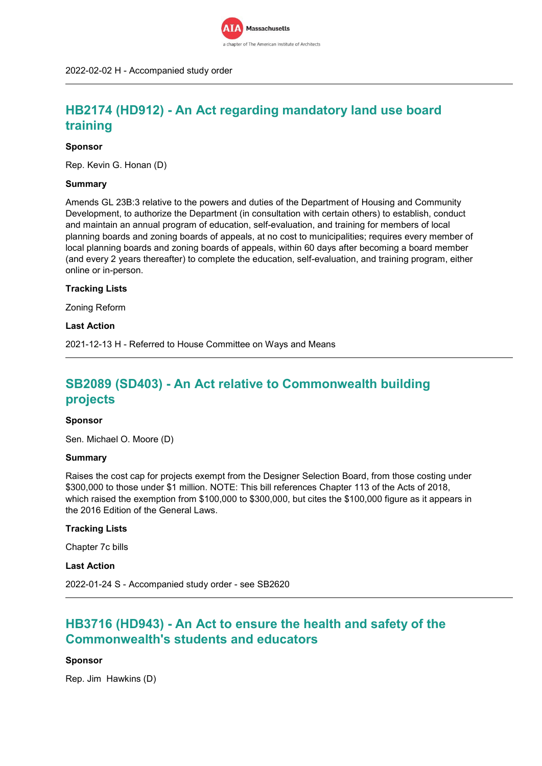

## **HB2174 (HD912) - An Act regarding mandatory land use board training**

#### **Sponsor**

Rep. Kevin G. Honan (D)

#### **Summary**

Amends GL 23B:3 relative to the powers and duties of the Department of Housing and Community Development, to authorize the Department (in consultation with certain others) to establish, conduct and maintain an annual program of education, self-evaluation, and training for members of local planning boards and zoning boards of appeals, at no cost to municipalities; requires every member of local planning boards and zoning boards of appeals, within 60 days after becoming a board member (and every 2 years thereafter) to complete the education, self-evaluation, and training program, either online or in-person.

#### **Tracking Lists**

Zoning Reform

**Last Action**

2021-12-13 H - Referred to House Committee on Ways and Means

## **SB2089 (SD403) - An Act relative to Commonwealth building projects**

#### **Sponsor**

Sen. Michael O. Moore (D)

#### **Summary**

Raises the cost cap for projects exempt from the Designer Selection Board, from those costing under \$300,000 to those under \$1 million. NOTE: This bill references Chapter 113 of the Acts of 2018, which raised the exemption from \$100,000 to \$300,000, but cites the \$100,000 figure as it appears in the 2016 Edition of the General Laws.

## **Tracking Lists**

Chapter 7c bills

**Last Action**

2022-01-24 S - Accompanied study order - see SB2620

## **HB3716 (HD943) - An Act to ensure the health and safety of the Commonwealth's students and educators**

#### **Sponsor**

Rep. Jim Hawkins (D)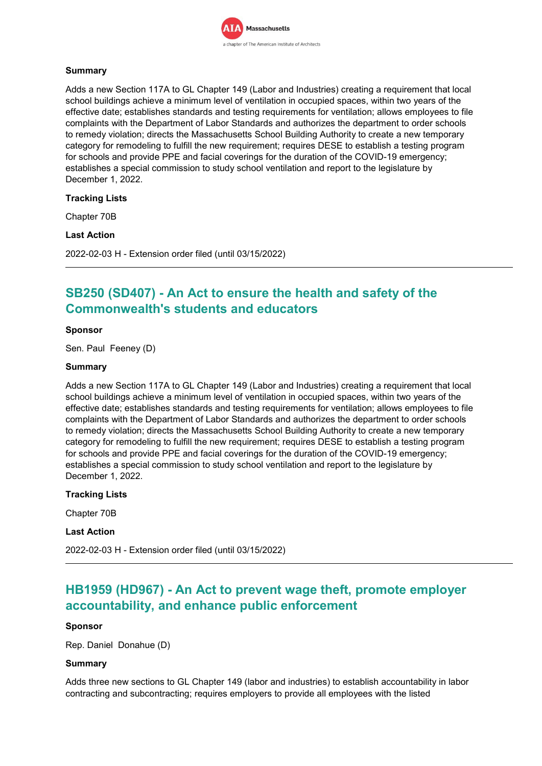

## **Summary**

Adds a new Section 117A to GL Chapter 149 (Labor and Industries) creating a requirement that local school buildings achieve a minimum level of ventilation in occupied spaces, within two years of the effective date; establishes standards and testing requirements for ventilation; allows employees to file complaints with the Department of Labor Standards and authorizes the department to order schools to remedy violation; directs the Massachusetts School Building Authority to create a new temporary category for remodeling to fulfill the new requirement; requires DESE to establish a testing program for schools and provide PPE and facial coverings for the duration of the COVID-19 emergency; establishes a special commission to study school ventilation and report to the legislature by December 1, 2022.

## **Tracking Lists**

Chapter 70B

## **Last Action**

2022-02-03 H - Extension order filed (until 03/15/2022)

## **SB250 (SD407) - An Act to ensure the health and safety of the Commonwealth's students and educators**

## **Sponsor**

Sen. Paul Feeney (D)

#### **Summary**

Adds a new Section 117A to GL Chapter 149 (Labor and Industries) creating a requirement that local school buildings achieve a minimum level of ventilation in occupied spaces, within two years of the effective date; establishes standards and testing requirements for ventilation; allows employees to file complaints with the Department of Labor Standards and authorizes the department to order schools to remedy violation; directs the Massachusetts School Building Authority to create a new temporary category for remodeling to fulfill the new requirement; requires DESE to establish a testing program for schools and provide PPE and facial coverings for the duration of the COVID-19 emergency; establishes a special commission to study school ventilation and report to the legislature by December 1, 2022.

**Tracking Lists**

Chapter 70B

## **Last Action**

2022-02-03 H - Extension order filed (until 03/15/2022)

## **HB1959 (HD967) - An Act to prevent wage theft, promote employer accountability, and enhance public enforcement**

#### **Sponsor**

Rep. Daniel Donahue (D)

#### **Summary**

Adds three new sections to GL Chapter 149 (labor and industries) to establish accountability in labor contracting and subcontracting; requires employers to provide all employees with the listed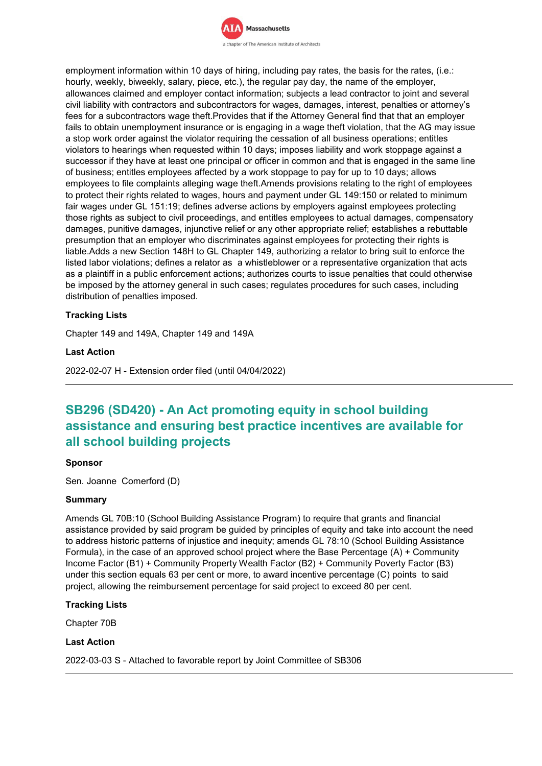

employment information within 10 days of hiring, including pay rates, the basis for the rates, (i.e.: hourly, weekly, biweekly, salary, piece, etc.), the regular pay day, the name of the employer, allowances claimed and employer contact information; subjects a lead contractor to joint and several civil liability with contractors and subcontractors for wages, damages, interest, penalties or attorney's fees for a subcontractors wage theft.Provides that if the Attorney General find that that an employer fails to obtain unemployment insurance or is engaging in a wage theft violation, that the AG may issue a stop work order against the violator requiring the cessation of all business operations; entitles violators to hearings when requested within 10 days; imposes liability and work stoppage against a successor if they have at least one principal or officer in common and that is engaged in the same line of business; entitles employees affected by a work stoppage to pay for up to 10 days; allows employees to file complaints alleging wage theft.Amends provisions relating to the right of employees to protect their rights related to wages, hours and payment under GL 149:150 or related to minimum fair wages under GL 151:19; defines adverse actions by employers against employees protecting those rights as subject to civil proceedings, and entitles employees to actual damages, compensatory damages, punitive damages, injunctive relief or any other appropriate relief; establishes a rebuttable presumption that an employer who discriminates against employees for protecting their rights is liable.Adds a new Section 148H to GL Chapter 149, authorizing a relator to bring suit to enforce the listed labor violations; defines a relator as a whistleblower or a representative organization that acts as a plaintiff in a public enforcement actions; authorizes courts to issue penalties that could otherwise be imposed by the attorney general in such cases; regulates procedures for such cases, including distribution of penalties imposed.

## **Tracking Lists**

Chapter 149 and 149A, Chapter 149 and 149A

#### **Last Action**

2022-02-07 H - Extension order filed (until 04/04/2022)

## **SB296 (SD420) - An Act promoting equity in school building assistance and ensuring best practice incentives are available for all school building projects**

#### **Sponsor**

Sen. Joanne Comerford (D)

#### **Summary**

Amends GL 70B:10 (School Building Assistance Program) to require that grants and financial assistance provided by said program be guided by principles of equity and take into account the need to address historic patterns of injustice and inequity; amends GL 78:10 (School Building Assistance Formula), in the case of an approved school project where the Base Percentage (A) + Community Income Factor (B1) + Community Property Wealth Factor (B2) + Community Poverty Factor (B3) under this section equals 63 per cent or more, to award incentive percentage (C) points to said project, allowing the reimbursement percentage for said project to exceed 80 per cent.

#### **Tracking Lists**

Chapter 70B

#### **Last Action**

2022-03-03 S - Attached to favorable report by Joint Committee of SB306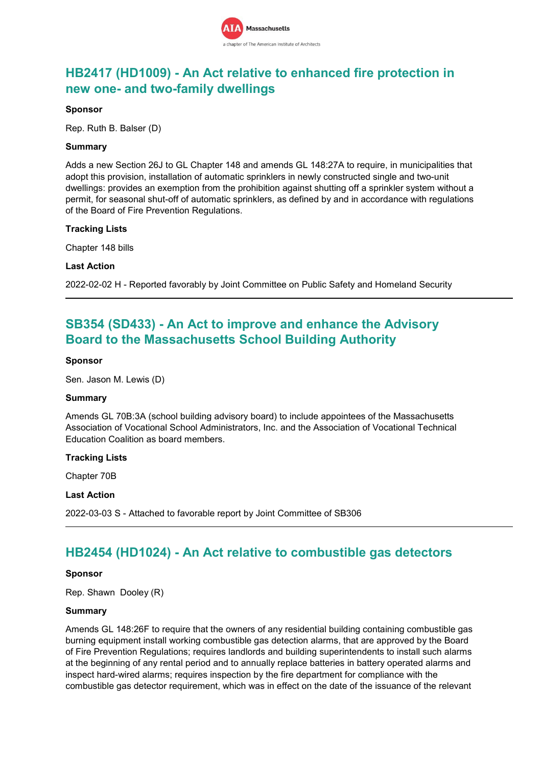

## **HB2417 (HD1009) - An Act relative to enhanced fire protection in new one- and two-family dwellings**

### **Sponsor**

Rep. Ruth B. Balser (D)

### **Summary**

Adds a new Section 26J to GL Chapter 148 and amends GL 148:27A to require, in municipalities that adopt this provision, installation of automatic sprinklers in newly constructed single and two-unit dwellings: provides an exemption from the prohibition against shutting off a sprinkler system without a permit, for seasonal shut-off of automatic sprinklers, as defined by and in accordance with regulations of the Board of Fire Prevention Regulations.

### **Tracking Lists**

Chapter 148 bills

### **Last Action**

2022-02-02 H - Reported favorably by Joint Committee on Public Safety and Homeland Security

## **SB354 (SD433) - An Act to improve and enhance the Advisory Board to the Massachusetts School Building Authority**

### **Sponsor**

Sen. Jason M. Lewis (D)

#### **Summary**

Amends GL 70B:3A (school building advisory board) to include appointees of the Massachusetts Association of Vocational School Administrators, Inc. and the Association of Vocational Technical Education Coalition as board members.

#### **Tracking Lists**

Chapter 70B

#### **Last Action**

2022-03-03 S - Attached to favorable report by Joint Committee of SB306

## **HB2454 (HD1024) - An Act relative to combustible gas detectors**

#### **Sponsor**

Rep. Shawn Dooley (R)

#### **Summary**

Amends GL 148:26F to require that the owners of any residential building containing combustible gas burning equipment install working combustible gas detection alarms, that are approved by the Board of Fire Prevention Regulations; requires landlords and building superintendents to install such alarms at the beginning of any rental period and to annually replace batteries in battery operated alarms and inspect hard-wired alarms; requires inspection by the fire department for compliance with the combustible gas detector requirement, which was in effect on the date of the issuance of the relevant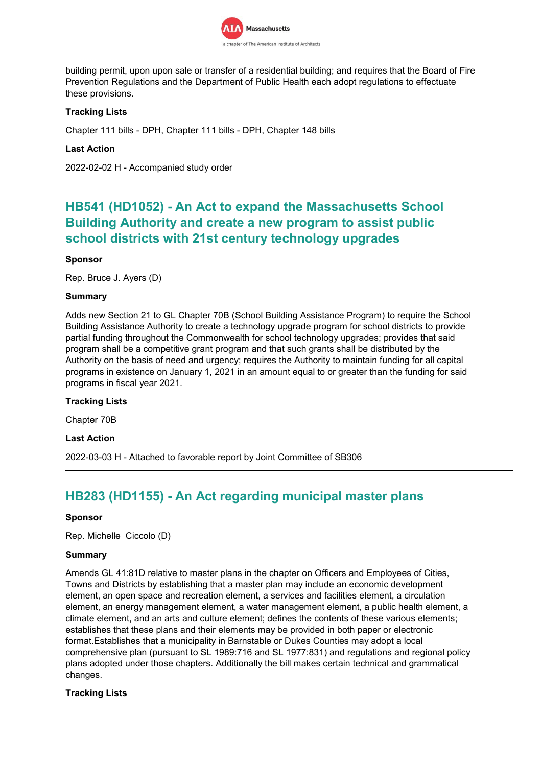

building permit, upon upon sale or transfer of a residential building; and requires that the Board of Fire Prevention Regulations and the Department of Public Health each adopt regulations to effectuate these provisions.

## **Tracking Lists**

Chapter 111 bills - DPH, Chapter 111 bills - DPH, Chapter 148 bills

## **Last Action**

2022-02-02 H - Accompanied study order

## **HB541 (HD1052) - An Act to expand the Massachusetts School Building Authority and create a new program to assist public school districts with 21st century technology upgrades**

## **Sponsor**

Rep. Bruce J. Ayers (D)

### **Summary**

Adds new Section 21 to GL Chapter 70B (School Building Assistance Program) to require the School Building Assistance Authority to create a technology upgrade program for school districts to provide partial funding throughout the Commonwealth for school technology upgrades; provides that said program shall be a competitive grant program and that such grants shall be distributed by the Authority on the basis of need and urgency; requires the Authority to maintain funding for all capital programs in existence on January 1, 2021 in an amount equal to or greater than the funding for said programs in fiscal year 2021.

## **Tracking Lists**

Chapter 70B

**Last Action**

2022-03-03 H - Attached to favorable report by Joint Committee of SB306

## **HB283 (HD1155) - An Act regarding municipal master plans**

#### **Sponsor**

Rep. Michelle Ciccolo (D)

#### **Summary**

Amends GL 41:81D relative to master plans in the chapter on Officers and Employees of Cities, Towns and Districts by establishing that a master plan may include an economic development element, an open space and recreation element, a services and facilities element, a circulation element, an energy management element, a water management element, a public health element, a climate element, and an arts and culture element; defines the contents of these various elements; establishes that these plans and their elements may be provided in both paper or electronic format.Establishes that a municipality in Barnstable or Dukes Counties may adopt a local comprehensive plan (pursuant to SL 1989:716 and SL 1977:831) and regulations and regional policy plans adopted under those chapters. Additionally the bill makes certain technical and grammatical changes.

## **Tracking Lists**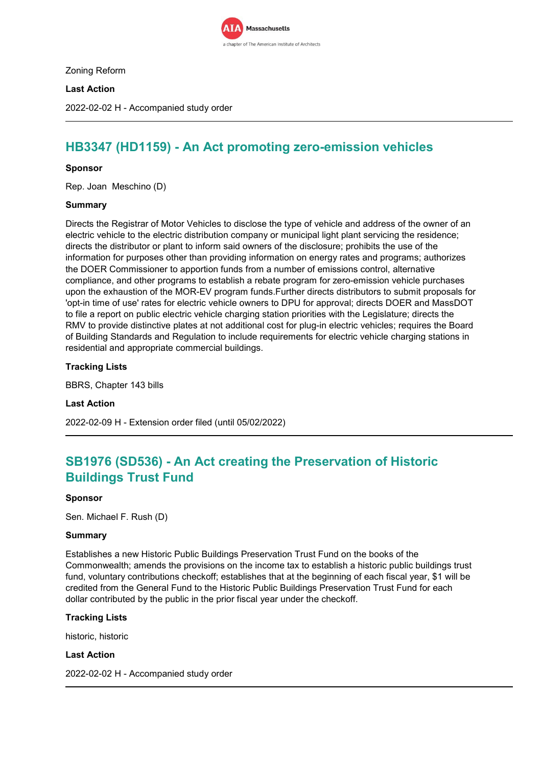

Zoning Reform

## **Last Action**

2022-02-02 H - Accompanied study order

## **HB3347 (HD1159) - An Act promoting zero-emission vehicles**

### **Sponsor**

Rep. Joan Meschino (D)

### **Summary**

Directs the Registrar of Motor Vehicles to disclose the type of vehicle and address of the owner of an electric vehicle to the electric distribution company or municipal light plant servicing the residence; directs the distributor or plant to inform said owners of the disclosure; prohibits the use of the information for purposes other than providing information on energy rates and programs; authorizes the DOER Commissioner to apportion funds from a number of emissions control, alternative compliance, and other programs to establish a rebate program for zero-emission vehicle purchases upon the exhaustion of the MOR-EV program funds.Further directs distributors to submit proposals for 'opt-in time of use' rates for electric vehicle owners to DPU for approval; directs DOER and MassDOT to file a report on public electric vehicle charging station priorities with the Legislature; directs the RMV to provide distinctive plates at not additional cost for plug-in electric vehicles; requires the Board of Building Standards and Regulation to include requirements for electric vehicle charging stations in residential and appropriate commercial buildings.

### **Tracking Lists**

BBRS, Chapter 143 bills

**Last Action**

2022-02-09 H - Extension order filed (until 05/02/2022)

## **SB1976 (SD536) - An Act creating the Preservation of Historic Buildings Trust Fund**

#### **Sponsor**

Sen. Michael F. Rush (D)

#### **Summary**

Establishes a new Historic Public Buildings Preservation Trust Fund on the books of the Commonwealth; amends the provisions on the income tax to establish a historic public buildings trust fund, voluntary contributions checkoff; establishes that at the beginning of each fiscal year, \$1 will be credited from the General Fund to the Historic Public Buildings Preservation Trust Fund for each dollar contributed by the public in the prior fiscal year under the checkoff.

## **Tracking Lists**

historic, historic

#### **Last Action**

2022-02-02 H - Accompanied study order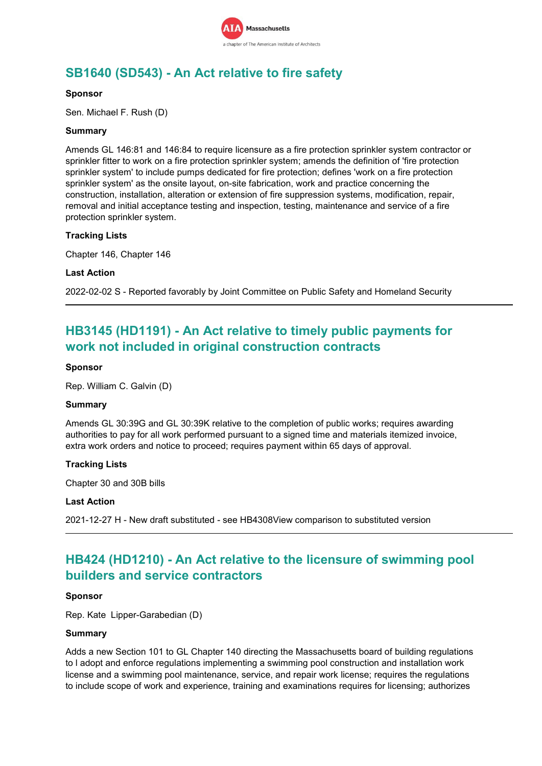

## **SB1640 (SD543) - An Act relative to fire safety**

### **Sponsor**

Sen. Michael F. Rush (D)

### **Summary**

Amends GL 146:81 and 146:84 to require licensure as a fire protection sprinkler system contractor or sprinkler fitter to work on a fire protection sprinkler system; amends the definition of 'fire protection sprinkler system' to include pumps dedicated for fire protection; defines 'work on a fire protection sprinkler system' as the onsite layout, on-site fabrication, work and practice concerning the construction, installation, alteration or extension of fire suppression systems, modification, repair, removal and initial acceptance testing and inspection, testing, maintenance and service of a fire protection sprinkler system.

### **Tracking Lists**

Chapter 146, Chapter 146

### **Last Action**

2022-02-02 S - Reported favorably by Joint Committee on Public Safety and Homeland Security

## **HB3145 (HD1191) - An Act relative to timely public payments for work not included in original construction contracts**

### **Sponsor**

Rep. William C. Galvin (D)

#### **Summary**

Amends GL 30:39G and GL 30:39K relative to the completion of public works; requires awarding authorities to pay for all work performed pursuant to a signed time and materials itemized invoice, extra work orders and notice to proceed; requires payment within 65 days of approval.

## **Tracking Lists**

Chapter 30 and 30B bills

#### **Last Action**

2021-12-27 H - New draft substituted - see HB4308View comparison to substituted version

## **HB424 (HD1210) - An Act relative to the licensure of swimming pool builders and service contractors**

#### **Sponsor**

Rep. Kate Lipper-Garabedian (D)

#### **Summary**

Adds a new Section 101 to GL Chapter 140 directing the Massachusetts board of building regulations to l adopt and enforce regulations implementing a swimming pool construction and installation work license and a swimming pool maintenance, service, and repair work license; requires the regulations to include scope of work and experience, training and examinations requires for licensing; authorizes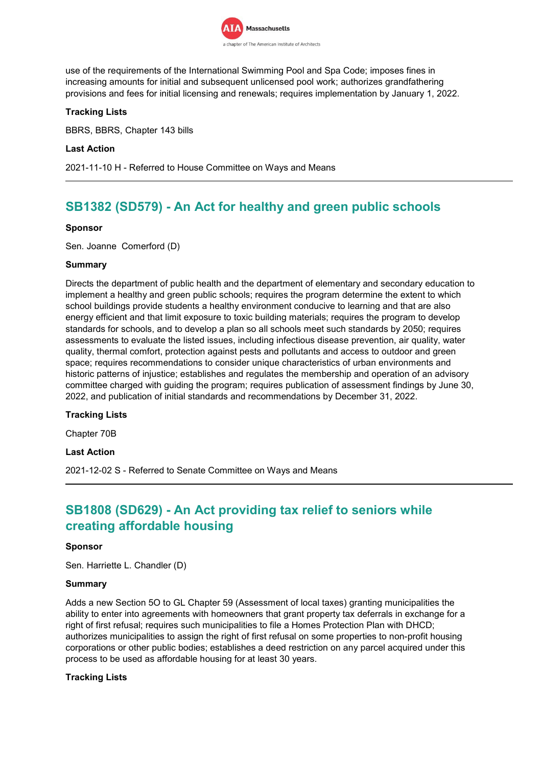

use of the requirements of the International Swimming Pool and Spa Code; imposes fines in increasing amounts for initial and subsequent unlicensed pool work; authorizes grandfathering provisions and fees for initial licensing and renewals; requires implementation by January 1, 2022.

## **Tracking Lists**

BBRS, BBRS, Chapter 143 bills

### **Last Action**

2021-11-10 H - Referred to House Committee on Ways and Means

## **SB1382 (SD579) - An Act for healthy and green public schools**

### **Sponsor**

Sen. Joanne Comerford (D)

### **Summary**

Directs the department of public health and the department of elementary and secondary education to implement a healthy and green public schools; requires the program determine the extent to which school buildings provide students a healthy environment conducive to learning and that are also energy efficient and that limit exposure to toxic building materials; requires the program to develop standards for schools, and to develop a plan so all schools meet such standards by 2050; requires assessments to evaluate the listed issues, including infectious disease prevention, air quality, water quality, thermal comfort, protection against pests and pollutants and access to outdoor and green space; requires recommendations to consider unique characteristics of urban environments and historic patterns of injustice; establishes and regulates the membership and operation of an advisory committee charged with guiding the program; requires publication of assessment findings by June 30, 2022, and publication of initial standards and recommendations by December 31, 2022.

## **Tracking Lists**

Chapter 70B

**Last Action**

2021-12-02 S - Referred to Senate Committee on Ways and Means

## **SB1808 (SD629) - An Act providing tax relief to seniors while creating affordable housing**

#### **Sponsor**

Sen. Harriette L. Chandler (D)

#### **Summary**

Adds a new Section 5O to GL Chapter 59 (Assessment of local taxes) granting municipalities the ability to enter into agreements with homeowners that grant property tax deferrals in exchange for a right of first refusal; requires such municipalities to file a Homes Protection Plan with DHCD; authorizes municipalities to assign the right of first refusal on some properties to non-profit housing corporations or other public bodies; establishes a deed restriction on any parcel acquired under this process to be used as affordable housing for at least 30 years.

## **Tracking Lists**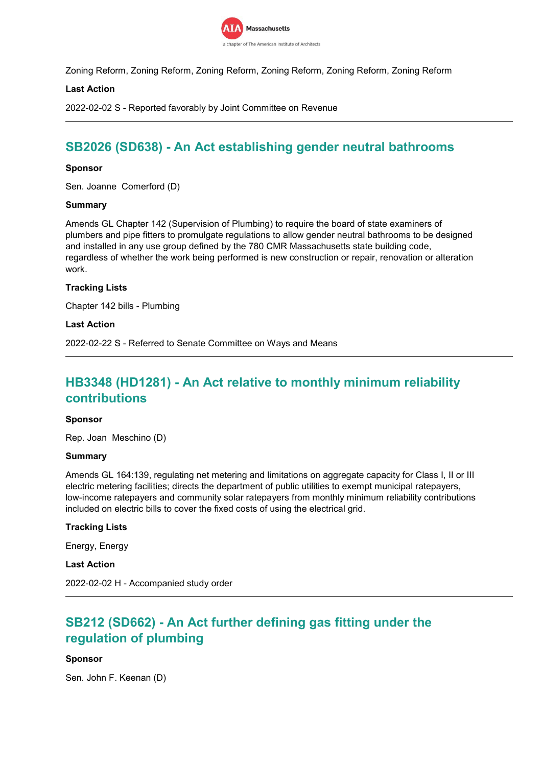

Zoning Reform, Zoning Reform, Zoning Reform, Zoning Reform, Zoning Reform, Zoning Reform

### **Last Action**

2022-02-02 S - Reported favorably by Joint Committee on Revenue

## **SB2026 (SD638) - An Act establishing gender neutral bathrooms**

#### **Sponsor**

Sen. Joanne Comerford (D)

#### **Summary**

Amends GL Chapter 142 (Supervision of Plumbing) to require the board of state examiners of plumbers and pipe fitters to promulgate regulations to allow gender neutral bathrooms to be designed and installed in any use group defined by the 780 CMR Massachusetts state building code, regardless of whether the work being performed is new construction or repair, renovation or alteration work.

### **Tracking Lists**

Chapter 142 bills - Plumbing

#### **Last Action**

2022-02-22 S - Referred to Senate Committee on Ways and Means

## **HB3348 (HD1281) - An Act relative to monthly minimum reliability contributions**

#### **Sponsor**

Rep. Joan Meschino (D)

#### **Summary**

Amends GL 164:139, regulating net metering and limitations on aggregate capacity for Class I, II or III electric metering facilities; directs the department of public utilities to exempt municipal ratepayers, low-income ratepayers and community solar ratepayers from monthly minimum reliability contributions included on electric bills to cover the fixed costs of using the electrical grid.

#### **Tracking Lists**

Energy, Energy

**Last Action**

2022-02-02 H - Accompanied study order

## **SB212 (SD662) - An Act further defining gas fitting under the regulation of plumbing**

#### **Sponsor**

Sen. John F. Keenan (D)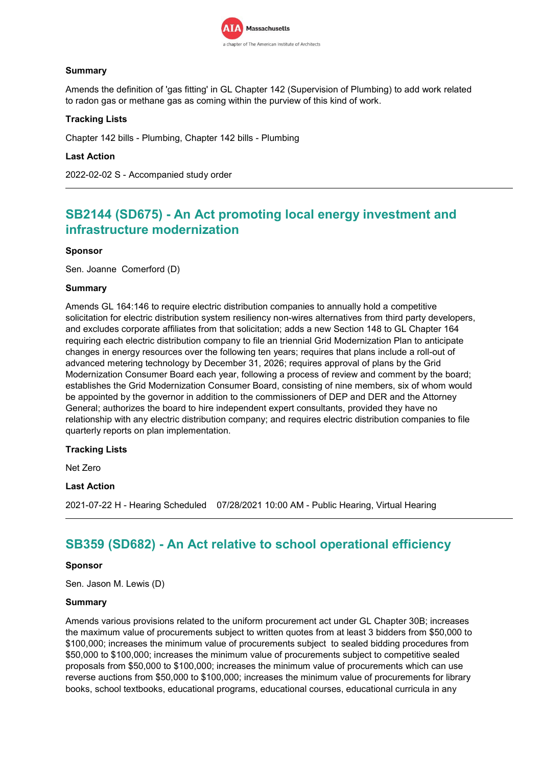

## **Summary**

Amends the definition of 'gas fitting' in GL Chapter 142 (Supervision of Plumbing) to add work related to radon gas or methane gas as coming within the purview of this kind of work.

## **Tracking Lists**

Chapter 142 bills - Plumbing, Chapter 142 bills - Plumbing

### **Last Action**

2022-02-02 S - Accompanied study order

## **SB2144 (SD675) - An Act promoting local energy investment and infrastructure modernization**

### **Sponsor**

Sen. Joanne Comerford (D)

### **Summary**

Amends GL 164:146 to require electric distribution companies to annually hold a competitive solicitation for electric distribution system resiliency non-wires alternatives from third party developers, and excludes corporate affiliates from that solicitation; adds a new Section 148 to GL Chapter 164 requiring each electric distribution company to file an triennial Grid Modernization Plan to anticipate changes in energy resources over the following ten years; requires that plans include a roll-out of advanced metering technology by December 31, 2026; requires approval of plans by the Grid Modernization Consumer Board each year, following a process of review and comment by the board; establishes the Grid Modernization Consumer Board, consisting of nine members, six of whom would be appointed by the governor in addition to the commissioners of DEP and DER and the Attorney General; authorizes the board to hire independent expert consultants, provided they have no relationship with any electric distribution company; and requires electric distribution companies to file quarterly reports on plan implementation.

#### **Tracking Lists**

Net Zero

## **Last Action**

2021-07-22 H - Hearing Scheduled 07/28/2021 10:00 AM - Public Hearing, Virtual Hearing

## **SB359 (SD682) - An Act relative to school operational efficiency**

#### **Sponsor**

Sen. Jason M. Lewis (D)

#### **Summary**

Amends various provisions related to the uniform procurement act under GL Chapter 30B; increases the maximum value of procurements subject to written quotes from at least 3 bidders from \$50,000 to \$100,000; increases the minimum value of procurements subject to sealed bidding procedures from \$50,000 to \$100,000; increases the minimum value of procurements subject to competitive sealed proposals from \$50,000 to \$100,000; increases the minimum value of procurements which can use reverse auctions from \$50,000 to \$100,000; increases the minimum value of procurements for library books, school textbooks, educational programs, educational courses, educational curricula in any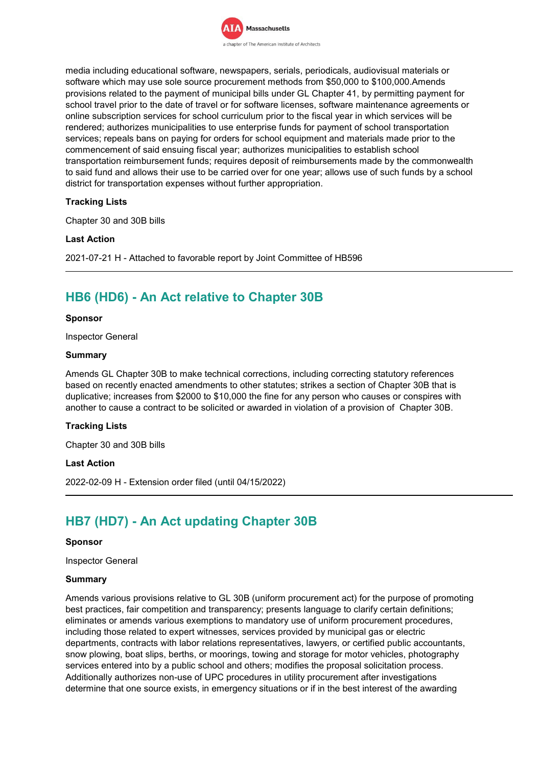

media including educational software, newspapers, serials, periodicals, audiovisual materials or software which may use sole source procurement methods from \$50,000 to \$100,000.Amends provisions related to the payment of municipal bills under GL Chapter 41, by permitting payment for school travel prior to the date of travel or for software licenses, software maintenance agreements or online subscription services for school curriculum prior to the fiscal year in which services will be rendered; authorizes municipalities to use enterprise funds for payment of school transportation services; repeals bans on paying for orders for school equipment and materials made prior to the commencement of said ensuing fiscal year; authorizes municipalities to establish school transportation reimbursement funds; requires deposit of reimbursements made by the commonwealth to said fund and allows their use to be carried over for one year; allows use of such funds by a school district for transportation expenses without further appropriation.

## **Tracking Lists**

Chapter 30 and 30B bills

### **Last Action**

2021-07-21 H - Attached to favorable report by Joint Committee of HB596

## **HB6 (HD6) - An Act relative to Chapter 30B**

#### **Sponsor**

Inspector General

#### **Summary**

Amends GL Chapter 30B to make technical corrections, including correcting statutory references based on recently enacted amendments to other statutes; strikes a section of Chapter 30B that is duplicative; increases from \$2000 to \$10,000 the fine for any person who causes or conspires with another to cause a contract to be solicited or awarded in violation of a provision of Chapter 30B.

#### **Tracking Lists**

Chapter 30 and 30B bills

### **Last Action**

2022-02-09 H - Extension order filed (until 04/15/2022)

## **HB7 (HD7) - An Act updating Chapter 30B**

#### **Sponsor**

Inspector General

#### **Summary**

Amends various provisions relative to GL 30B (uniform procurement act) for the purpose of promoting best practices, fair competition and transparency; presents language to clarify certain definitions; eliminates or amends various exemptions to mandatory use of uniform procurement procedures, including those related to expert witnesses, services provided by municipal gas or electric departments, contracts with labor relations representatives, lawyers, or certified public accountants, snow plowing, boat slips, berths, or moorings, towing and storage for motor vehicles, photography services entered into by a public school and others; modifies the proposal solicitation process. Additionally authorizes non-use of UPC procedures in utility procurement after investigations determine that one source exists, in emergency situations or if in the best interest of the awarding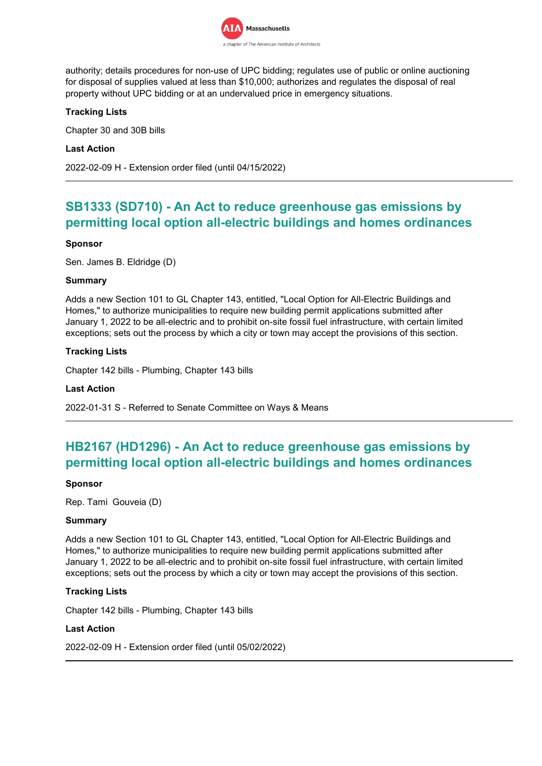

authority; details procedures for non-use of UPC bidding; regulates use of public or online auctioning for disposal of supplies valued at less than \$10,000; authorizes and regulates the disposal of real property without UPC bidding or at an undervalued price in emergency situations.

## **Tracking Lists**

Chapter 30 and 30B bills

### **Last Action**

2022-02-09 H - Extension order filed (until 04/15/2022)

## **SB1333 (SD710) - An Act to reduce greenhouse gas emissions by permitting local option all-electric buildings and homes ordinances**

### **Sponsor**

Sen. James B. Eldridge (D)

### **Summary**

Adds a new Section 101 to GL Chapter 143, entitled, "Local Option for All-Electric Buildings and Homes," to authorize municipalities to require new building permit applications submitted after January 1, 2022 to be all-electric and to prohibit on-site fossil fuel infrastructure, with certain limited exceptions; sets out the process by which a city or town may accept the provisions of this section.

## **Tracking Lists**

Chapter 142 bills - Plumbing, Chapter 143 bills

#### **Last Action**

2022-01-31 S - Referred to Senate Committee on Ways & Means

## **HB2167 (HD1296) - An Act to reduce greenhouse gas emissions by permitting local option all-electric buildings and homes ordinances**

#### **Sponsor**

Rep. Tami Gouveia (D)

#### **Summary**

Adds a new Section 101 to GL Chapter 143, entitled, "Local Option for All-Electric Buildings and Homes," to authorize municipalities to require new building permit applications submitted after January 1, 2022 to be all-electric and to prohibit on-site fossil fuel infrastructure, with certain limited exceptions; sets out the process by which a city or town may accept the provisions of this section.

## **Tracking Lists**

Chapter 142 bills - Plumbing, Chapter 143 bills

#### **Last Action**

2022-02-09 H - Extension order filed (until 05/02/2022)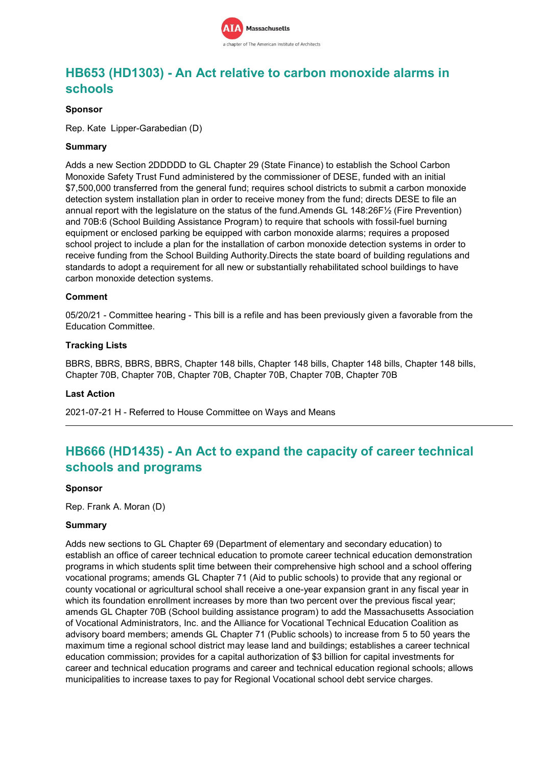

## **HB653 (HD1303) - An Act relative to carbon monoxide alarms in schools**

### **Sponsor**

Rep. Kate Lipper-Garabedian (D)

### **Summary**

Adds a new Section 2DDDDD to GL Chapter 29 (State Finance) to establish the School Carbon Monoxide Safety Trust Fund administered by the commissioner of DESE, funded with an initial \$7,500,000 transferred from the general fund; requires school districts to submit a carbon monoxide detection system installation plan in order to receive money from the fund; directs DESE to file an annual report with the legislature on the status of the fund.Amends GL 148:26F½ (Fire Prevention) and 70B:6 (School Building Assistance Program) to require that schools with fossil-fuel burning equipment or enclosed parking be equipped with carbon monoxide alarms; requires a proposed school project to include a plan for the installation of carbon monoxide detection systems in order to receive funding from the School Building Authority.Directs the state board of building regulations and standards to adopt a requirement for all new or substantially rehabilitated school buildings to have carbon monoxide detection systems.

## **Comment**

05/20/21 - Committee hearing - This bill is a refile and has been previously given a favorable from the Education Committee.

### **Tracking Lists**

BBRS, BBRS, BBRS, BBRS, Chapter 148 bills, Chapter 148 bills, Chapter 148 bills, Chapter 148 bills, Chapter 70B, Chapter 70B, Chapter 70B, Chapter 70B, Chapter 70B, Chapter 70B

#### **Last Action**

2021-07-21 H - Referred to House Committee on Ways and Means

## **HB666 (HD1435) - An Act to expand the capacity of career technical schools and programs**

#### **Sponsor**

Rep. Frank A. Moran (D)

#### **Summary**

Adds new sections to GL Chapter 69 (Department of elementary and secondary education) to establish an office of career technical education to promote career technical education demonstration programs in which students split time between their comprehensive high school and a school offering vocational programs; amends GL Chapter 71 (Aid to public schools) to provide that any regional or county vocational or agricultural school shall receive a one-year expansion grant in any fiscal year in which its foundation enrollment increases by more than two percent over the previous fiscal year; amends GL Chapter 70B (School building assistance program) to add the Massachusetts Association of Vocational Administrators, Inc. and the Alliance for Vocational Technical Education Coalition as advisory board members; amends GL Chapter 71 (Public schools) to increase from 5 to 50 years the maximum time a regional school district may lease land and buildings; establishes a career technical education commission; provides for a capital authorization of \$3 billion for capital investments for career and technical education programs and career and technical education regional schools; allows municipalities to increase taxes to pay for Regional Vocational school debt service charges.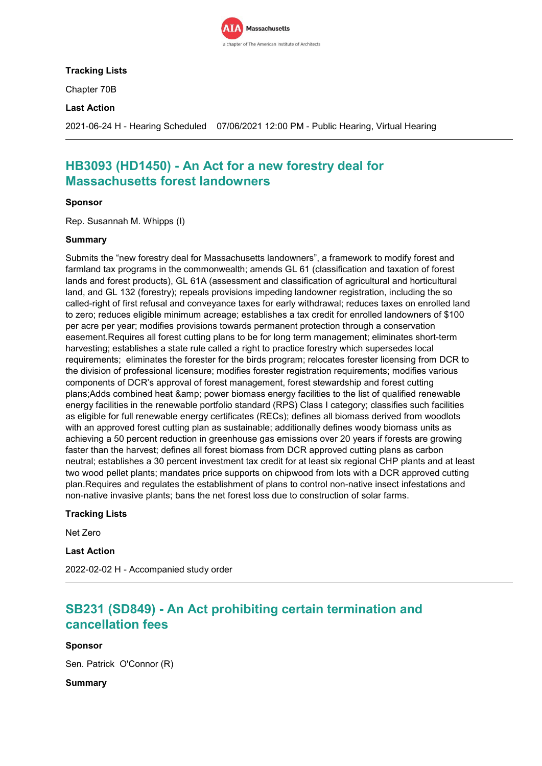

## **Tracking Lists**

Chapter 70B

### **Last Action**

2021-06-24 H - Hearing Scheduled 07/06/2021 12:00 PM - Public Hearing, Virtual Hearing

## **HB3093 (HD1450) - An Act for a new forestry deal for Massachusetts forest landowners**

### **Sponsor**

Rep. Susannah M. Whipps (I)

### **Summary**

Submits the "new forestry deal for Massachusetts landowners", a framework to modify forest and farmland tax programs in the commonwealth; amends GL 61 (classification and taxation of forest lands and forest products), GL 61A (assessment and classification of agricultural and horticultural land, and GL 132 (forestry); repeals provisions impeding landowner registration, including the so called-right of first refusal and conveyance taxes for early withdrawal; reduces taxes on enrolled land to zero; reduces eligible minimum acreage; establishes a tax credit for enrolled landowners of \$100 per acre per year; modifies provisions towards permanent protection through a conservation easement.Requires all forest cutting plans to be for long term management; eliminates short-term harvesting; establishes a state rule called a right to practice forestry which supersedes local requirements; eliminates the forester for the birds program; relocates forester licensing from DCR to the division of professional licensure; modifies forester registration requirements; modifies various components of DCR's approval of forest management, forest stewardship and forest cutting plans;Adds combined heat & amp; power biomass energy facilities to the list of qualified renewable energy facilities in the renewable portfolio standard (RPS) Class I category; classifies such facilities as eligible for full renewable energy certificates (RECs); defines all biomass derived from woodlots with an approved forest cutting plan as sustainable; additionally defines woody biomass units as achieving a 50 percent reduction in greenhouse gas emissions over 20 years if forests are growing faster than the harvest; defines all forest biomass from DCR approved cutting plans as carbon neutral; establishes a 30 percent investment tax credit for at least six regional CHP plants and at least two wood pellet plants; mandates price supports on chipwood from lots with a DCR approved cutting plan.Requires and regulates the establishment of plans to control non-native insect infestations and non-native invasive plants; bans the net forest loss due to construction of solar farms.

#### **Tracking Lists**

Net Zero

**Last Action**

2022-02-02 H - Accompanied study order

## **SB231 (SD849) - An Act prohibiting certain termination and cancellation fees**

## **Sponsor**

Sen. Patrick O'Connor (R)

**Summary**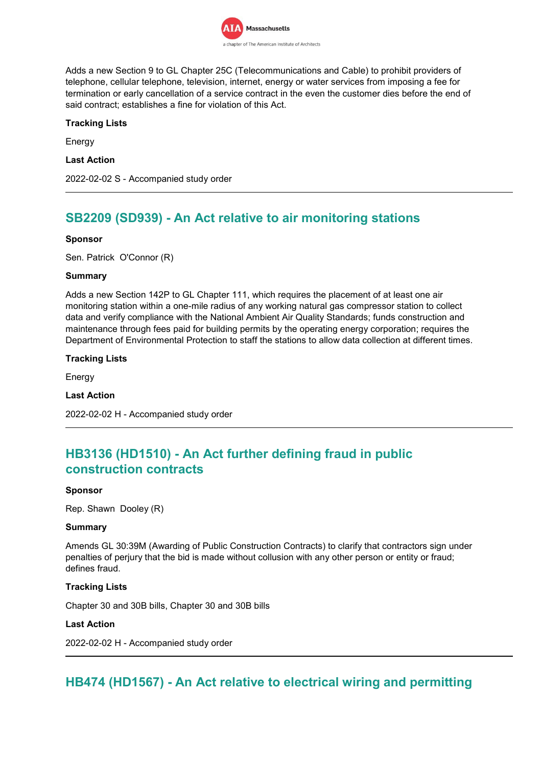

Adds a new Section 9 to GL Chapter 25C (Telecommunications and Cable) to prohibit providers of telephone, cellular telephone, television, internet, energy or water services from imposing a fee for termination or early cancellation of a service contract in the even the customer dies before the end of said contract; establishes a fine for violation of this Act.

## **Tracking Lists**

Energy

**Last Action**

2022-02-02 S - Accompanied study order

## **SB2209 (SD939) - An Act relative to air monitoring stations**

## **Sponsor**

Sen. Patrick O'Connor (R)

### **Summary**

Adds a new Section 142P to GL Chapter 111, which requires the placement of at least one air monitoring station within a one-mile radius of any working natural gas compressor station to collect data and verify compliance with the National Ambient Air Quality Standards; funds construction and maintenance through fees paid for building permits by the operating energy corporation; requires the Department of Environmental Protection to staff the stations to allow data collection at different times.

### **Tracking Lists**

Energy

## **Last Action**

2022-02-02 H - Accompanied study order

## **HB3136 (HD1510) - An Act further defining fraud in public construction contracts**

#### **Sponsor**

Rep. Shawn Dooley (R)

#### **Summary**

Amends GL 30:39M (Awarding of Public Construction Contracts) to clarify that contractors sign under penalties of perjury that the bid is made without collusion with any other person or entity or fraud; defines fraud.

## **Tracking Lists**

Chapter 30 and 30B bills, Chapter 30 and 30B bills

#### **Last Action**

2022-02-02 H - Accompanied study order

## **HB474 (HD1567) - An Act relative to electrical wiring and permitting**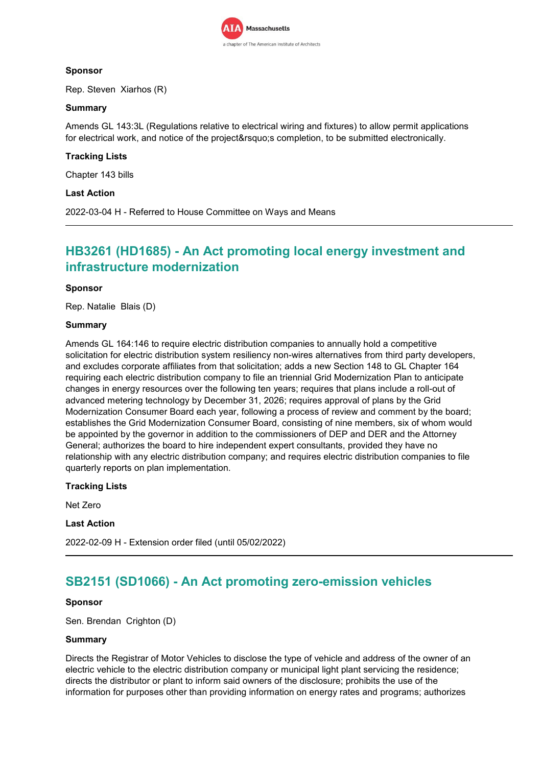

## **Sponsor**

Rep. Steven Xiarhos (R)

## **Summary**

Amends GL 143:3L (Regulations relative to electrical wiring and fixtures) to allow permit applications for electrical work, and notice of the project' scompletion, to be submitted electronically.

## **Tracking Lists**

Chapter 143 bills

## **Last Action**

2022-03-04 H - Referred to House Committee on Ways and Means

## **HB3261 (HD1685) - An Act promoting local energy investment and infrastructure modernization**

### **Sponsor**

Rep. Natalie Blais (D)

### **Summary**

Amends GL 164:146 to require electric distribution companies to annually hold a competitive solicitation for electric distribution system resiliency non-wires alternatives from third party developers, and excludes corporate affiliates from that solicitation; adds a new Section 148 to GL Chapter 164 requiring each electric distribution company to file an triennial Grid Modernization Plan to anticipate changes in energy resources over the following ten years; requires that plans include a roll-out of advanced metering technology by December 31, 2026; requires approval of plans by the Grid Modernization Consumer Board each year, following a process of review and comment by the board; establishes the Grid Modernization Consumer Board, consisting of nine members, six of whom would be appointed by the governor in addition to the commissioners of DEP and DER and the Attorney General; authorizes the board to hire independent expert consultants, provided they have no relationship with any electric distribution company; and requires electric distribution companies to file quarterly reports on plan implementation.

## **Tracking Lists**

Net Zero

#### **Last Action**

2022-02-09 H - Extension order filed (until 05/02/2022)

## **SB2151 (SD1066) - An Act promoting zero-emission vehicles**

#### **Sponsor**

Sen. Brendan Crighton (D)

#### **Summary**

Directs the Registrar of Motor Vehicles to disclose the type of vehicle and address of the owner of an electric vehicle to the electric distribution company or municipal light plant servicing the residence; directs the distributor or plant to inform said owners of the disclosure; prohibits the use of the information for purposes other than providing information on energy rates and programs; authorizes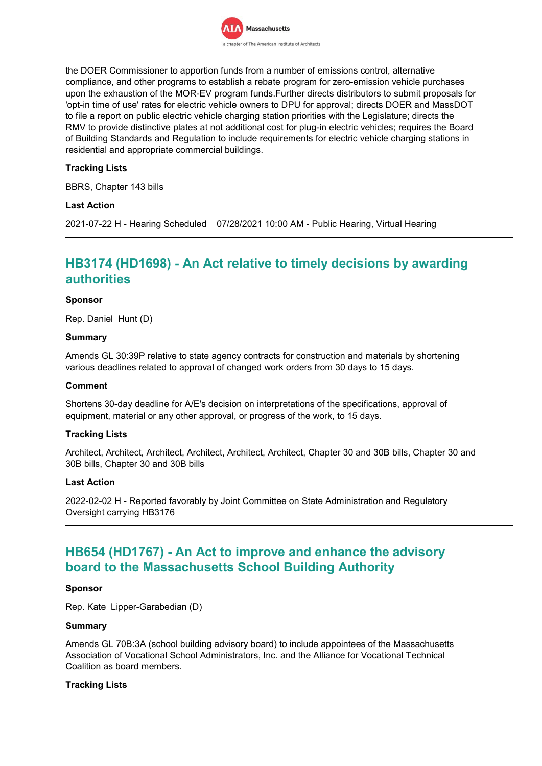

the DOER Commissioner to apportion funds from a number of emissions control, alternative compliance, and other programs to establish a rebate program for zero-emission vehicle purchases upon the exhaustion of the MOR-EV program funds.Further directs distributors to submit proposals for 'opt-in time of use' rates for electric vehicle owners to DPU for approval; directs DOER and MassDOT to file a report on public electric vehicle charging station priorities with the Legislature; directs the RMV to provide distinctive plates at not additional cost for plug-in electric vehicles; requires the Board of Building Standards and Regulation to include requirements for electric vehicle charging stations in residential and appropriate commercial buildings.

## **Tracking Lists**

BBRS, Chapter 143 bills

### **Last Action**

2021-07-22 H - Hearing Scheduled 07/28/2021 10:00 AM - Public Hearing, Virtual Hearing

## **HB3174 (HD1698) - An Act relative to timely decisions by awarding authorities**

#### **Sponsor**

Rep. Daniel Hunt (D)

#### **Summary**

Amends GL 30:39P relative to state agency contracts for construction and materials by shortening various deadlines related to approval of changed work orders from 30 days to 15 days.

#### **Comment**

Shortens 30-day deadline for A/E's decision on interpretations of the specifications, approval of equipment, material or any other approval, or progress of the work, to 15 days.

#### **Tracking Lists**

Architect, Architect, Architect, Architect, Architect, Architect, Chapter 30 and 30B bills, Chapter 30 and 30B bills, Chapter 30 and 30B bills

#### **Last Action**

2022-02-02 H - Reported favorably by Joint Committee on State Administration and Regulatory Oversight carrying HB3176

## **HB654 (HD1767) - An Act to improve and enhance the advisory board to the Massachusetts School Building Authority**

#### **Sponsor**

Rep. Kate Lipper-Garabedian (D)

#### **Summary**

Amends GL 70B:3A (school building advisory board) to include appointees of the Massachusetts Association of Vocational School Administrators, Inc. and the Alliance for Vocational Technical Coalition as board members.

#### **Tracking Lists**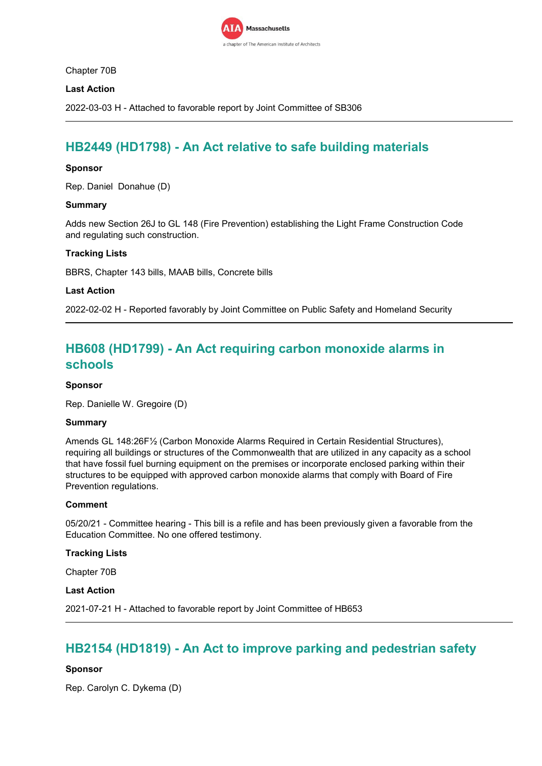

Chapter 70B

## **Last Action**

2022-03-03 H - Attached to favorable report by Joint Committee of SB306

## **HB2449 (HD1798) - An Act relative to safe building materials**

### **Sponsor**

Rep. Daniel Donahue (D)

### **Summary**

Adds new Section 26J to GL 148 (Fire Prevention) establishing the Light Frame Construction Code and regulating such construction.

### **Tracking Lists**

BBRS, Chapter 143 bills, MAAB bills, Concrete bills

#### **Last Action**

2022-02-02 H - Reported favorably by Joint Committee on Public Safety and Homeland Security

## **HB608 (HD1799) - An Act requiring carbon monoxide alarms in schools**

#### **Sponsor**

Rep. Danielle W. Gregoire (D)

#### **Summary**

Amends GL 148:26F½ (Carbon Monoxide Alarms Required in Certain Residential Structures), requiring all buildings or structures of the Commonwealth that are utilized in any capacity as a school that have fossil fuel burning equipment on the premises or incorporate enclosed parking within their structures to be equipped with approved carbon monoxide alarms that comply with Board of Fire Prevention regulations.

#### **Comment**

05/20/21 - Committee hearing - This bill is a refile and has been previously given a favorable from the Education Committee. No one offered testimony.

#### **Tracking Lists**

Chapter 70B

#### **Last Action**

2021-07-21 H - Attached to favorable report by Joint Committee of HB653

## **HB2154 (HD1819) - An Act to improve parking and pedestrian safety**

## **Sponsor**

Rep. Carolyn C. Dykema (D)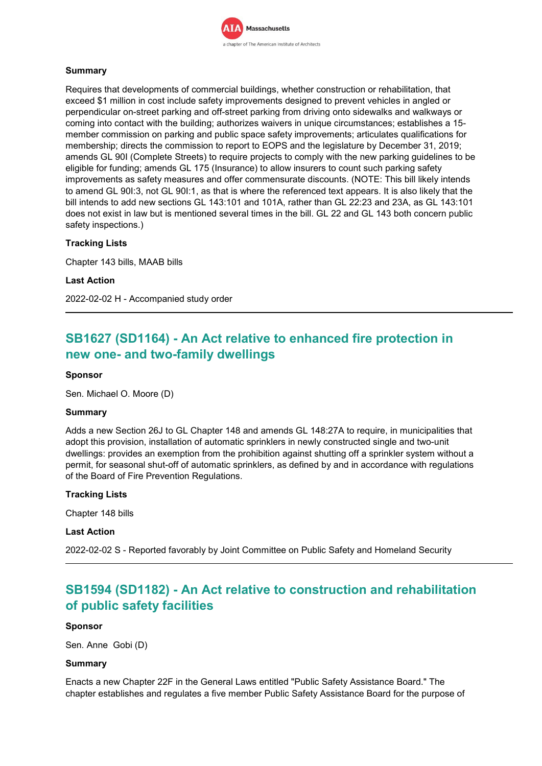

## **Summary**

Requires that developments of commercial buildings, whether construction or rehabilitation, that exceed \$1 million in cost include safety improvements designed to prevent vehicles in angled or perpendicular on-street parking and off-street parking from driving onto sidewalks and walkways or coming into contact with the building; authorizes waivers in unique circumstances; establishes a 15 member commission on parking and public space safety improvements; articulates qualifications for membership; directs the commission to report to EOPS and the legislature by December 31, 2019; amends GL 90I (Complete Streets) to require projects to comply with the new parking guidelines to be eligible for funding; amends GL 175 (Insurance) to allow insurers to count such parking safety improvements as safety measures and offer commensurate discounts. (NOTE: This bill likely intends to amend GL 90I:3, not GL 90I:1, as that is where the referenced text appears. It is also likely that the bill intends to add new sections GL 143:101 and 101A, rather than GL 22:23 and 23A, as GL 143:101 does not exist in law but is mentioned several times in the bill. GL 22 and GL 143 both concern public safety inspections.)

## **Tracking Lists**

Chapter 143 bills, MAAB bills

#### **Last Action**

2022-02-02 H - Accompanied study order

# **SB1627 (SD1164) - An Act relative to enhanced fire protection in new one- and two-family dwellings**

### **Sponsor**

Sen. Michael O. Moore (D)

#### **Summary**

Adds a new Section 26J to GL Chapter 148 and amends GL 148:27A to require, in municipalities that adopt this provision, installation of automatic sprinklers in newly constructed single and two-unit dwellings: provides an exemption from the prohibition against shutting off a sprinkler system without a permit, for seasonal shut-off of automatic sprinklers, as defined by and in accordance with regulations of the Board of Fire Prevention Regulations.

#### **Tracking Lists**

Chapter 148 bills

### **Last Action**

2022-02-02 S - Reported favorably by Joint Committee on Public Safety and Homeland Security

# **SB1594 (SD1182) - An Act relative to construction and rehabilitation of public safety facilities**

#### **Sponsor**

Sen. Anne Gobi (D)

#### **Summary**

Enacts a new Chapter 22F in the General Laws entitled "Public Safety Assistance Board." The chapter establishes and regulates a five member Public Safety Assistance Board for the purpose of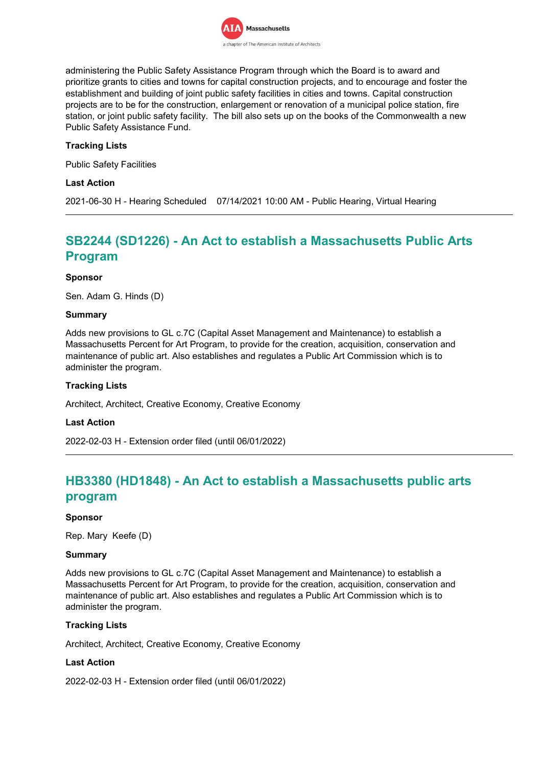

administering the Public Safety Assistance Program through which the Board is to award and prioritize grants to cities and towns for capital construction projects, and to encourage and foster the establishment and building of joint public safety facilities in cities and towns. Capital construction projects are to be for the construction, enlargement or renovation of a municipal police station, fire station, or joint public safety facility. The bill also sets up on the books of the Commonwealth a new Public Safety Assistance Fund.

## **Tracking Lists**

Public Safety Facilities

### **Last Action**

2021-06-30 H - Hearing Scheduled 07/14/2021 10:00 AM - Public Hearing, Virtual Hearing

# **SB2244 (SD1226) - An Act to establish a Massachusetts Public Arts Program**

#### **Sponsor**

Sen. Adam G. Hinds (D)

#### **Summary**

Adds new provisions to GL c.7C (Capital Asset Management and Maintenance) to establish a Massachusetts Percent for Art Program, to provide for the creation, acquisition, conservation and maintenance of public art. Also establishes and regulates a Public Art Commission which is to administer the program.

### **Tracking Lists**

Architect, Architect, Creative Economy, Creative Economy

#### **Last Action**

2022-02-03 H - Extension order filed (until 06/01/2022)

# **HB3380 (HD1848) - An Act to establish a Massachusetts public arts program**

#### **Sponsor**

Rep. Mary Keefe (D)

#### **Summary**

Adds new provisions to GL c.7C (Capital Asset Management and Maintenance) to establish a Massachusetts Percent for Art Program, to provide for the creation, acquisition, conservation and maintenance of public art. Also establishes and regulates a Public Art Commission which is to administer the program.

#### **Tracking Lists**

Architect, Architect, Creative Economy, Creative Economy

#### **Last Action**

2022-02-03 H - Extension order filed (until 06/01/2022)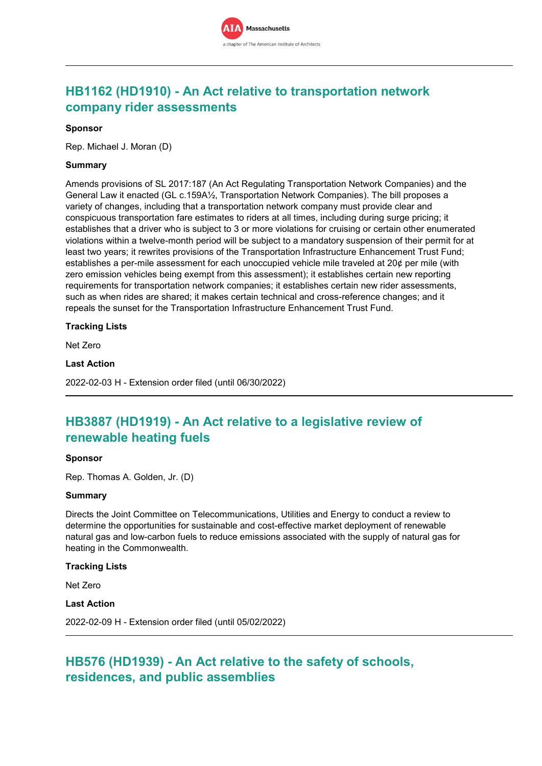

# **HB1162 (HD1910) - An Act relative to transportation network company rider assessments**

### **Sponsor**

Rep. Michael J. Moran (D)

### **Summary**

Amends provisions of SL 2017:187 (An Act Regulating Transportation Network Companies) and the General Law it enacted (GL c.159A½, Transportation Network Companies). The bill proposes a variety of changes, including that a transportation network company must provide clear and conspicuous transportation fare estimates to riders at all times, including during surge pricing; it establishes that a driver who is subject to 3 or more violations for cruising or certain other enumerated violations within a twelve-month period will be subject to a mandatory suspension of their permit for at least two years; it rewrites provisions of the Transportation Infrastructure Enhancement Trust Fund; establishes a per-mile assessment for each unoccupied vehicle mile traveled at 20¢ per mile (with zero emission vehicles being exempt from this assessment); it establishes certain new reporting requirements for transportation network companies; it establishes certain new rider assessments, such as when rides are shared; it makes certain technical and cross-reference changes; and it repeals the sunset for the Transportation Infrastructure Enhancement Trust Fund.

#### **Tracking Lists**

Net Zero

## **Last Action**

2022-02-03 H - Extension order filed (until 06/30/2022)

# **HB3887 (HD1919) - An Act relative to a legislative review of renewable heating fuels**

#### **Sponsor**

Rep. Thomas A. Golden, Jr. (D)

#### **Summary**

Directs the Joint Committee on Telecommunications, Utilities and Energy to conduct a review to determine the opportunities for sustainable and cost-effective market deployment of renewable natural gas and low-carbon fuels to reduce emissions associated with the supply of natural gas for heating in the Commonwealth.

#### **Tracking Lists**

Net Zero

## **Last Action**

2022-02-09 H - Extension order filed (until 05/02/2022)

# **HB576 (HD1939) - An Act relative to the safety of schools, residences, and public assemblies**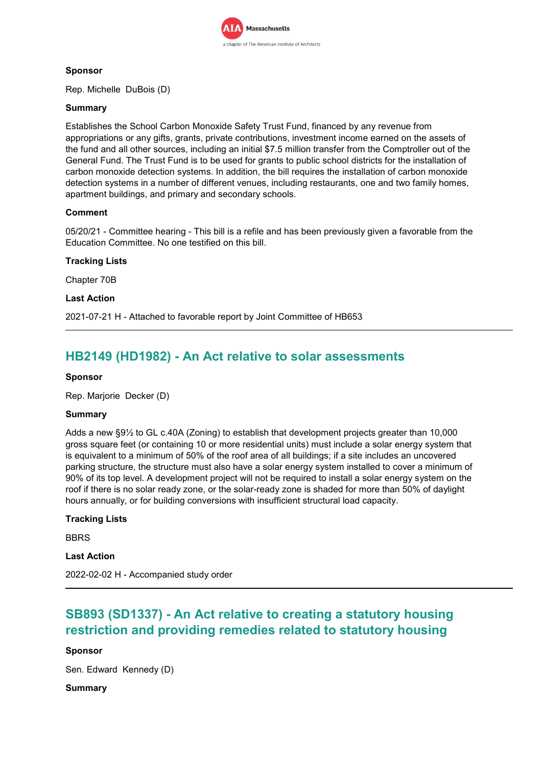

## **Sponsor**

Rep. Michelle DuBois (D)

## **Summary**

Establishes the School Carbon Monoxide Safety Trust Fund, financed by any revenue from appropriations or any gifts, grants, private contributions, investment income earned on the assets of the fund and all other sources, including an initial \$7.5 million transfer from the Comptroller out of the General Fund. The Trust Fund is to be used for grants to public school districts for the installation of carbon monoxide detection systems. In addition, the bill requires the installation of carbon monoxide detection systems in a number of different venues, including restaurants, one and two family homes, apartment buildings, and primary and secondary schools.

## **Comment**

05/20/21 - Committee hearing - This bill is a refile and has been previously given a favorable from the Education Committee. No one testified on this bill.

## **Tracking Lists**

Chapter 70B

## **Last Action**

2021-07-21 H - Attached to favorable report by Joint Committee of HB653

# **HB2149 (HD1982) - An Act relative to solar assessments**

## **Sponsor**

Rep. Marjorie Decker (D)

## **Summary**

Adds a new §9½ to GL c.40A (Zoning) to establish that development projects greater than 10,000 gross square feet (or containing 10 or more residential units) must include a solar energy system that is equivalent to a minimum of 50% of the roof area of all buildings; if a site includes an uncovered parking structure, the structure must also have a solar energy system installed to cover a minimum of 90% of its top level. A development project will not be required to install a solar energy system on the roof if there is no solar ready zone, or the solar-ready zone is shaded for more than 50% of daylight hours annually, or for building conversions with insufficient structural load capacity.

## **Tracking Lists**

**BBRS** 

**Last Action**

2022-02-02 H - Accompanied study order

# **SB893 (SD1337) - An Act relative to creating a statutory housing restriction and providing remedies related to statutory housing**

## **Sponsor**

Sen. Edward Kennedy (D)

## **Summary**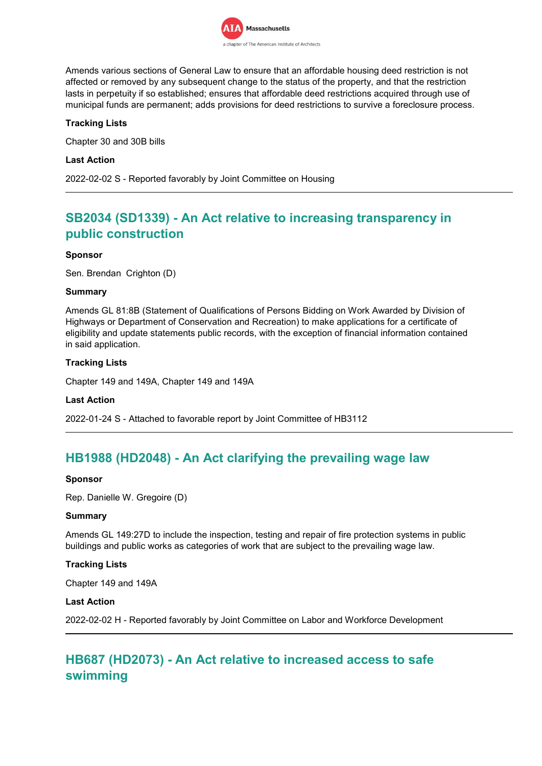

Amends various sections of General Law to ensure that an affordable housing deed restriction is not affected or removed by any subsequent change to the status of the property, and that the restriction lasts in perpetuity if so established; ensures that affordable deed restrictions acquired through use of municipal funds are permanent; adds provisions for deed restrictions to survive a foreclosure process.

## **Tracking Lists**

Chapter 30 and 30B bills

### **Last Action**

2022-02-02 S - Reported favorably by Joint Committee on Housing

# **SB2034 (SD1339) - An Act relative to increasing transparency in public construction**

### **Sponsor**

Sen. Brendan Crighton (D)

### **Summary**

Amends GL 81:8B (Statement of Qualifications of Persons Bidding on Work Awarded by Division of Highways or Department of Conservation and Recreation) to make applications for a certificate of eligibility and update statements public records, with the exception of financial information contained in said application.

### **Tracking Lists**

Chapter 149 and 149A, Chapter 149 and 149A

#### **Last Action**

2022-01-24 S - Attached to favorable report by Joint Committee of HB3112

# **HB1988 (HD2048) - An Act clarifying the prevailing wage law**

#### **Sponsor**

Rep. Danielle W. Gregoire (D)

#### **Summary**

Amends GL 149:27D to include the inspection, testing and repair of fire protection systems in public buildings and public works as categories of work that are subject to the prevailing wage law.

## **Tracking Lists**

Chapter 149 and 149A

#### **Last Action**

2022-02-02 H - Reported favorably by Joint Committee on Labor and Workforce Development

# **HB687 (HD2073) - An Act relative to increased access to safe swimming**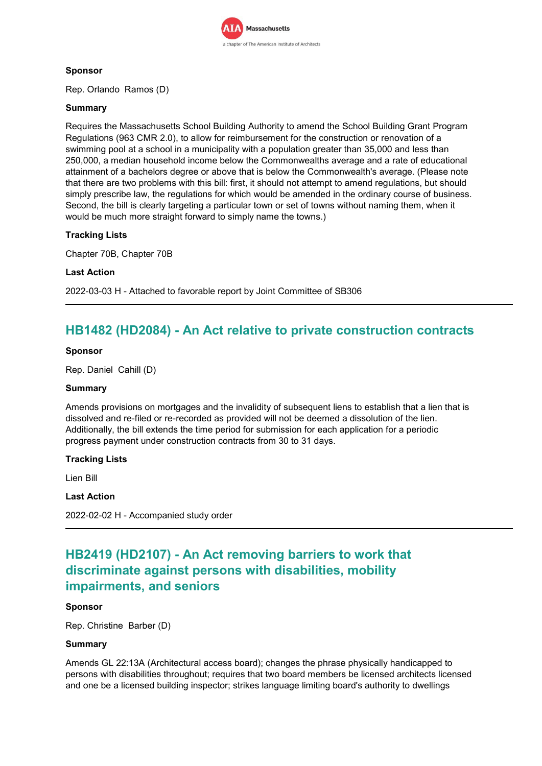

## **Sponsor**

Rep. Orlando Ramos (D)

## **Summary**

Requires the Massachusetts School Building Authority to amend the School Building Grant Program Regulations (963 CMR 2.0), to allow for reimbursement for the construction or renovation of a swimming pool at a school in a municipality with a population greater than 35,000 and less than 250,000, a median household income below the Commonwealths average and a rate of educational attainment of a bachelors degree or above that is below the Commonwealth's average. (Please note that there are two problems with this bill: first, it should not attempt to amend regulations, but should simply prescribe law, the regulations for which would be amended in the ordinary course of business. Second, the bill is clearly targeting a particular town or set of towns without naming them, when it would be much more straight forward to simply name the towns.)

## **Tracking Lists**

Chapter 70B, Chapter 70B

### **Last Action**

2022-03-03 H - Attached to favorable report by Joint Committee of SB306

# **HB1482 (HD2084) - An Act relative to private construction contracts**

### **Sponsor**

Rep. Daniel Cahill (D)

### **Summary**

Amends provisions on mortgages and the invalidity of subsequent liens to establish that a lien that is dissolved and re-filed or re-recorded as provided will not be deemed a dissolution of the lien. Additionally, the bill extends the time period for submission for each application for a periodic progress payment under construction contracts from 30 to 31 days.

## **Tracking Lists**

Lien Bill

### **Last Action**

2022-02-02 H - Accompanied study order

# **HB2419 (HD2107) - An Act removing barriers to work that discriminate against persons with disabilities, mobility impairments, and seniors**

## **Sponsor**

Rep. Christine Barber (D)

## **Summary**

Amends GL 22:13A (Architectural access board); changes the phrase physically handicapped to persons with disabilities throughout; requires that two board members be licensed architects licensed and one be a licensed building inspector; strikes language limiting board's authority to dwellings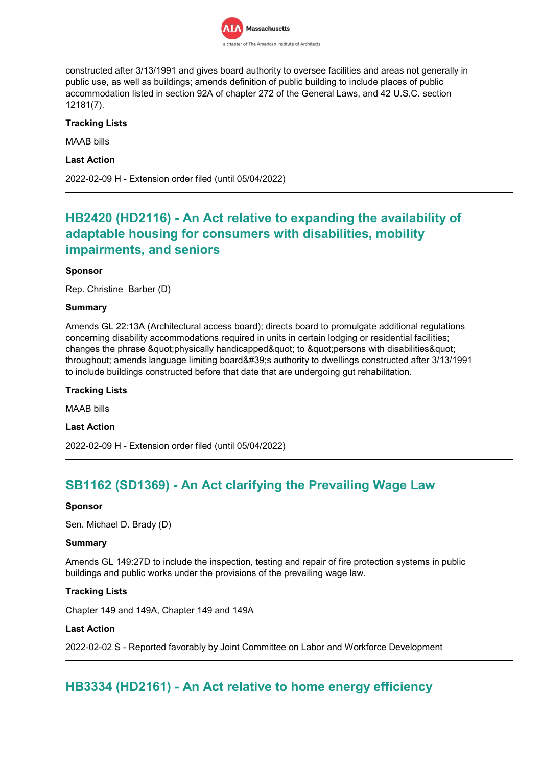

constructed after 3/13/1991 and gives board authority to oversee facilities and areas not generally in public use, as well as buildings; amends definition of public building to include places of public accommodation listed in section 92A of chapter 272 of the General Laws, and 42 U.S.C. section 12181(7).

## **Tracking Lists**

MAAB bills

**Last Action**

2022-02-09 H - Extension order filed (until 05/04/2022)

# **HB2420 (HD2116) - An Act relative to expanding the availability of adaptable housing for consumers with disabilities, mobility impairments, and seniors**

## **Sponsor**

Rep. Christine Barber (D)

### **Summary**

Amends GL 22:13A (Architectural access board); directs board to promulgate additional regulations concerning disability accommodations required in units in certain lodging or residential facilities; changes the phrase "physically handicapped" to "persons with disabilities" throughout; amends language limiting board's authority to dwellings constructed after 3/13/1991 to include buildings constructed before that date that are undergoing gut rehabilitation.

## **Tracking Lists**

MAAB bills

**Last Action**

2022-02-09 H - Extension order filed (until 05/04/2022)

# **SB1162 (SD1369) - An Act clarifying the Prevailing Wage Law**

#### **Sponsor**

Sen. Michael D. Brady (D)

#### **Summary**

Amends GL 149:27D to include the inspection, testing and repair of fire protection systems in public buildings and public works under the provisions of the prevailing wage law.

## **Tracking Lists**

Chapter 149 and 149A, Chapter 149 and 149A

#### **Last Action**

2022-02-02 S - Reported favorably by Joint Committee on Labor and Workforce Development

# **HB3334 (HD2161) - An Act relative to home energy efficiency**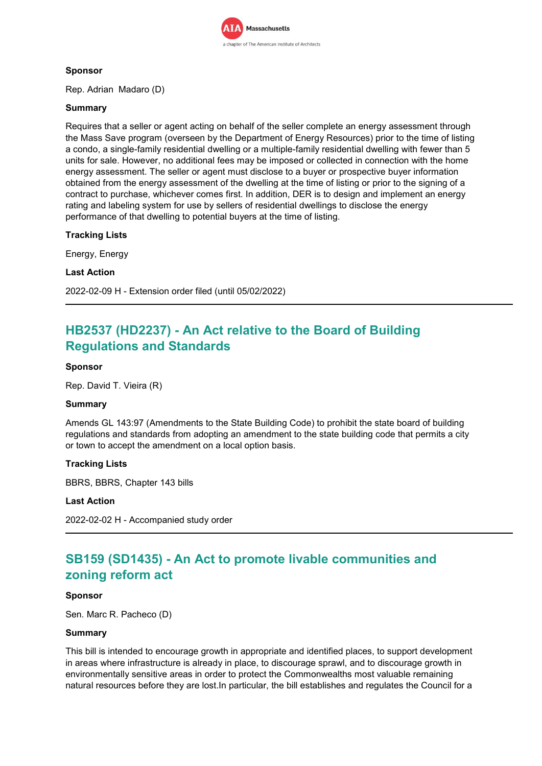

## **Sponsor**

Rep. Adrian Madaro (D)

## **Summary**

Requires that a seller or agent acting on behalf of the seller complete an energy assessment through the Mass Save program (overseen by the Department of Energy Resources) prior to the time of listing a condo, a single-family residential dwelling or a multiple-family residential dwelling with fewer than 5 units for sale. However, no additional fees may be imposed or collected in connection with the home energy assessment. The seller or agent must disclose to a buyer or prospective buyer information obtained from the energy assessment of the dwelling at the time of listing or prior to the signing of a contract to purchase, whichever comes first. In addition, DER is to design and implement an energy rating and labeling system for use by sellers of residential dwellings to disclose the energy performance of that dwelling to potential buyers at the time of listing.

## **Tracking Lists**

Energy, Energy

### **Last Action**

2022-02-09 H - Extension order filed (until 05/02/2022)

# **HB2537 (HD2237) - An Act relative to the Board of Building Regulations and Standards**

## **Sponsor**

Rep. David T. Vieira (R)

#### **Summary**

Amends GL 143:97 (Amendments to the State Building Code) to prohibit the state board of building regulations and standards from adopting an amendment to the state building code that permits a city or town to accept the amendment on a local option basis.

## **Tracking Lists**

BBRS, BBRS, Chapter 143 bills

#### **Last Action**

2022-02-02 H - Accompanied study order

# **SB159 (SD1435) - An Act to promote livable communities and zoning reform act**

#### **Sponsor**

Sen. Marc R. Pacheco (D)

#### **Summary**

This bill is intended to encourage growth in appropriate and identified places, to support development in areas where infrastructure is already in place, to discourage sprawl, and to discourage growth in environmentally sensitive areas in order to protect the Commonwealths most valuable remaining natural resources before they are lost.In particular, the bill establishes and regulates the Council for a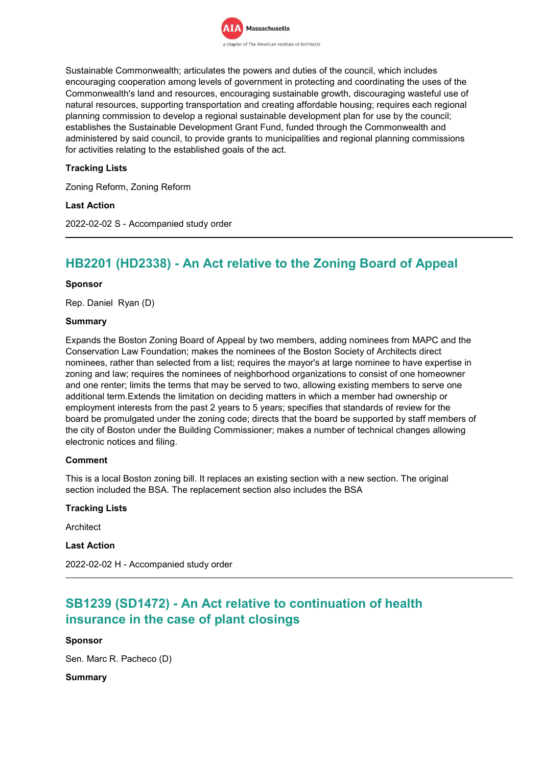

Sustainable Commonwealth; articulates the powers and duties of the council, which includes encouraging cooperation among levels of government in protecting and coordinating the uses of the Commonwealth's land and resources, encouraging sustainable growth, discouraging wasteful use of natural resources, supporting transportation and creating affordable housing; requires each regional planning commission to develop a regional sustainable development plan for use by the council; establishes the Sustainable Development Grant Fund, funded through the Commonwealth and administered by said council, to provide grants to municipalities and regional planning commissions for activities relating to the established goals of the act.

## **Tracking Lists**

Zoning Reform, Zoning Reform

### **Last Action**

2022-02-02 S - Accompanied study order

# **HB2201 (HD2338) - An Act relative to the Zoning Board of Appeal**

#### **Sponsor**

Rep. Daniel Ryan (D)

#### **Summary**

Expands the Boston Zoning Board of Appeal by two members, adding nominees from MAPC and the Conservation Law Foundation; makes the nominees of the Boston Society of Architects direct nominees, rather than selected from a list; requires the mayor's at large nominee to have expertise in zoning and law; requires the nominees of neighborhood organizations to consist of one homeowner and one renter; limits the terms that may be served to two, allowing existing members to serve one additional term.Extends the limitation on deciding matters in which a member had ownership or employment interests from the past 2 years to 5 years; specifies that standards of review for the board be promulgated under the zoning code; directs that the board be supported by staff members of the city of Boston under the Building Commissioner; makes a number of technical changes allowing electronic notices and filing.

#### **Comment**

This is a local Boston zoning bill. It replaces an existing section with a new section. The original section included the BSA. The replacement section also includes the BSA

## **Tracking Lists**

Architect

**Last Action**

2022-02-02 H - Accompanied study order

# **SB1239 (SD1472) - An Act relative to continuation of health insurance in the case of plant closings**

#### **Sponsor**

Sen. Marc R. Pacheco (D)

#### **Summary**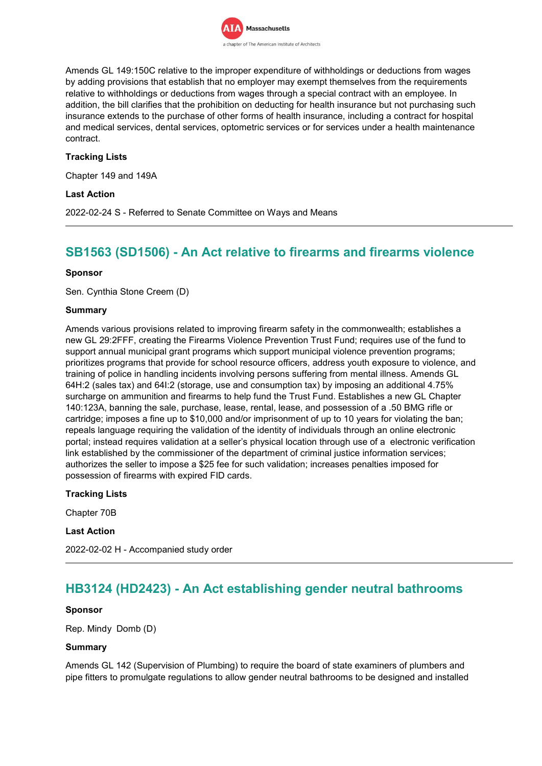

Amends GL 149:150C relative to the improper expenditure of withholdings or deductions from wages by adding provisions that establish that no employer may exempt themselves from the requirements relative to withholdings or deductions from wages through a special contract with an employee. In addition, the bill clarifies that the prohibition on deducting for health insurance but not purchasing such insurance extends to the purchase of other forms of health insurance, including a contract for hospital and medical services, dental services, optometric services or for services under a health maintenance contract.

## **Tracking Lists**

Chapter 149 and 149A

### **Last Action**

2022-02-24 S - Referred to Senate Committee on Ways and Means

## **SB1563 (SD1506) - An Act relative to firearms and firearms violence**

#### **Sponsor**

Sen. Cynthia Stone Creem (D)

#### **Summary**

Amends various provisions related to improving firearm safety in the commonwealth; establishes a new GL 29:2FFF, creating the Firearms Violence Prevention Trust Fund; requires use of the fund to support annual municipal grant programs which support municipal violence prevention programs; prioritizes programs that provide for school resource officers, address youth exposure to violence, and training of police in handling incidents involving persons suffering from mental illness. Amends GL 64H:2 (sales tax) and 64I:2 (storage, use and consumption tax) by imposing an additional 4.75% surcharge on ammunition and firearms to help fund the Trust Fund. Establishes a new GL Chapter 140:123A, banning the sale, purchase, lease, rental, lease, and possession of a .50 BMG rifle or cartridge; imposes a fine up to \$10,000 and/or imprisonment of up to 10 years for violating the ban; repeals language requiring the validation of the identity of individuals through an online electronic portal; instead requires validation at a seller's physical location through use of a electronic verification link established by the commissioner of the department of criminal justice information services; authorizes the seller to impose a \$25 fee for such validation; increases penalties imposed for possession of firearms with expired FID cards.

#### **Tracking Lists**

Chapter 70B

#### **Last Action**

2022-02-02 H - Accompanied study order

## **HB3124 (HD2423) - An Act establishing gender neutral bathrooms**

#### **Sponsor**

Rep. Mindy Domb (D)

#### **Summary**

Amends GL 142 (Supervision of Plumbing) to require the board of state examiners of plumbers and pipe fitters to promulgate regulations to allow gender neutral bathrooms to be designed and installed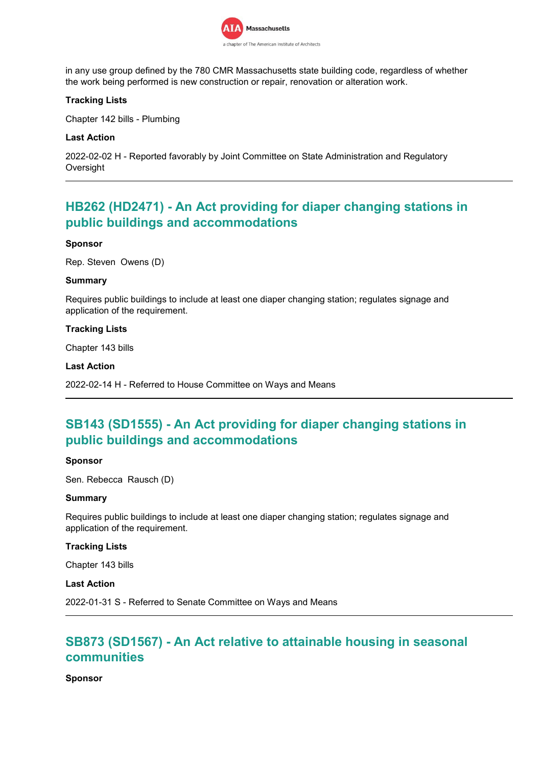

in any use group defined by the 780 CMR Massachusetts state building code, regardless of whether the work being performed is new construction or repair, renovation or alteration work.

## **Tracking Lists**

Chapter 142 bills - Plumbing

### **Last Action**

2022-02-02 H - Reported favorably by Joint Committee on State Administration and Regulatory **Oversight** 

# **HB262 (HD2471) - An Act providing for diaper changing stations in public buildings and accommodations**

#### **Sponsor**

Rep. Steven Owens (D)

#### **Summary**

Requires public buildings to include at least one diaper changing station; regulates signage and application of the requirement.

### **Tracking Lists**

Chapter 143 bills

### **Last Action**

2022-02-14 H - Referred to House Committee on Ways and Means

# **SB143 (SD1555) - An Act providing for diaper changing stations in public buildings and accommodations**

#### **Sponsor**

Sen. Rebecca Rausch (D)

#### **Summary**

Requires public buildings to include at least one diaper changing station; regulates signage and application of the requirement.

#### **Tracking Lists**

Chapter 143 bills

#### **Last Action**

2022-01-31 S - Referred to Senate Committee on Ways and Means

# **SB873 (SD1567) - An Act relative to attainable housing in seasonal communities**

**Sponsor**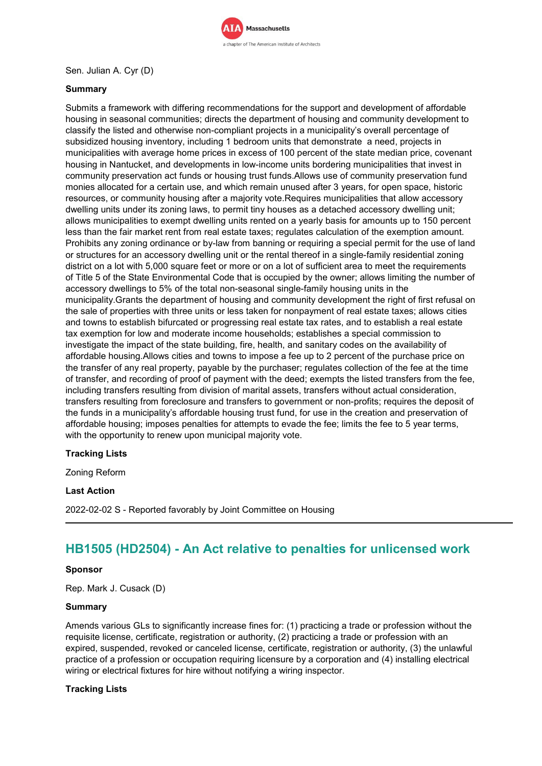

## Sen. Julian A. Cyr (D)

## **Summary**

Submits a framework with differing recommendations for the support and development of affordable housing in seasonal communities; directs the department of housing and community development to classify the listed and otherwise non-compliant projects in a municipality's overall percentage of subsidized housing inventory, including 1 bedroom units that demonstrate a need, projects in municipalities with average home prices in excess of 100 percent of the state median price, covenant housing in Nantucket, and developments in low-income units bordering municipalities that invest in community preservation act funds or housing trust funds.Allows use of community preservation fund monies allocated for a certain use, and which remain unused after 3 years, for open space, historic resources, or community housing after a majority vote.Requires municipalities that allow accessory dwelling units under its zoning laws, to permit tiny houses as a detached accessory dwelling unit; allows municipalities to exempt dwelling units rented on a yearly basis for amounts up to 150 percent less than the fair market rent from real estate taxes; regulates calculation of the exemption amount. Prohibits any zoning ordinance or by-law from banning or requiring a special permit for the use of land or structures for an accessory dwelling unit or the rental thereof in a single-family residential zoning district on a lot with 5,000 square feet or more or on a lot of sufficient area to meet the requirements of Title 5 of the State Environmental Code that is occupied by the owner; allows limiting the number of accessory dwellings to 5% of the total non-seasonal single-family housing units in the municipality.Grants the department of housing and community development the right of first refusal on the sale of properties with three units or less taken for nonpayment of real estate taxes; allows cities and towns to establish bifurcated or progressing real estate tax rates, and to establish a real estate tax exemption for low and moderate income households; establishes a special commission to investigate the impact of the state building, fire, health, and sanitary codes on the availability of affordable housing.Allows cities and towns to impose a fee up to 2 percent of the purchase price on the transfer of any real property, payable by the purchaser; regulates collection of the fee at the time of transfer, and recording of proof of payment with the deed; exempts the listed transfers from the fee, including transfers resulting from division of marital assets, transfers without actual consideration, transfers resulting from foreclosure and transfers to government or non-profits; requires the deposit of the funds in a municipality's affordable housing trust fund, for use in the creation and preservation of affordable housing; imposes penalties for attempts to evade the fee; limits the fee to 5 year terms, with the opportunity to renew upon municipal majority vote.

## **Tracking Lists**

Zoning Reform

#### **Last Action**

2022-02-02 S - Reported favorably by Joint Committee on Housing

# **HB1505 (HD2504) - An Act relative to penalties for unlicensed work**

#### **Sponsor**

Rep. Mark J. Cusack (D)

#### **Summary**

Amends various GLs to significantly increase fines for: (1) practicing a trade or profession without the requisite license, certificate, registration or authority, (2) practicing a trade or profession with an expired, suspended, revoked or canceled license, certificate, registration or authority, (3) the unlawful practice of a profession or occupation requiring licensure by a corporation and (4) installing electrical wiring or electrical fixtures for hire without notifying a wiring inspector.

## **Tracking Lists**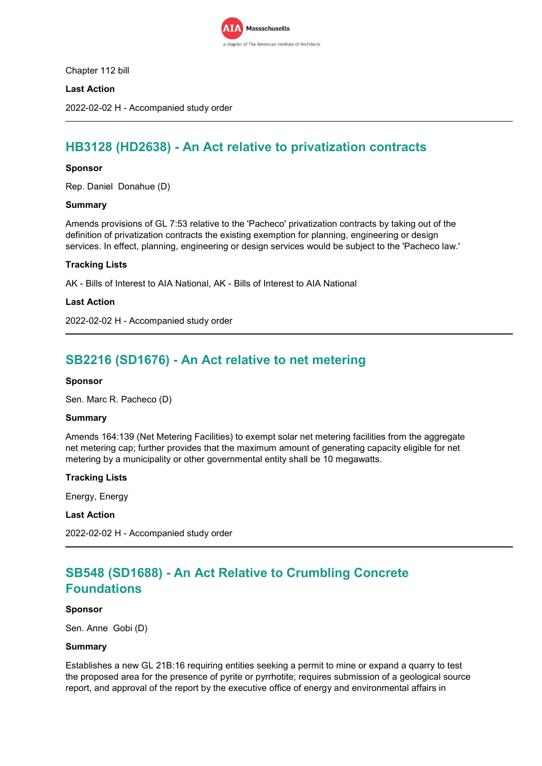

Chapter 112 bill

## **Last Action**

2022-02-02 H - Accompanied study order

# **HB3128 (HD2638) - An Act relative to privatization contracts**

### **Sponsor**

Rep. Daniel Donahue (D)

#### **Summary**

Amends provisions of GL 7:53 relative to the 'Pacheco' privatization contracts by taking out of the definition of privatization contracts the existing exemption for planning, engineering or design services. In effect, planning, engineering or design services would be subject to the 'Pacheco law.'

### **Tracking Lists**

AK - Bills of Interest to AIA National, AK - Bills of Interest to AIA National

#### **Last Action**

2022-02-02 H - Accompanied study order

# **SB2216 (SD1676) - An Act relative to net metering**

#### **Sponsor**

Sen. Marc R. Pacheco (D)

#### **Summary**

Amends 164:139 (Net Metering Facilities) to exempt solar net metering facilities from the aggregate net metering cap; further provides that the maximum amount of generating capacity eligible for net metering by a municipality or other governmental entity shall be 10 megawatts.

#### **Tracking Lists**

Energy, Energy

## **Last Action**

2022-02-02 H - Accompanied study order

# **SB548 (SD1688) - An Act Relative to Crumbling Concrete Foundations**

#### **Sponsor**

Sen. Anne Gobi (D)

#### **Summary**

Establishes a new GL 21B:16 requiring entities seeking a permit to mine or expand a quarry to test the proposed area for the presence of pyrite or pyrrhotite; requires submission of a geological source report, and approval of the report by the executive office of energy and environmental affairs in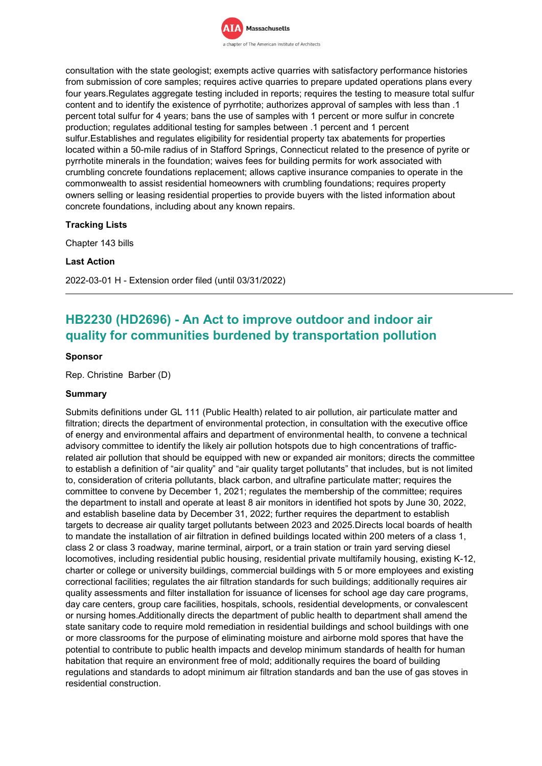

consultation with the state geologist; exempts active quarries with satisfactory performance histories from submission of core samples; requires active quarries to prepare updated operations plans every four years.Regulates aggregate testing included in reports; requires the testing to measure total sulfur content and to identify the existence of pyrrhotite; authorizes approval of samples with less than .1 percent total sulfur for 4 years; bans the use of samples with 1 percent or more sulfur in concrete production; regulates additional testing for samples between .1 percent and 1 percent sulfur.Establishes and regulates eligibility for residential property tax abatements for properties located within a 50-mile radius of in Stafford Springs, Connecticut related to the presence of pyrite or pyrrhotite minerals in the foundation; waives fees for building permits for work associated with crumbling concrete foundations replacement; allows captive insurance companies to operate in the commonwealth to assist residential homeowners with crumbling foundations; requires property owners selling or leasing residential properties to provide buyers with the listed information about concrete foundations, including about any known repairs.

### **Tracking Lists**

Chapter 143 bills

### **Last Action**

2022-03-01 H - Extension order filed (until 03/31/2022)

# **HB2230 (HD2696) - An Act to improve outdoor and indoor air quality for communities burdened by transportation pollution**

### **Sponsor**

Rep. Christine Barber (D)

## **Summary**

Submits definitions under GL 111 (Public Health) related to air pollution, air particulate matter and filtration; directs the department of environmental protection, in consultation with the executive office of energy and environmental affairs and department of environmental health, to convene a technical advisory committee to identify the likely air pollution hotspots due to high concentrations of trafficrelated air pollution that should be equipped with new or expanded air monitors; directs the committee to establish a definition of "air quality" and "air quality target pollutants" that includes, but is not limited to, consideration of criteria pollutants, black carbon, and ultrafine particulate matter; requires the committee to convene by December 1, 2021; regulates the membership of the committee; requires the department to install and operate at least 8 air monitors in identified hot spots by June 30, 2022, and establish baseline data by December 31, 2022; further requires the department to establish targets to decrease air quality target pollutants between 2023 and 2025.Directs local boards of health to mandate the installation of air filtration in defined buildings located within 200 meters of a class 1, class 2 or class 3 roadway, marine terminal, airport, or a train station or train yard serving diesel locomotives, including residential public housing, residential private multifamily housing, existing K-12, charter or college or university buildings, commercial buildings with 5 or more employees and existing correctional facilities; regulates the air filtration standards for such buildings; additionally requires air quality assessments and filter installation for issuance of licenses for school age day care programs, day care centers, group care facilities, hospitals, schools, residential developments, or convalescent or nursing homes.Additionally directs the department of public health to department shall amend the state sanitary code to require mold remediation in residential buildings and school buildings with one or more classrooms for the purpose of eliminating moisture and airborne mold spores that have the potential to contribute to public health impacts and develop minimum standards of health for human habitation that require an environment free of mold; additionally requires the board of building regulations and standards to adopt minimum air filtration standards and ban the use of gas stoves in residential construction.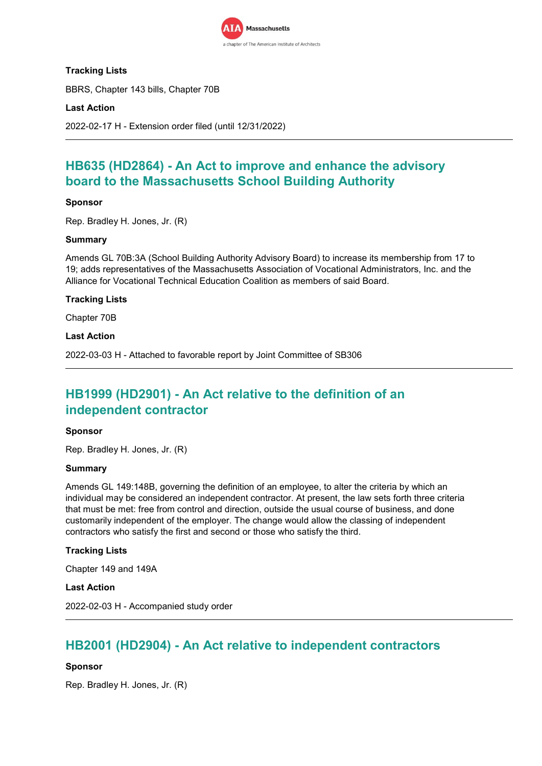

## **Tracking Lists**

BBRS, Chapter 143 bills, Chapter 70B

## **Last Action**

2022-02-17 H - Extension order filed (until 12/31/2022)

# **HB635 (HD2864) - An Act to improve and enhance the advisory board to the Massachusetts School Building Authority**

## **Sponsor**

Rep. Bradley H. Jones, Jr. (R)

### **Summary**

Amends GL 70B:3A (School Building Authority Advisory Board) to increase its membership from 17 to 19; adds representatives of the Massachusetts Association of Vocational Administrators, Inc. and the Alliance for Vocational Technical Education Coalition as members of said Board.

## **Tracking Lists**

Chapter 70B

### **Last Action**

2022-03-03 H - Attached to favorable report by Joint Committee of SB306

# **HB1999 (HD2901) - An Act relative to the definition of an independent contractor**

## **Sponsor**

Rep. Bradley H. Jones, Jr. (R)

#### **Summary**

Amends GL 149:148B, governing the definition of an employee, to alter the criteria by which an individual may be considered an independent contractor. At present, the law sets forth three criteria that must be met: free from control and direction, outside the usual course of business, and done customarily independent of the employer. The change would allow the classing of independent contractors who satisfy the first and second or those who satisfy the third.

#### **Tracking Lists**

Chapter 149 and 149A

### **Last Action**

2022-02-03 H - Accompanied study order

# **HB2001 (HD2904) - An Act relative to independent contractors**

## **Sponsor**

Rep. Bradley H. Jones, Jr. (R)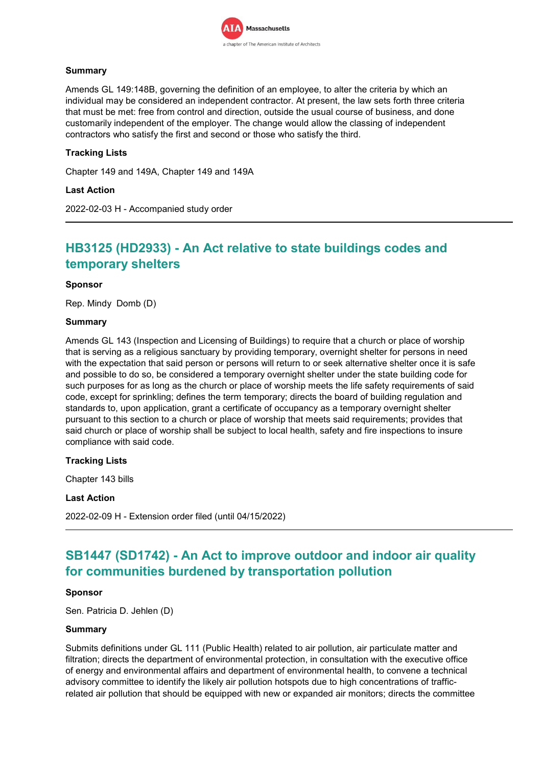

## **Summary**

Amends GL 149:148B, governing the definition of an employee, to alter the criteria by which an individual may be considered an independent contractor. At present, the law sets forth three criteria that must be met: free from control and direction, outside the usual course of business, and done customarily independent of the employer. The change would allow the classing of independent contractors who satisfy the first and second or those who satisfy the third.

## **Tracking Lists**

Chapter 149 and 149A, Chapter 149 and 149A

### **Last Action**

2022-02-03 H - Accompanied study order

# **HB3125 (HD2933) - An Act relative to state buildings codes and temporary shelters**

### **Sponsor**

Rep. Mindy Domb (D)

### **Summary**

Amends GL 143 (Inspection and Licensing of Buildings) to require that a church or place of worship that is serving as a religious sanctuary by providing temporary, overnight shelter for persons in need with the expectation that said person or persons will return to or seek alternative shelter once it is safe and possible to do so, be considered a temporary overnight shelter under the state building code for such purposes for as long as the church or place of worship meets the life safety requirements of said code, except for sprinkling; defines the term temporary; directs the board of building regulation and standards to, upon application, grant a certificate of occupancy as a temporary overnight shelter pursuant to this section to a church or place of worship that meets said requirements; provides that said church or place of worship shall be subject to local health, safety and fire inspections to insure compliance with said code.

## **Tracking Lists**

Chapter 143 bills

### **Last Action**

2022-02-09 H - Extension order filed (until 04/15/2022)

# **SB1447 (SD1742) - An Act to improve outdoor and indoor air quality for communities burdened by transportation pollution**

#### **Sponsor**

Sen. Patricia D. Jehlen (D)

#### **Summary**

Submits definitions under GL 111 (Public Health) related to air pollution, air particulate matter and filtration; directs the department of environmental protection, in consultation with the executive office of energy and environmental affairs and department of environmental health, to convene a technical advisory committee to identify the likely air pollution hotspots due to high concentrations of trafficrelated air pollution that should be equipped with new or expanded air monitors; directs the committee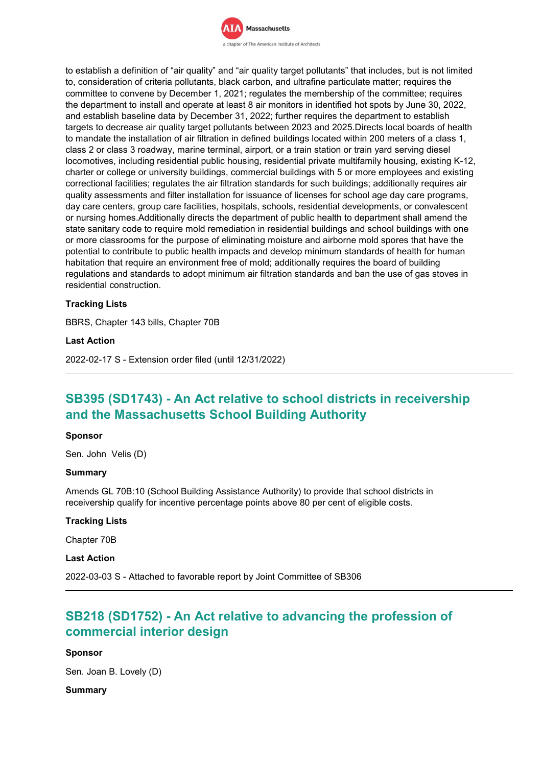

to establish a definition of "air quality" and "air quality target pollutants" that includes, but is not limited to, consideration of criteria pollutants, black carbon, and ultrafine particulate matter; requires the committee to convene by December 1, 2021; regulates the membership of the committee; requires the department to install and operate at least 8 air monitors in identified hot spots by June 30, 2022, and establish baseline data by December 31, 2022; further requires the department to establish targets to decrease air quality target pollutants between 2023 and 2025.Directs local boards of health to mandate the installation of air filtration in defined buildings located within 200 meters of a class 1, class 2 or class 3 roadway, marine terminal, airport, or a train station or train yard serving diesel locomotives, including residential public housing, residential private multifamily housing, existing K-12, charter or college or university buildings, commercial buildings with 5 or more employees and existing correctional facilities; regulates the air filtration standards for such buildings; additionally requires air quality assessments and filter installation for issuance of licenses for school age day care programs, day care centers, group care facilities, hospitals, schools, residential developments, or convalescent or nursing homes.Additionally directs the department of public health to department shall amend the state sanitary code to require mold remediation in residential buildings and school buildings with one or more classrooms for the purpose of eliminating moisture and airborne mold spores that have the potential to contribute to public health impacts and develop minimum standards of health for human habitation that require an environment free of mold; additionally requires the board of building regulations and standards to adopt minimum air filtration standards and ban the use of gas stoves in residential construction.

## **Tracking Lists**

BBRS, Chapter 143 bills, Chapter 70B

#### **Last Action**

2022-02-17 S - Extension order filed (until 12/31/2022)

# **SB395 (SD1743) - An Act relative to school districts in receivership and the Massachusetts School Building Authority**

#### **Sponsor**

Sen. John Velis (D)

#### **Summary**

Amends GL 70B:10 (School Building Assistance Authority) to provide that school districts in receivership qualify for incentive percentage points above 80 per cent of eligible costs.

#### **Tracking Lists**

Chapter 70B

### **Last Action**

2022-03-03 S - Attached to favorable report by Joint Committee of SB306

# **SB218 (SD1752) - An Act relative to advancing the profession of commercial interior design**

## **Sponsor**

Sen. Joan B. Lovely (D)

#### **Summary**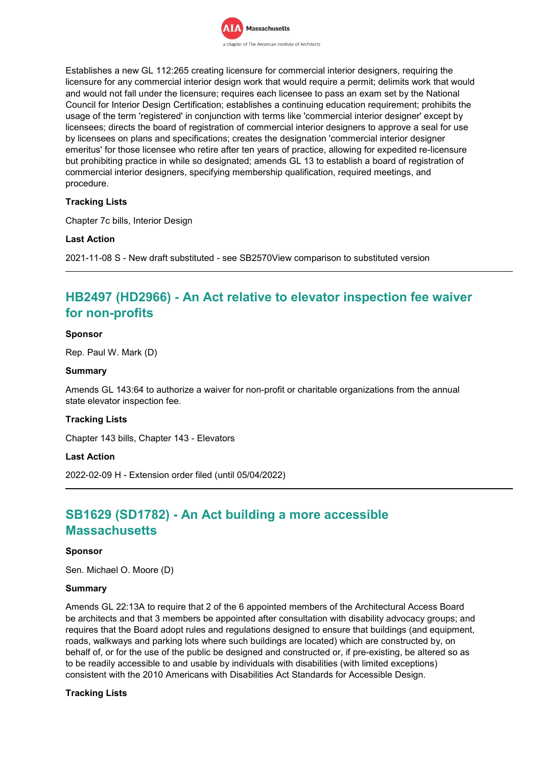

Establishes a new GL 112:265 creating licensure for commercial interior designers, requiring the licensure for any commercial interior design work that would require a permit; delimits work that would and would not fall under the licensure; requires each licensee to pass an exam set by the National Council for Interior Design Certification; establishes a continuing education requirement; prohibits the usage of the term 'registered' in conjunction with terms like 'commercial interior designer' except by licensees; directs the board of registration of commercial interior designers to approve a seal for use by licensees on plans and specifications; creates the designation 'commercial interior designer emeritus' for those licensee who retire after ten years of practice, allowing for expedited re-licensure but prohibiting practice in while so designated; amends GL 13 to establish a board of registration of commercial interior designers, specifying membership qualification, required meetings, and procedure.

## **Tracking Lists**

Chapter 7c bills, Interior Design

### **Last Action**

2021-11-08 S - New draft substituted - see SB2570View comparison to substituted version

# **HB2497 (HD2966) - An Act relative to elevator inspection fee waiver for non-profits**

### **Sponsor**

Rep. Paul W. Mark (D)

### **Summary**

Amends GL 143:64 to authorize a waiver for non-profit or charitable organizations from the annual state elevator inspection fee.

## **Tracking Lists**

Chapter 143 bills, Chapter 143 - Elevators

#### **Last Action**

2022-02-09 H - Extension order filed (until 05/04/2022)

# **SB1629 (SD1782) - An Act building a more accessible Massachusetts**

#### **Sponsor**

Sen. Michael O. Moore (D)

#### **Summary**

Amends GL 22:13A to require that 2 of the 6 appointed members of the Architectural Access Board be architects and that 3 members be appointed after consultation with disability advocacy groups; and requires that the Board adopt rules and regulations designed to ensure that buildings (and equipment, roads, walkways and parking lots where such buildings are located) which are constructed by, on behalf of, or for the use of the public be designed and constructed or, if pre-existing, be altered so as to be readily accessible to and usable by individuals with disabilities (with limited exceptions) consistent with the 2010 Americans with Disabilities Act Standards for Accessible Design.

#### **Tracking Lists**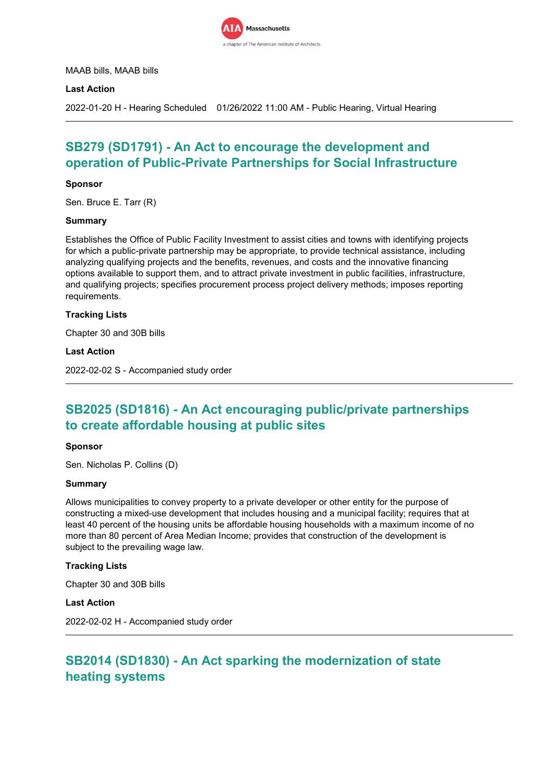

MAAB bills, MAAB bills

### **Last Action**

2022-01-20 H - Hearing Scheduled 01/26/2022 11:00 AM - Public Hearing, Virtual Hearing

# **SB279 (SD1791) - An Act to encourage the development and operation of Public-Private Partnerships for Social Infrastructure**

### **Sponsor**

Sen. Bruce E. Tarr (R)

#### **Summary**

Establishes the Office of Public Facility Investment to assist cities and towns with identifying projects for which a public-private partnership may be appropriate, to provide technical assistance, including analyzing qualifying projects and the benefits, revenues, and costs and the innovative financing options available to support them, and to attract private investment in public facilities, infrastructure, and qualifying projects; specifies procurement process project delivery methods; imposes reporting requirements.

### **Tracking Lists**

Chapter 30 and 30B bills

#### **Last Action**

2022-02-02 S - Accompanied study order

# **SB2025 (SD1816) - An Act encouraging public/private partnerships to create affordable housing at public sites**

#### **Sponsor**

Sen. Nicholas P. Collins (D)

#### **Summary**

Allows municipalities to convey property to a private developer or other entity for the purpose of constructing a mixed-use development that includes housing and a municipal facility; requires that at least 40 percent of the housing units be affordable housing households with a maximum income of no more than 80 percent of Area Median Income; provides that construction of the development is subject to the prevailing wage law.

## **Tracking Lists**

Chapter 30 and 30B bills

#### **Last Action**

2022-02-02 H - Accompanied study order

# **SB2014 (SD1830) - An Act sparking the modernization of state heating systems**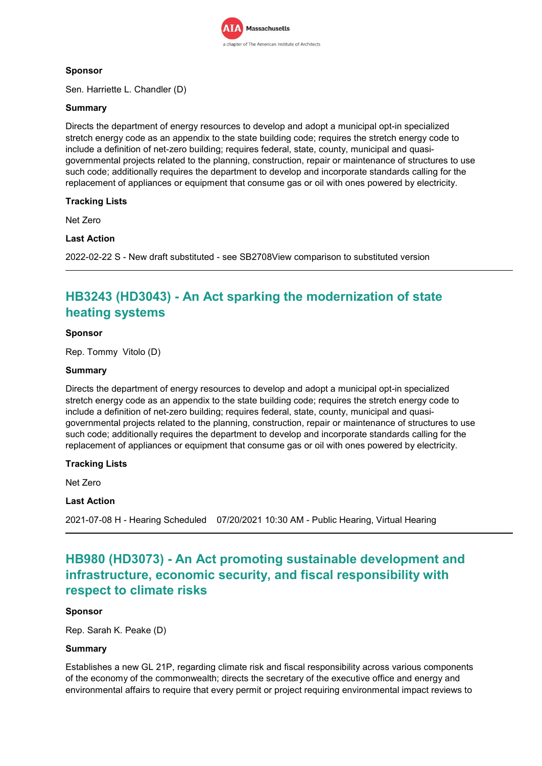

## **Sponsor**

Sen. Harriette L. Chandler (D)

## **Summary**

Directs the department of energy resources to develop and adopt a municipal opt-in specialized stretch energy code as an appendix to the state building code; requires the stretch energy code to include a definition of net-zero building; requires federal, state, county, municipal and quasigovernmental projects related to the planning, construction, repair or maintenance of structures to use such code; additionally requires the department to develop and incorporate standards calling for the replacement of appliances or equipment that consume gas or oil with ones powered by electricity.

## **Tracking Lists**

Net Zero

## **Last Action**

2022-02-22 S - New draft substituted - see SB2708View comparison to substituted version

# **HB3243 (HD3043) - An Act sparking the modernization of state heating systems**

### **Sponsor**

Rep. Tommy Vitolo (D)

### **Summary**

Directs the department of energy resources to develop and adopt a municipal opt-in specialized stretch energy code as an appendix to the state building code; requires the stretch energy code to include a definition of net-zero building; requires federal, state, county, municipal and quasigovernmental projects related to the planning, construction, repair or maintenance of structures to use such code; additionally requires the department to develop and incorporate standards calling for the replacement of appliances or equipment that consume gas or oil with ones powered by electricity.

## **Tracking Lists**

Net Zero

#### **Last Action**

2021-07-08 H - Hearing Scheduled 07/20/2021 10:30 AM - Public Hearing, Virtual Hearing

# **HB980 (HD3073) - An Act promoting sustainable development and infrastructure, economic security, and fiscal responsibility with respect to climate risks**

## **Sponsor**

Rep. Sarah K. Peake (D)

## **Summary**

Establishes a new GL 21P, regarding climate risk and fiscal responsibility across various components of the economy of the commonwealth; directs the secretary of the executive office and energy and environmental affairs to require that every permit or project requiring environmental impact reviews to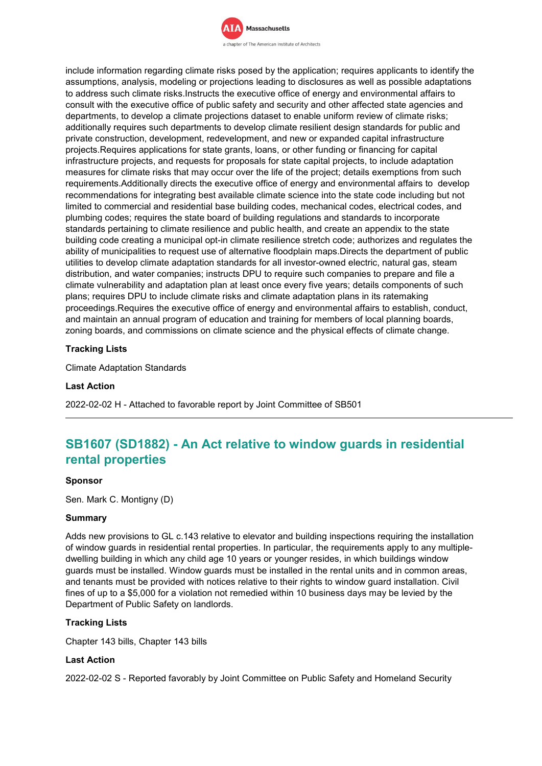

include information regarding climate risks posed by the application; requires applicants to identify the assumptions, analysis, modeling or projections leading to disclosures as well as possible adaptations to address such climate risks.Instructs the executive office of energy and environmental affairs to consult with the executive office of public safety and security and other affected state agencies and departments, to develop a climate projections dataset to enable uniform review of climate risks; additionally requires such departments to develop climate resilient design standards for public and private construction, development, redevelopment, and new or expanded capital infrastructure projects.Requires applications for state grants, loans, or other funding or financing for capital infrastructure projects, and requests for proposals for state capital projects, to include adaptation measures for climate risks that may occur over the life of the project; details exemptions from such requirements.Additionally directs the executive office of energy and environmental affairs to develop recommendations for integrating best available climate science into the state code including but not limited to commercial and residential base building codes, mechanical codes, electrical codes, and plumbing codes; requires the state board of building regulations and standards to incorporate standards pertaining to climate resilience and public health, and create an appendix to the state building code creating a municipal opt-in climate resilience stretch code; authorizes and regulates the ability of municipalities to request use of alternative floodplain maps.Directs the department of public utilities to develop climate adaptation standards for all investor-owned electric, natural gas, steam distribution, and water companies; instructs DPU to require such companies to prepare and file a climate vulnerability and adaptation plan at least once every five years; details components of such plans; requires DPU to include climate risks and climate adaptation plans in its ratemaking proceedings.Requires the executive office of energy and environmental affairs to establish, conduct, and maintain an annual program of education and training for members of local planning boards, zoning boards, and commissions on climate science and the physical effects of climate change.

## **Tracking Lists**

Climate Adaptation Standards

### **Last Action**

2022-02-02 H - Attached to favorable report by Joint Committee of SB501

# **SB1607 (SD1882) - An Act relative to window guards in residential rental properties**

#### **Sponsor**

Sen. Mark C. Montigny (D)

#### **Summary**

Adds new provisions to GL c.143 relative to elevator and building inspections requiring the installation of window guards in residential rental properties. In particular, the requirements apply to any multipledwelling building in which any child age 10 years or younger resides, in which buildings window guards must be installed. Window guards must be installed in the rental units and in common areas, and tenants must be provided with notices relative to their rights to window guard installation. Civil fines of up to a \$5,000 for a violation not remedied within 10 business days may be levied by the Department of Public Safety on landlords.

#### **Tracking Lists**

Chapter 143 bills, Chapter 143 bills

#### **Last Action**

2022-02-02 S - Reported favorably by Joint Committee on Public Safety and Homeland Security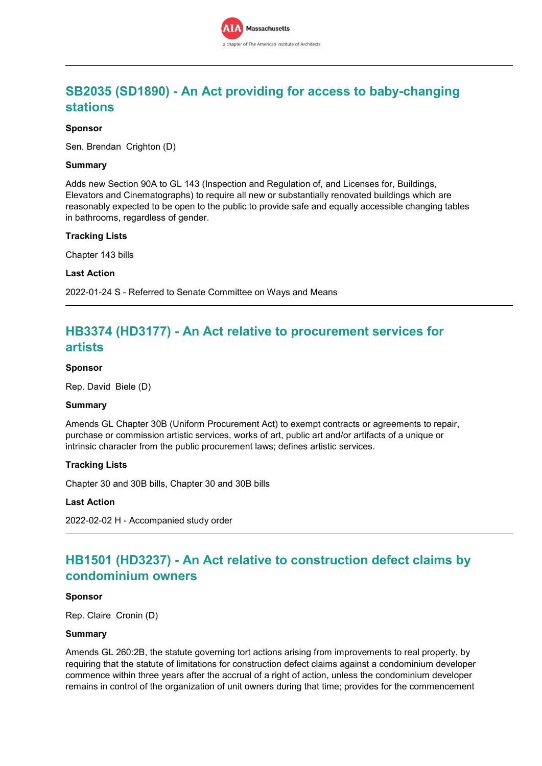# **SB2035 (SD1890) - An Act providing for access to baby-changing stations**

### **Sponsor**

Sen. Brendan Crighton (D)

### **Summary**

Adds new Section 90A to GL 143 (Inspection and Regulation of, and Licenses for, Buildings, Elevators and Cinematographs) to require all new or substantially renovated buildings which are reasonably expected to be open to the public to provide safe and equally accessible changing tables in bathrooms, regardless of gender.

#### **Tracking Lists**

Chapter 143 bills

#### **Last Action**

2022-01-24 S - Referred to Senate Committee on Ways and Means

# **HB3374 (HD3177) - An Act relative to procurement services for artists**

#### **Sponsor**

Rep. David Biele (D)

#### **Summary**

Amends GL Chapter 30B (Uniform Procurement Act) to exempt contracts or agreements to repair, purchase or commission artistic services, works of art, public art and/or artifacts of a unique or intrinsic character from the public procurement laws; defines artistic services.

#### **Tracking Lists**

Chapter 30 and 30B bills, Chapter 30 and 30B bills

#### **Last Action**

2022-02-02 H - Accompanied study order

# **HB1501 (HD3237) - An Act relative to construction defect claims by condominium owners**

#### **Sponsor**

Rep. Claire Cronin (D)

### **Summary**

Amends GL 260:2B, the statute governing tort actions arising from improvements to real property, by requiring that the statute of limitations for construction defect claims against a condominium developer commence within three years after the accrual of a right of action, unless the condominium developer remains in control of the organization of unit owners during that time; provides for the commencement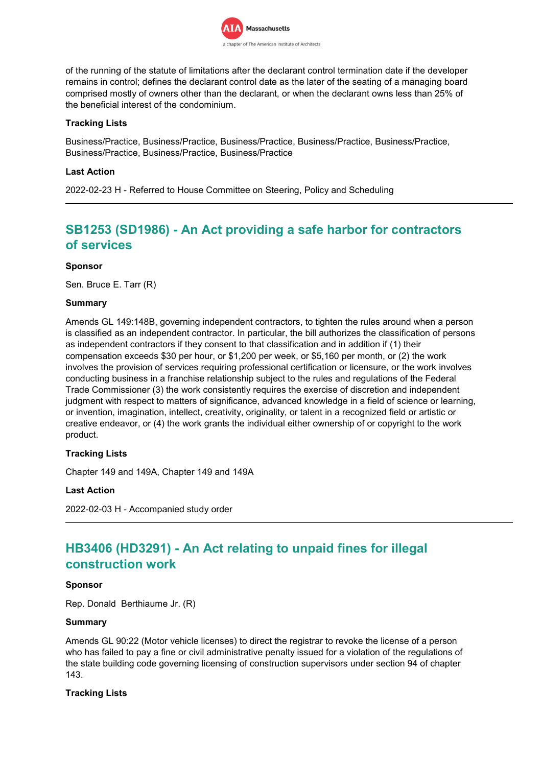

of the running of the statute of limitations after the declarant control termination date if the developer remains in control; defines the declarant control date as the later of the seating of a managing board comprised mostly of owners other than the declarant, or when the declarant owns less than 25% of the beneficial interest of the condominium.

## **Tracking Lists**

Business/Practice, Business/Practice, Business/Practice, Business/Practice, Business/Practice, Business/Practice, Business/Practice, Business/Practice

### **Last Action**

2022-02-23 H - Referred to House Committee on Steering, Policy and Scheduling

# **SB1253 (SD1986) - An Act providing a safe harbor for contractors of services**

### **Sponsor**

Sen. Bruce E. Tarr (R)

### **Summary**

Amends GL 149:148B, governing independent contractors, to tighten the rules around when a person is classified as an independent contractor. In particular, the bill authorizes the classification of persons as independent contractors if they consent to that classification and in addition if (1) their compensation exceeds \$30 per hour, or \$1,200 per week, or \$5,160 per month, or (2) the work involves the provision of services requiring professional certification or licensure, or the work involves conducting business in a franchise relationship subject to the rules and regulations of the Federal Trade Commissioner (3) the work consistently requires the exercise of discretion and independent judgment with respect to matters of significance, advanced knowledge in a field of science or learning, or invention, imagination, intellect, creativity, originality, or talent in a recognized field or artistic or creative endeavor, or (4) the work grants the individual either ownership of or copyright to the work product.

## **Tracking Lists**

Chapter 149 and 149A, Chapter 149 and 149A

## **Last Action**

2022-02-03 H - Accompanied study order

# **HB3406 (HD3291) - An Act relating to unpaid fines for illegal construction work**

#### **Sponsor**

Rep. Donald Berthiaume Jr. (R)

#### **Summary**

Amends GL 90:22 (Motor vehicle licenses) to direct the registrar to revoke the license of a person who has failed to pay a fine or civil administrative penalty issued for a violation of the regulations of the state building code governing licensing of construction supervisors under section 94 of chapter 143.

#### **Tracking Lists**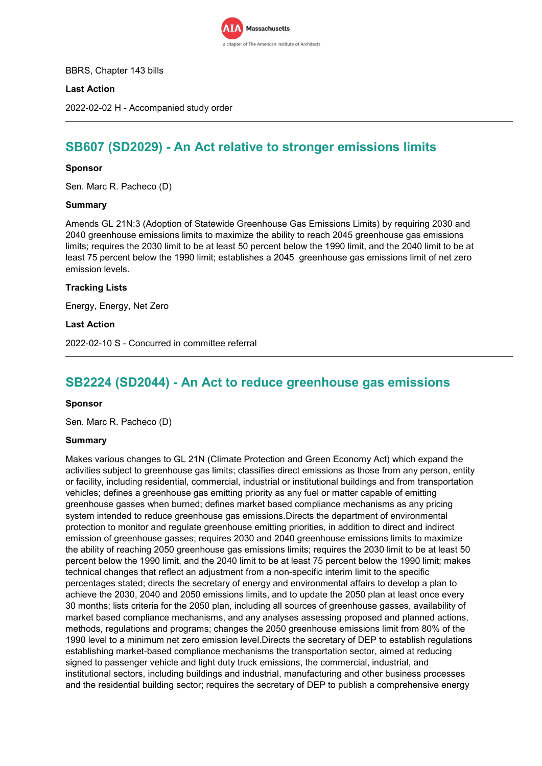

BBRS, Chapter 143 bills

## **Last Action**

2022-02-02 H - Accompanied study order

# **SB607 (SD2029) - An Act relative to stronger emissions limits**

### **Sponsor**

Sen. Marc R. Pacheco (D)

#### **Summary**

Amends GL 21N:3 (Adoption of Statewide Greenhouse Gas Emissions Limits) by requiring 2030 and 2040 greenhouse emissions limits to maximize the ability to reach 2045 greenhouse gas emissions limits; requires the 2030 limit to be at least 50 percent below the 1990 limit, and the 2040 limit to be at least 75 percent below the 1990 limit; establishes a 2045 greenhouse gas emissions limit of net zero emission levels.

### **Tracking Lists**

Energy, Energy, Net Zero

#### **Last Action**

2022-02-10 S - Concurred in committee referral

## **SB2224 (SD2044) - An Act to reduce greenhouse gas emissions**

#### **Sponsor**

Sen. Marc R. Pacheco (D)

#### **Summary**

Makes various changes to GL 21N (Climate Protection and Green Economy Act) which expand the activities subject to greenhouse gas limits; classifies direct emissions as those from any person, entity or facility, including residential, commercial, industrial or institutional buildings and from transportation vehicles; defines a greenhouse gas emitting priority as any fuel or matter capable of emitting greenhouse gasses when burned; defines market based compliance mechanisms as any pricing system intended to reduce greenhouse gas emissions.Directs the department of environmental protection to monitor and regulate greenhouse emitting priorities, in addition to direct and indirect emission of greenhouse gasses; requires 2030 and 2040 greenhouse emissions limits to maximize the ability of reaching 2050 greenhouse gas emissions limits; requires the 2030 limit to be at least 50 percent below the 1990 limit, and the 2040 limit to be at least 75 percent below the 1990 limit; makes technical changes that reflect an adjustment from a non-specific interim limit to the specific percentages stated; directs the secretary of energy and environmental affairs to develop a plan to achieve the 2030, 2040 and 2050 emissions limits, and to update the 2050 plan at least once every 30 months; lists criteria for the 2050 plan, including all sources of greenhouse gasses, availability of market based compliance mechanisms, and any analyses assessing proposed and planned actions, methods, regulations and programs; changes the 2050 greenhouse emissions limit from 80% of the 1990 level to a minimum net zero emission level.Directs the secretary of DEP to establish regulations establishing market-based compliance mechanisms the transportation sector, aimed at reducing signed to passenger vehicle and light duty truck emissions, the commercial, industrial, and institutional sectors, including buildings and industrial, manufacturing and other business processes and the residential building sector; requires the secretary of DEP to publish a comprehensive energy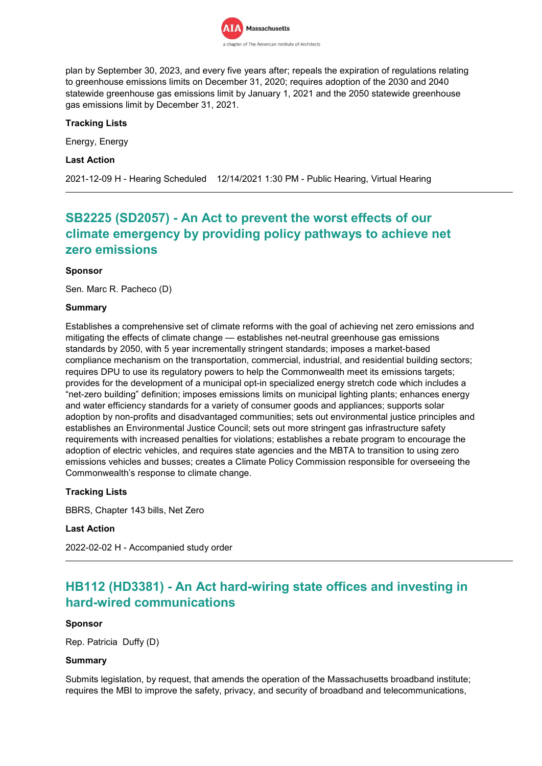

plan by September 30, 2023, and every five years after; repeals the expiration of regulations relating to greenhouse emissions limits on December 31, 2020; requires adoption of the 2030 and 2040 statewide greenhouse gas emissions limit by January 1, 2021 and the 2050 statewide greenhouse gas emissions limit by December 31, 2021.

## **Tracking Lists**

Energy, Energy

### **Last Action**

2021-12-09 H - Hearing Scheduled 12/14/2021 1:30 PM - Public Hearing, Virtual Hearing

# **SB2225 (SD2057) - An Act to prevent the worst effects of our climate emergency by providing policy pathways to achieve net zero emissions**

### **Sponsor**

Sen. Marc R. Pacheco (D)

### **Summary**

Establishes a comprehensive set of climate reforms with the goal of achieving net zero emissions and mitigating the effects of climate change — establishes net-neutral greenhouse gas emissions standards by 2050, with 5 year incrementally stringent standards; imposes a market-based compliance mechanism on the transportation, commercial, industrial, and residential building sectors; requires DPU to use its regulatory powers to help the Commonwealth meet its emissions targets; provides for the development of a municipal opt-in specialized energy stretch code which includes a "net-zero building" definition; imposes emissions limits on municipal lighting plants; enhances energy and water efficiency standards for a variety of consumer goods and appliances; supports solar adoption by non-profits and disadvantaged communities; sets out environmental justice principles and establishes an Environmental Justice Council; sets out more stringent gas infrastructure safety requirements with increased penalties for violations; establishes a rebate program to encourage the adoption of electric vehicles, and requires state agencies and the MBTA to transition to using zero emissions vehicles and busses; creates a Climate Policy Commission responsible for overseeing the Commonwealth's response to climate change.

## **Tracking Lists**

BBRS, Chapter 143 bills, Net Zero

#### **Last Action**

2022-02-02 H - Accompanied study order

# **HB112 (HD3381) - An Act hard-wiring state offices and investing in hard-wired communications**

#### **Sponsor**

Rep. Patricia Duffy (D)

#### **Summary**

Submits legislation, by request, that amends the operation of the Massachusetts broadband institute; requires the MBI to improve the safety, privacy, and security of broadband and telecommunications,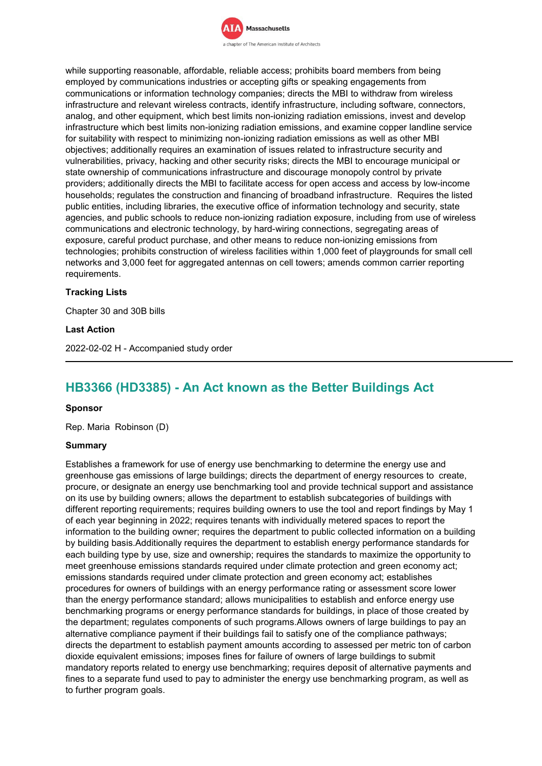

while supporting reasonable, affordable, reliable access; prohibits board members from being employed by communications industries or accepting gifts or speaking engagements from communications or information technology companies; directs the MBI to withdraw from wireless infrastructure and relevant wireless contracts, identify infrastructure, including software, connectors, analog, and other equipment, which best limits non-ionizing radiation emissions, invest and develop infrastructure which best limits non-ionizing radiation emissions, and examine copper landline service for suitability with respect to minimizing non-ionizing radiation emissions as well as other MBI objectives; additionally requires an examination of issues related to infrastructure security and vulnerabilities, privacy, hacking and other security risks; directs the MBI to encourage municipal or state ownership of communications infrastructure and discourage monopoly control by private providers; additionally directs the MBI to facilitate access for open access and access by low-income households; regulates the construction and financing of broadband infrastructure. Requires the listed public entities, including libraries, the executive office of information technology and security, state agencies, and public schools to reduce non-ionizing radiation exposure, including from use of wireless communications and electronic technology, by hard-wiring connections, segregating areas of exposure, careful product purchase, and other means to reduce non-ionizing emissions from technologies; prohibits construction of wireless facilities within 1,000 feet of playgrounds for small cell networks and 3,000 feet for aggregated antennas on cell towers; amends common carrier reporting requirements.

### **Tracking Lists**

Chapter 30 and 30B bills

**Last Action**

2022-02-02 H - Accompanied study order

# **HB3366 (HD3385) - An Act known as the Better Buildings Act**

#### **Sponsor**

Rep. Maria Robinson (D)

#### **Summary**

Establishes a framework for use of energy use benchmarking to determine the energy use and greenhouse gas emissions of large buildings; directs the department of energy resources to create, procure, or designate an energy use benchmarking tool and provide technical support and assistance on its use by building owners; allows the department to establish subcategories of buildings with different reporting requirements; requires building owners to use the tool and report findings by May 1 of each year beginning in 2022; requires tenants with individually metered spaces to report the information to the building owner; requires the department to public collected information on a building by building basis.Additionally requires the department to establish energy performance standards for each building type by use, size and ownership; requires the standards to maximize the opportunity to meet greenhouse emissions standards required under climate protection and green economy act; emissions standards required under climate protection and green economy act; establishes procedures for owners of buildings with an energy performance rating or assessment score lower than the energy performance standard; allows municipalities to establish and enforce energy use benchmarking programs or energy performance standards for buildings, in place of those created by the department; regulates components of such programs.Allows owners of large buildings to pay an alternative compliance payment if their buildings fail to satisfy one of the compliance pathways; directs the department to establish payment amounts according to assessed per metric ton of carbon dioxide equivalent emissions; imposes fines for failure of owners of large buildings to submit mandatory reports related to energy use benchmarking; requires deposit of alternative payments and fines to a separate fund used to pay to administer the energy use benchmarking program, as well as to further program goals.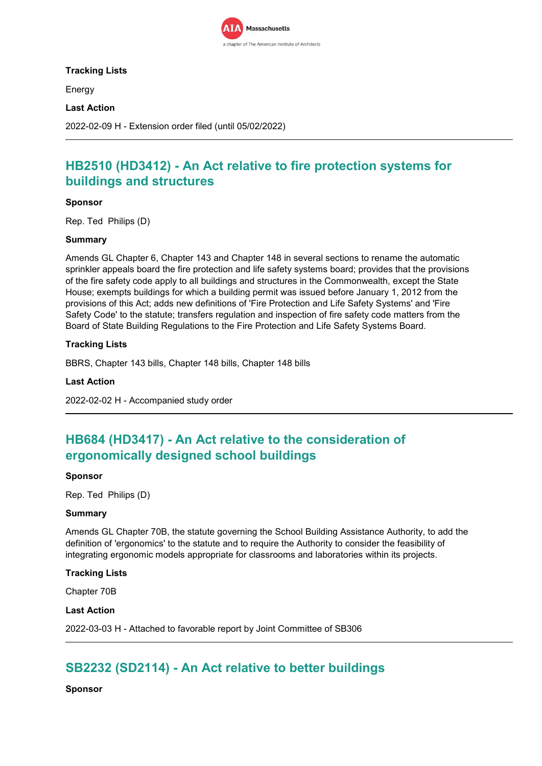

## **Tracking Lists**

Energy

### **Last Action**

2022-02-09 H - Extension order filed (until 05/02/2022)

# **HB2510 (HD3412) - An Act relative to fire protection systems for buildings and structures**

### **Sponsor**

Rep. Ted Philips (D)

### **Summary**

Amends GL Chapter 6, Chapter 143 and Chapter 148 in several sections to rename the automatic sprinkler appeals board the fire protection and life safety systems board; provides that the provisions of the fire safety code apply to all buildings and structures in the Commonwealth, except the State House; exempts buildings for which a building permit was issued before January 1, 2012 from the provisions of this Act; adds new definitions of 'Fire Protection and Life Safety Systems' and 'Fire Safety Code' to the statute; transfers regulation and inspection of fire safety code matters from the Board of State Building Regulations to the Fire Protection and Life Safety Systems Board.

## **Tracking Lists**

BBRS, Chapter 143 bills, Chapter 148 bills, Chapter 148 bills

### **Last Action**

2022-02-02 H - Accompanied study order

# **HB684 (HD3417) - An Act relative to the consideration of ergonomically designed school buildings**

#### **Sponsor**

Rep. Ted Philips (D)

### **Summary**

Amends GL Chapter 70B, the statute governing the School Building Assistance Authority, to add the definition of 'ergonomics' to the statute and to require the Authority to consider the feasibility of integrating ergonomic models appropriate for classrooms and laboratories within its projects.

#### **Tracking Lists**

Chapter 70B

#### **Last Action**

2022-03-03 H - Attached to favorable report by Joint Committee of SB306

# **SB2232 (SD2114) - An Act relative to better buildings**

**Sponsor**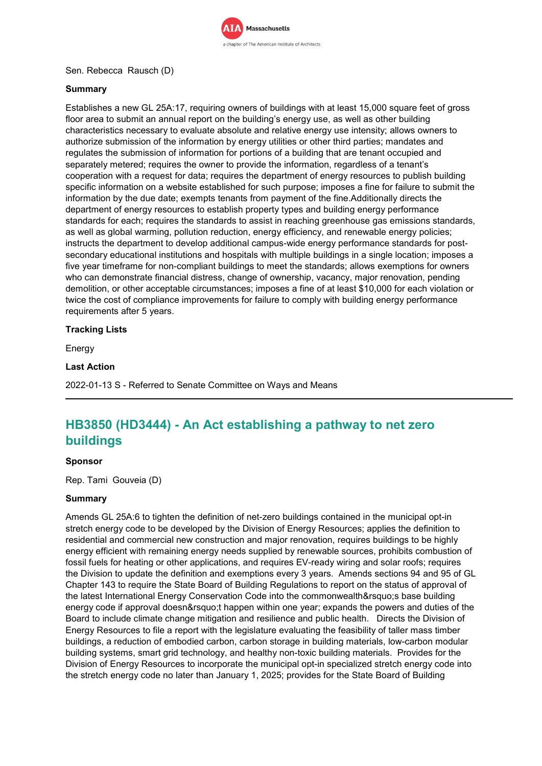

## Sen. Rebecca Rausch (D)

## **Summary**

Establishes a new GL 25A:17, requiring owners of buildings with at least 15,000 square feet of gross floor area to submit an annual report on the building's energy use, as well as other building characteristics necessary to evaluate absolute and relative energy use intensity; allows owners to authorize submission of the information by energy utilities or other third parties; mandates and regulates the submission of information for portions of a building that are tenant occupied and separately metered; requires the owner to provide the information, regardless of a tenant's cooperation with a request for data; requires the department of energy resources to publish building specific information on a website established for such purpose; imposes a fine for failure to submit the information by the due date; exempts tenants from payment of the fine.Additionally directs the department of energy resources to establish property types and building energy performance standards for each; requires the standards to assist in reaching greenhouse gas emissions standards, as well as global warming, pollution reduction, energy efficiency, and renewable energy policies; instructs the department to develop additional campus-wide energy performance standards for postsecondary educational institutions and hospitals with multiple buildings in a single location; imposes a five year timeframe for non-compliant buildings to meet the standards; allows exemptions for owners who can demonstrate financial distress, change of ownership, vacancy, major renovation, pending demolition, or other acceptable circumstances; imposes a fine of at least \$10,000 for each violation or twice the cost of compliance improvements for failure to comply with building energy performance requirements after 5 years.

## **Tracking Lists**

Energy

### **Last Action**

2022-01-13 S - Referred to Senate Committee on Ways and Means

# **HB3850 (HD3444) - An Act establishing a pathway to net zero buildings**

#### **Sponsor**

Rep. Tami Gouveia (D)

### **Summary**

Amends GL 25A:6 to tighten the definition of net-zero buildings contained in the municipal opt-in stretch energy code to be developed by the Division of Energy Resources; applies the definition to residential and commercial new construction and major renovation, requires buildings to be highly energy efficient with remaining energy needs supplied by renewable sources, prohibits combustion of fossil fuels for heating or other applications, and requires EV-ready wiring and solar roofs; requires the Division to update the definition and exemptions every 3 years. Amends sections 94 and 95 of GL Chapter 143 to require the State Board of Building Regulations to report on the status of approval of the latest International Energy Conservation Code into the commonwealth' s base building energy code if approval doesn' thappen within one year; expands the powers and duties of the Board to include climate change mitigation and resilience and public health. Directs the Division of Energy Resources to file a report with the legislature evaluating the feasibility of taller mass timber buildings, a reduction of embodied carbon, carbon storage in building materials, low-carbon modular building systems, smart grid technology, and healthy non-toxic building materials. Provides for the Division of Energy Resources to incorporate the municipal opt-in specialized stretch energy code into the stretch energy code no later than January 1, 2025; provides for the State Board of Building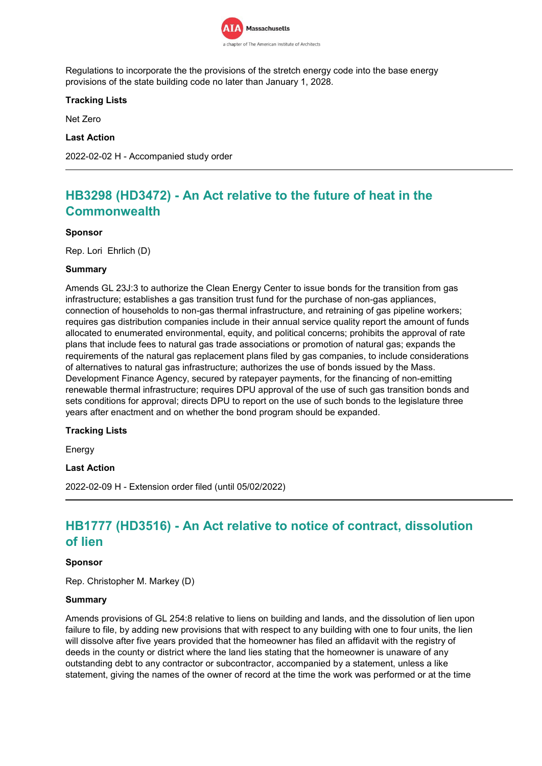

Regulations to incorporate the the provisions of the stretch energy code into the base energy provisions of the state building code no later than January 1, 2028.

## **Tracking Lists**

Net Zero

## **Last Action**

2022-02-02 H - Accompanied study order

# **HB3298 (HD3472) - An Act relative to the future of heat in the Commonwealth**

### **Sponsor**

Rep. Lori Ehrlich (D)

### **Summary**

Amends GL 23J:3 to authorize the Clean Energy Center to issue bonds for the transition from gas infrastructure; establishes a gas transition trust fund for the purchase of non-gas appliances, connection of households to non-gas thermal infrastructure, and retraining of gas pipeline workers; requires gas distribution companies include in their annual service quality report the amount of funds allocated to enumerated environmental, equity, and political concerns; prohibits the approval of rate plans that include fees to natural gas trade associations or promotion of natural gas; expands the requirements of the natural gas replacement plans filed by gas companies, to include considerations of alternatives to natural gas infrastructure; authorizes the use of bonds issued by the Mass. Development Finance Agency, secured by ratepayer payments, for the financing of non-emitting renewable thermal infrastructure; requires DPU approval of the use of such gas transition bonds and sets conditions for approval; directs DPU to report on the use of such bonds to the legislature three years after enactment and on whether the bond program should be expanded.

## **Tracking Lists**

Energy

#### **Last Action**

2022-02-09 H - Extension order filed (until 05/02/2022)

# **HB1777 (HD3516) - An Act relative to notice of contract, dissolution of lien**

### **Sponsor**

Rep. Christopher M. Markey (D)

#### **Summary**

Amends provisions of GL 254:8 relative to liens on building and lands, and the dissolution of lien upon failure to file, by adding new provisions that with respect to any building with one to four units, the lien will dissolve after five years provided that the homeowner has filed an affidavit with the registry of deeds in the county or district where the land lies stating that the homeowner is unaware of any outstanding debt to any contractor or subcontractor, accompanied by a statement, unless a like statement, giving the names of the owner of record at the time the work was performed or at the time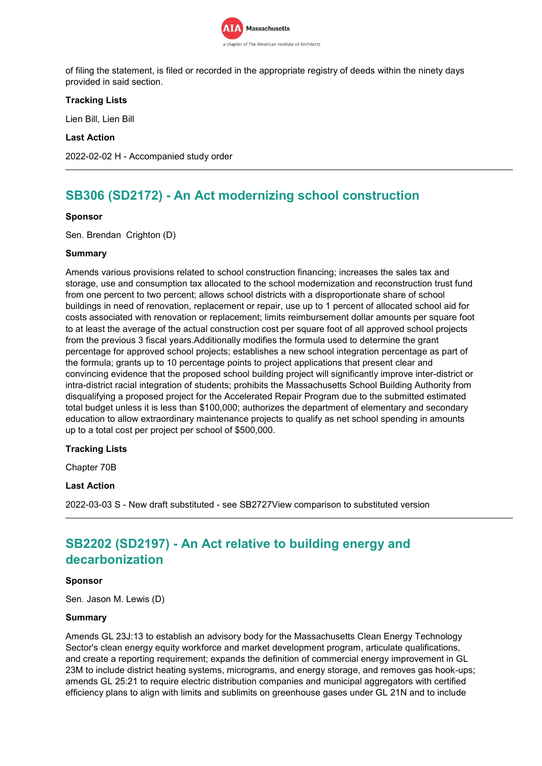

of filing the statement, is filed or recorded in the appropriate registry of deeds within the ninety days provided in said section.

## **Tracking Lists**

Lien Bill, Lien Bill

### **Last Action**

2022-02-02 H - Accompanied study order

# **SB306 (SD2172) - An Act modernizing school construction**

### **Sponsor**

Sen. Brendan Crighton (D)

### **Summary**

Amends various provisions related to school construction financing; increases the sales tax and storage, use and consumption tax allocated to the school modernization and reconstruction trust fund from one percent to two percent; allows school districts with a disproportionate share of school buildings in need of renovation, replacement or repair, use up to 1 percent of allocated school aid for costs associated with renovation or replacement; limits reimbursement dollar amounts per square foot to at least the average of the actual construction cost per square foot of all approved school projects from the previous 3 fiscal years.Additionally modifies the formula used to determine the grant percentage for approved school projects; establishes a new school integration percentage as part of the formula; grants up to 10 percentage points to project applications that present clear and convincing evidence that the proposed school building project will significantly improve inter-district or intra-district racial integration of students; prohibits the Massachusetts School Building Authority from disqualifying a proposed project for the Accelerated Repair Program due to the submitted estimated total budget unless it is less than \$100,000; authorizes the department of elementary and secondary education to allow extraordinary maintenance projects to qualify as net school spending in amounts up to a total cost per project per school of \$500,000.

#### **Tracking Lists**

Chapter 70B

## **Last Action**

2022-03-03 S - New draft substituted - see SB2727View comparison to substituted version

# **SB2202 (SD2197) - An Act relative to building energy and decarbonization**

#### **Sponsor**

Sen. Jason M. Lewis (D)

#### **Summary**

Amends GL 23J:13 to establish an advisory body for the Massachusetts Clean Energy Technology Sector's clean energy equity workforce and market development program, articulate qualifications, and create a reporting requirement; expands the definition of commercial energy improvement in GL 23M to include district heating systems, micrograms, and energy storage, and removes gas hook-ups; amends GL 25:21 to require electric distribution companies and municipal aggregators with certified efficiency plans to align with limits and sublimits on greenhouse gases under GL 21N and to include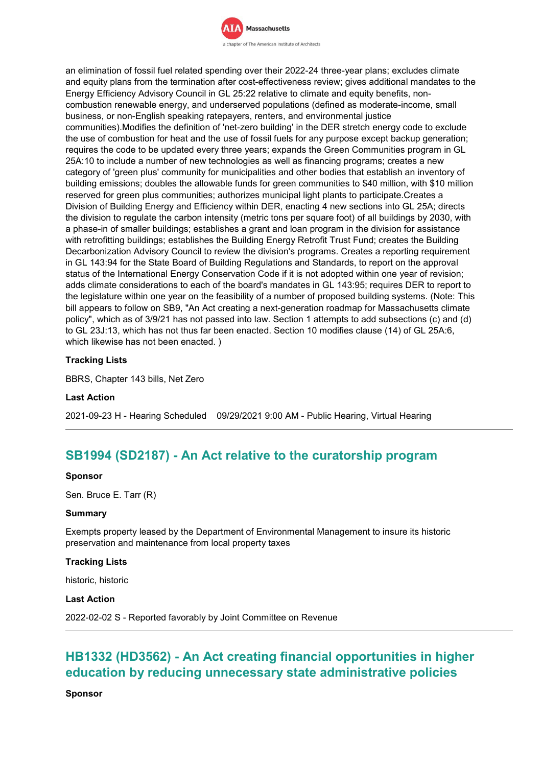

an elimination of fossil fuel related spending over their 2022-24 three-year plans; excludes climate and equity plans from the termination after cost-effectiveness review; gives additional mandates to the Energy Efficiency Advisory Council in GL 25:22 relative to climate and equity benefits, noncombustion renewable energy, and underserved populations (defined as moderate-income, small business, or non-English speaking ratepayers, renters, and environmental justice communities).Modifies the definition of 'net-zero building' in the DER stretch energy code to exclude the use of combustion for heat and the use of fossil fuels for any purpose except backup generation; requires the code to be updated every three years; expands the Green Communities program in GL 25A:10 to include a number of new technologies as well as financing programs; creates a new category of 'green plus' community for municipalities and other bodies that establish an inventory of building emissions; doubles the allowable funds for green communities to \$40 million, with \$10 million reserved for green plus communities; authorizes municipal light plants to participate.Creates a Division of Building Energy and Efficiency within DER, enacting 4 new sections into GL 25A; directs the division to regulate the carbon intensity (metric tons per square foot) of all buildings by 2030, with a phase-in of smaller buildings; establishes a grant and loan program in the division for assistance with retrofitting buildings; establishes the Building Energy Retrofit Trust Fund; creates the Building Decarbonization Advisory Council to review the division's programs. Creates a reporting requirement in GL 143:94 for the State Board of Building Regulations and Standards, to report on the approval status of the International Energy Conservation Code if it is not adopted within one year of revision; adds climate considerations to each of the board's mandates in GL 143:95; requires DER to report to the legislature within one year on the feasibility of a number of proposed building systems. (Note: This bill appears to follow on SB9, "An Act creating a next-generation roadmap for Massachusetts climate policy", which as of 3/9/21 has not passed into law. Section 1 attempts to add subsections (c) and (d) to GL 23J:13, which has not thus far been enacted. Section 10 modifies clause (14) of GL 25A:6, which likewise has not been enacted. )

## **Tracking Lists**

BBRS, Chapter 143 bills, Net Zero

### **Last Action**

2021-09-23 H - Hearing Scheduled 09/29/2021 9:00 AM - Public Hearing, Virtual Hearing

## **SB1994 (SD2187) - An Act relative to the curatorship program**

#### **Sponsor**

Sen. Bruce E. Tarr (R)

### **Summary**

Exempts property leased by the Department of Environmental Management to insure its historic preservation and maintenance from local property taxes

#### **Tracking Lists**

historic, historic

#### **Last Action**

2022-02-02 S - Reported favorably by Joint Committee on Revenue

# **HB1332 (HD3562) - An Act creating financial opportunities in higher education by reducing unnecessary state administrative policies**

**Sponsor**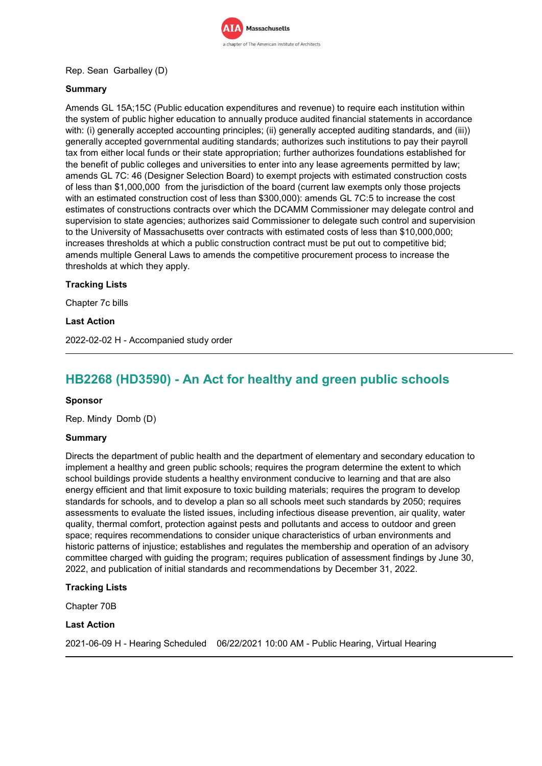

## Rep. Sean Garballey (D)

## **Summary**

Amends GL 15A;15C (Public education expenditures and revenue) to require each institution within the system of public higher education to annually produce audited financial statements in accordance with: (i) generally accepted accounting principles; (ii) generally accepted auditing standards, and (iii)) generally accepted governmental auditing standards; authorizes such institutions to pay their payroll tax from either local funds or their state appropriation; further authorizes foundations established for the benefit of public colleges and universities to enter into any lease agreements permitted by law; amends GL 7C: 46 (Designer Selection Board) to exempt projects with estimated construction costs of less than \$1,000,000 from the jurisdiction of the board (current law exempts only those projects with an estimated construction cost of less than \$300,000): amends GL 7C:5 to increase the cost estimates of constructions contracts over which the DCAMM Commissioner may delegate control and supervision to state agencies; authorizes said Commissioner to delegate such control and supervision to the University of Massachusetts over contracts with estimated costs of less than \$10,000,000; increases thresholds at which a public construction contract must be put out to competitive bid; amends multiple General Laws to amends the competitive procurement process to increase the thresholds at which they apply.

## **Tracking Lists**

Chapter 7c bills

### **Last Action**

2022-02-02 H - Accompanied study order

# **HB2268 (HD3590) - An Act for healthy and green public schools**

#### **Sponsor**

Rep. Mindy Domb (D)

#### **Summary**

Directs the department of public health and the department of elementary and secondary education to implement a healthy and green public schools; requires the program determine the extent to which school buildings provide students a healthy environment conducive to learning and that are also energy efficient and that limit exposure to toxic building materials; requires the program to develop standards for schools, and to develop a plan so all schools meet such standards by 2050; requires assessments to evaluate the listed issues, including infectious disease prevention, air quality, water quality, thermal comfort, protection against pests and pollutants and access to outdoor and green space; requires recommendations to consider unique characteristics of urban environments and historic patterns of injustice; establishes and regulates the membership and operation of an advisory committee charged with guiding the program; requires publication of assessment findings by June 30, 2022, and publication of initial standards and recommendations by December 31, 2022.

#### **Tracking Lists**

Chapter 70B

#### **Last Action**

2021-06-09 H - Hearing Scheduled 06/22/2021 10:00 AM - Public Hearing, Virtual Hearing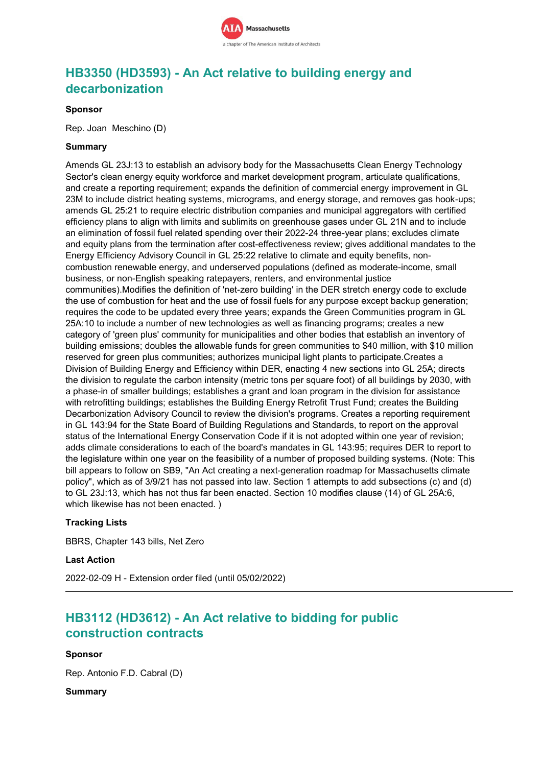

# **HB3350 (HD3593) - An Act relative to building energy and decarbonization**

### **Sponsor**

Rep. Joan Meschino (D)

### **Summary**

Amends GL 23J:13 to establish an advisory body for the Massachusetts Clean Energy Technology Sector's clean energy equity workforce and market development program, articulate qualifications, and create a reporting requirement; expands the definition of commercial energy improvement in GL 23M to include district heating systems, micrograms, and energy storage, and removes gas hook-ups; amends GL 25:21 to require electric distribution companies and municipal aggregators with certified efficiency plans to align with limits and sublimits on greenhouse gases under GL 21N and to include an elimination of fossil fuel related spending over their 2022-24 three-year plans; excludes climate and equity plans from the termination after cost-effectiveness review; gives additional mandates to the Energy Efficiency Advisory Council in GL 25:22 relative to climate and equity benefits, noncombustion renewable energy, and underserved populations (defined as moderate-income, small business, or non-English speaking ratepayers, renters, and environmental justice communities).Modifies the definition of 'net-zero building' in the DER stretch energy code to exclude the use of combustion for heat and the use of fossil fuels for any purpose except backup generation; requires the code to be updated every three years; expands the Green Communities program in GL 25A:10 to include a number of new technologies as well as financing programs; creates a new category of 'green plus' community for municipalities and other bodies that establish an inventory of building emissions; doubles the allowable funds for green communities to \$40 million, with \$10 million reserved for green plus communities; authorizes municipal light plants to participate.Creates a Division of Building Energy and Efficiency within DER, enacting 4 new sections into GL 25A; directs the division to regulate the carbon intensity (metric tons per square foot) of all buildings by 2030, with a phase-in of smaller buildings; establishes a grant and loan program in the division for assistance with retrofitting buildings; establishes the Building Energy Retrofit Trust Fund; creates the Building Decarbonization Advisory Council to review the division's programs. Creates a reporting requirement in GL 143:94 for the State Board of Building Regulations and Standards, to report on the approval status of the International Energy Conservation Code if it is not adopted within one year of revision; adds climate considerations to each of the board's mandates in GL 143:95; requires DER to report to the legislature within one year on the feasibility of a number of proposed building systems. (Note: This bill appears to follow on SB9, "An Act creating a next-generation roadmap for Massachusetts climate policy", which as of 3/9/21 has not passed into law. Section 1 attempts to add subsections (c) and (d) to GL 23J:13, which has not thus far been enacted. Section 10 modifies clause (14) of GL 25A:6, which likewise has not been enacted. )

#### **Tracking Lists**

BBRS, Chapter 143 bills, Net Zero

#### **Last Action**

2022-02-09 H - Extension order filed (until 05/02/2022)

# **HB3112 (HD3612) - An Act relative to bidding for public construction contracts**

#### **Sponsor**

Rep. Antonio F.D. Cabral (D)

### **Summary**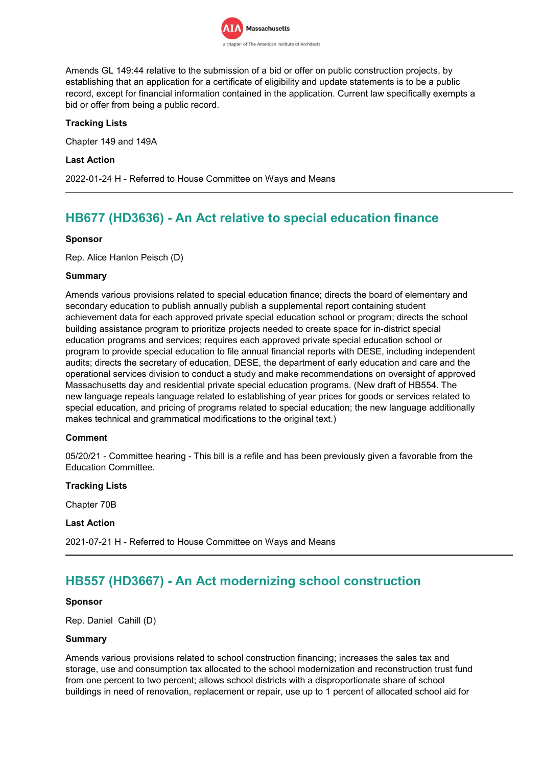

Amends GL 149:44 relative to the submission of a bid or offer on public construction projects, by establishing that an application for a certificate of eligibility and update statements is to be a public record, except for financial information contained in the application. Current law specifically exempts a bid or offer from being a public record.

## **Tracking Lists**

Chapter 149 and 149A

### **Last Action**

2022-01-24 H - Referred to House Committee on Ways and Means

# **HB677 (HD3636) - An Act relative to special education finance**

### **Sponsor**

Rep. Alice Hanlon Peisch (D)

### **Summary**

Amends various provisions related to special education finance; directs the board of elementary and secondary education to publish annually publish a supplemental report containing student achievement data for each approved private special education school or program; directs the school building assistance program to prioritize projects needed to create space for in-district special education programs and services; requires each approved private special education school or program to provide special education to file annual financial reports with DESE, including independent audits; directs the secretary of education, DESE, the department of early education and care and the operational services division to conduct a study and make recommendations on oversight of approved Massachusetts day and residential private special education programs. (New draft of HB554. The new language repeals language related to establishing of year prices for goods or services related to special education, and pricing of programs related to special education; the new language additionally makes technical and grammatical modifications to the original text.)

## **Comment**

05/20/21 - Committee hearing - This bill is a refile and has been previously given a favorable from the Education Committee.

#### **Tracking Lists**

Chapter 70B

#### **Last Action**

2021-07-21 H - Referred to House Committee on Ways and Means

# **HB557 (HD3667) - An Act modernizing school construction**

### **Sponsor**

Rep. Daniel Cahill (D)

#### **Summary**

Amends various provisions related to school construction financing; increases the sales tax and storage, use and consumption tax allocated to the school modernization and reconstruction trust fund from one percent to two percent; allows school districts with a disproportionate share of school buildings in need of renovation, replacement or repair, use up to 1 percent of allocated school aid for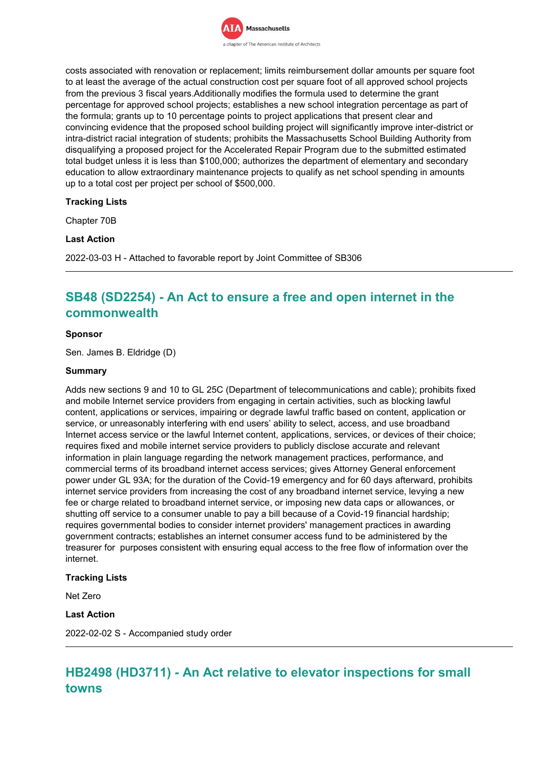

costs associated with renovation or replacement; limits reimbursement dollar amounts per square foot to at least the average of the actual construction cost per square foot of all approved school projects from the previous 3 fiscal years.Additionally modifies the formula used to determine the grant percentage for approved school projects; establishes a new school integration percentage as part of the formula; grants up to 10 percentage points to project applications that present clear and convincing evidence that the proposed school building project will significantly improve inter-district or intra-district racial integration of students; prohibits the Massachusetts School Building Authority from disqualifying a proposed project for the Accelerated Repair Program due to the submitted estimated total budget unless it is less than \$100,000; authorizes the department of elementary and secondary education to allow extraordinary maintenance projects to qualify as net school spending in amounts up to a total cost per project per school of \$500,000.

## **Tracking Lists**

Chapter 70B

### **Last Action**

2022-03-03 H - Attached to favorable report by Joint Committee of SB306

# **SB48 (SD2254) - An Act to ensure a free and open internet in the commonwealth**

### **Sponsor**

Sen. James B. Eldridge (D)

#### **Summary**

Adds new sections 9 and 10 to GL 25C (Department of telecommunications and cable); prohibits fixed and mobile Internet service providers from engaging in certain activities, such as blocking lawful content, applications or services, impairing or degrade lawful traffic based on content, application or service, or unreasonably interfering with end users' ability to select, access, and use broadband Internet access service or the lawful Internet content, applications, services, or devices of their choice; requires fixed and mobile internet service providers to publicly disclose accurate and relevant information in plain language regarding the network management practices, performance, and commercial terms of its broadband internet access services; gives Attorney General enforcement power under GL 93A; for the duration of the Covid-19 emergency and for 60 days afterward, prohibits internet service providers from increasing the cost of any broadband internet service, levying a new fee or charge related to broadband internet service, or imposing new data caps or allowances, or shutting off service to a consumer unable to pay a bill because of a Covid-19 financial hardship; requires governmental bodies to consider internet providers' management practices in awarding government contracts; establishes an internet consumer access fund to be administered by the treasurer for purposes consistent with ensuring equal access to the free flow of information over the internet.

#### **Tracking Lists**

Net Zero

#### **Last Action**

2022-02-02 S - Accompanied study order

# **HB2498 (HD3711) - An Act relative to elevator inspections for small towns**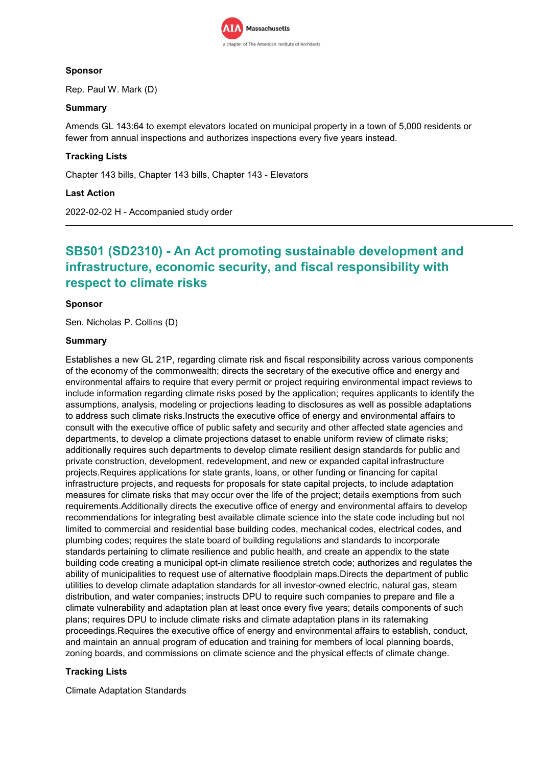

## **Sponsor**

Rep. Paul W. Mark (D)

## **Summary**

Amends GL 143:64 to exempt elevators located on municipal property in a town of 5,000 residents or fewer from annual inspections and authorizes inspections every five years instead.

## **Tracking Lists**

Chapter 143 bills, Chapter 143 bills, Chapter 143 - Elevators

## **Last Action**

2022-02-02 H - Accompanied study order

# **SB501 (SD2310) - An Act promoting sustainable development and infrastructure, economic security, and fiscal responsibility with respect to climate risks**

## **Sponsor**

Sen. Nicholas P. Collins (D)

### **Summary**

Establishes a new GL 21P, regarding climate risk and fiscal responsibility across various components of the economy of the commonwealth; directs the secretary of the executive office and energy and environmental affairs to require that every permit or project requiring environmental impact reviews to include information regarding climate risks posed by the application; requires applicants to identify the assumptions, analysis, modeling or projections leading to disclosures as well as possible adaptations to address such climate risks.Instructs the executive office of energy and environmental affairs to consult with the executive office of public safety and security and other affected state agencies and departments, to develop a climate projections dataset to enable uniform review of climate risks; additionally requires such departments to develop climate resilient design standards for public and private construction, development, redevelopment, and new or expanded capital infrastructure projects.Requires applications for state grants, loans, or other funding or financing for capital infrastructure projects, and requests for proposals for state capital projects, to include adaptation measures for climate risks that may occur over the life of the project; details exemptions from such requirements.Additionally directs the executive office of energy and environmental affairs to develop recommendations for integrating best available climate science into the state code including but not limited to commercial and residential base building codes, mechanical codes, electrical codes, and plumbing codes; requires the state board of building regulations and standards to incorporate standards pertaining to climate resilience and public health, and create an appendix to the state building code creating a municipal opt-in climate resilience stretch code; authorizes and regulates the ability of municipalities to request use of alternative floodplain maps.Directs the department of public utilities to develop climate adaptation standards for all investor-owned electric, natural gas, steam distribution, and water companies; instructs DPU to require such companies to prepare and file a climate vulnerability and adaptation plan at least once every five years; details components of such plans; requires DPU to include climate risks and climate adaptation plans in its ratemaking proceedings.Requires the executive office of energy and environmental affairs to establish, conduct, and maintain an annual program of education and training for members of local planning boards, zoning boards, and commissions on climate science and the physical effects of climate change.

## **Tracking Lists**

Climate Adaptation Standards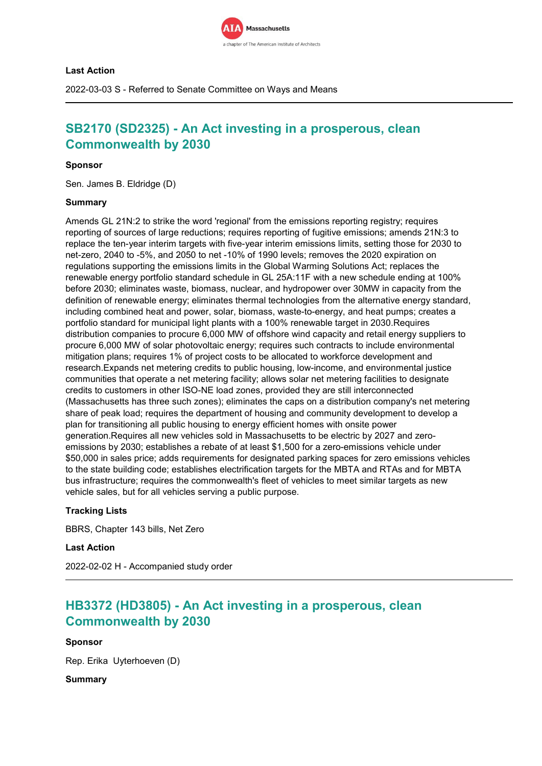

### **Last Action**

2022-03-03 S - Referred to Senate Committee on Ways and Means

# **SB2170 (SD2325) - An Act investing in a prosperous, clean Commonwealth by 2030**

### **Sponsor**

Sen. James B. Eldridge (D)

### **Summary**

Amends GL 21N:2 to strike the word 'regional' from the emissions reporting registry; requires reporting of sources of large reductions; requires reporting of fugitive emissions; amends 21N:3 to replace the ten-year interim targets with five-year interim emissions limits, setting those for 2030 to net-zero, 2040 to -5%, and 2050 to net -10% of 1990 levels; removes the 2020 expiration on regulations supporting the emissions limits in the Global Warming Solutions Act; replaces the renewable energy portfolio standard schedule in GL 25A:11F with a new schedule ending at 100% before 2030; eliminates waste, biomass, nuclear, and hydropower over 30MW in capacity from the definition of renewable energy; eliminates thermal technologies from the alternative energy standard, including combined heat and power, solar, biomass, waste-to-energy, and heat pumps; creates a portfolio standard for municipal light plants with a 100% renewable target in 2030.Requires distribution companies to procure 6,000 MW of offshore wind capacity and retail energy suppliers to procure 6,000 MW of solar photovoltaic energy; requires such contracts to include environmental mitigation plans; requires 1% of project costs to be allocated to workforce development and research.Expands net metering credits to public housing, low-income, and environmental justice communities that operate a net metering facility; allows solar net metering facilities to designate credits to customers in other ISO-NE load zones, provided they are still interconnected (Massachusetts has three such zones); eliminates the caps on a distribution company's net metering share of peak load; requires the department of housing and community development to develop a plan for transitioning all public housing to energy efficient homes with onsite power generation.Requires all new vehicles sold in Massachusetts to be electric by 2027 and zeroemissions by 2030; establishes a rebate of at least \$1,500 for a zero-emissions vehicle under \$50,000 in sales price; adds requirements for designated parking spaces for zero emissions vehicles to the state building code; establishes electrification targets for the MBTA and RTAs and for MBTA bus infrastructure; requires the commonwealth's fleet of vehicles to meet similar targets as new vehicle sales, but for all vehicles serving a public purpose.

# **Tracking Lists**

BBRS, Chapter 143 bills, Net Zero

#### **Last Action**

2022-02-02 H - Accompanied study order

# **HB3372 (HD3805) - An Act investing in a prosperous, clean Commonwealth by 2030**

# **Sponsor**

Rep. Erika Uyterhoeven (D)

**Summary**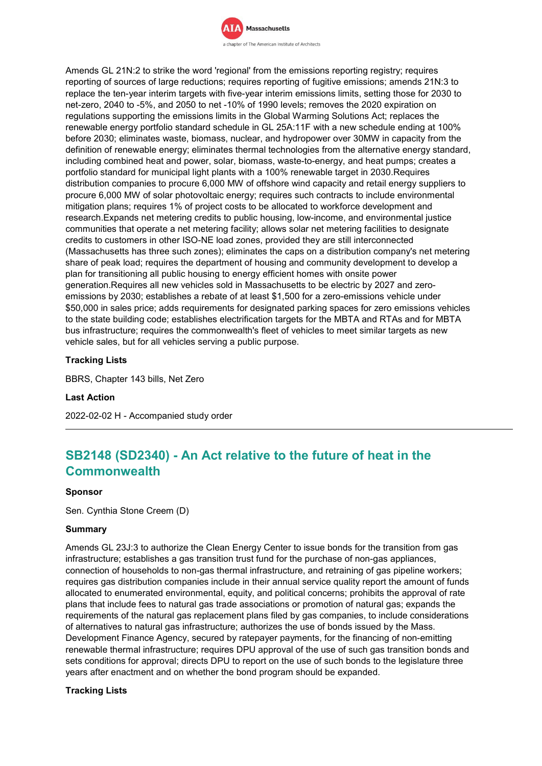

Amends GL 21N:2 to strike the word 'regional' from the emissions reporting registry; requires reporting of sources of large reductions; requires reporting of fugitive emissions; amends 21N:3 to replace the ten-year interim targets with five-year interim emissions limits, setting those for 2030 to net-zero, 2040 to -5%, and 2050 to net -10% of 1990 levels; removes the 2020 expiration on regulations supporting the emissions limits in the Global Warming Solutions Act; replaces the renewable energy portfolio standard schedule in GL 25A:11F with a new schedule ending at 100% before 2030; eliminates waste, biomass, nuclear, and hydropower over 30MW in capacity from the definition of renewable energy; eliminates thermal technologies from the alternative energy standard, including combined heat and power, solar, biomass, waste-to-energy, and heat pumps; creates a portfolio standard for municipal light plants with a 100% renewable target in 2030.Requires distribution companies to procure 6,000 MW of offshore wind capacity and retail energy suppliers to procure 6,000 MW of solar photovoltaic energy; requires such contracts to include environmental mitigation plans; requires 1% of project costs to be allocated to workforce development and research.Expands net metering credits to public housing, low-income, and environmental justice communities that operate a net metering facility; allows solar net metering facilities to designate credits to customers in other ISO-NE load zones, provided they are still interconnected (Massachusetts has three such zones); eliminates the caps on a distribution company's net metering share of peak load; requires the department of housing and community development to develop a plan for transitioning all public housing to energy efficient homes with onsite power generation.Requires all new vehicles sold in Massachusetts to be electric by 2027 and zeroemissions by 2030; establishes a rebate of at least \$1,500 for a zero-emissions vehicle under \$50,000 in sales price; adds requirements for designated parking spaces for zero emissions vehicles to the state building code; establishes electrification targets for the MBTA and RTAs and for MBTA bus infrastructure; requires the commonwealth's fleet of vehicles to meet similar targets as new vehicle sales, but for all vehicles serving a public purpose.

# **Tracking Lists**

BBRS, Chapter 143 bills, Net Zero

#### **Last Action**

2022-02-02 H - Accompanied study order

# **SB2148 (SD2340) - An Act relative to the future of heat in the Commonwealth**

#### **Sponsor**

Sen. Cynthia Stone Creem (D)

#### **Summary**

Amends GL 23J:3 to authorize the Clean Energy Center to issue bonds for the transition from gas infrastructure; establishes a gas transition trust fund for the purchase of non-gas appliances, connection of households to non-gas thermal infrastructure, and retraining of gas pipeline workers; requires gas distribution companies include in their annual service quality report the amount of funds allocated to enumerated environmental, equity, and political concerns; prohibits the approval of rate plans that include fees to natural gas trade associations or promotion of natural gas; expands the requirements of the natural gas replacement plans filed by gas companies, to include considerations of alternatives to natural gas infrastructure; authorizes the use of bonds issued by the Mass. Development Finance Agency, secured by ratepayer payments, for the financing of non-emitting renewable thermal infrastructure; requires DPU approval of the use of such gas transition bonds and sets conditions for approval; directs DPU to report on the use of such bonds to the legislature three years after enactment and on whether the bond program should be expanded.

### **Tracking Lists**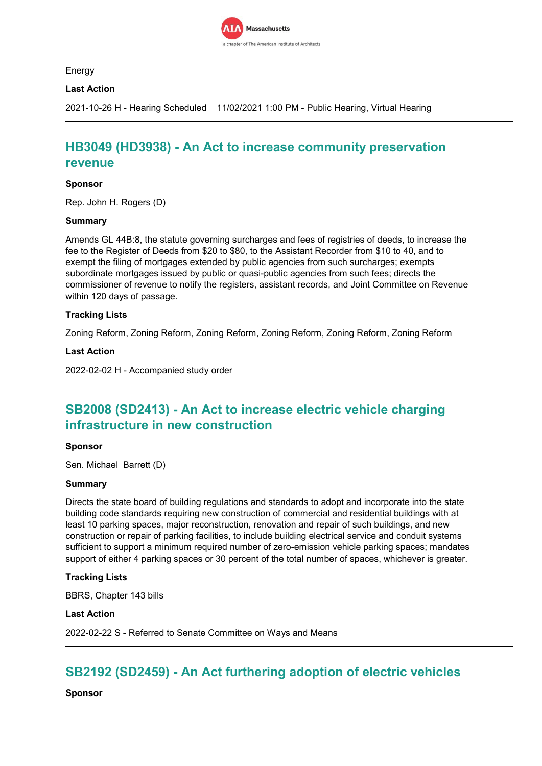

Energy

# **Last Action**

2021-10-26 H - Hearing Scheduled 11/02/2021 1:00 PM - Public Hearing, Virtual Hearing

# **HB3049 (HD3938) - An Act to increase community preservation revenue**

### **Sponsor**

Rep. John H. Rogers (D)

### **Summary**

Amends GL 44B:8, the statute governing surcharges and fees of registries of deeds, to increase the fee to the Register of Deeds from \$20 to \$80, to the Assistant Recorder from \$10 to 40, and to exempt the filing of mortgages extended by public agencies from such surcharges; exempts subordinate mortgages issued by public or quasi-public agencies from such fees; directs the commissioner of revenue to notify the registers, assistant records, and Joint Committee on Revenue within 120 days of passage.

### **Tracking Lists**

Zoning Reform, Zoning Reform, Zoning Reform, Zoning Reform, Zoning Reform, Zoning Reform

#### **Last Action**

2022-02-02 H - Accompanied study order

# **SB2008 (SD2413) - An Act to increase electric vehicle charging infrastructure in new construction**

#### **Sponsor**

Sen. Michael Barrett (D)

#### **Summary**

Directs the state board of building regulations and standards to adopt and incorporate into the state building code standards requiring new construction of commercial and residential buildings with at least 10 parking spaces, major reconstruction, renovation and repair of such buildings, and new construction or repair of parking facilities, to include building electrical service and conduit systems sufficient to support a minimum required number of zero-emission vehicle parking spaces; mandates support of either 4 parking spaces or 30 percent of the total number of spaces, whichever is greater.

# **Tracking Lists**

BBRS, Chapter 143 bills

# **Last Action**

2022-02-22 S - Referred to Senate Committee on Ways and Means

# **SB2192 (SD2459) - An Act furthering adoption of electric vehicles**

**Sponsor**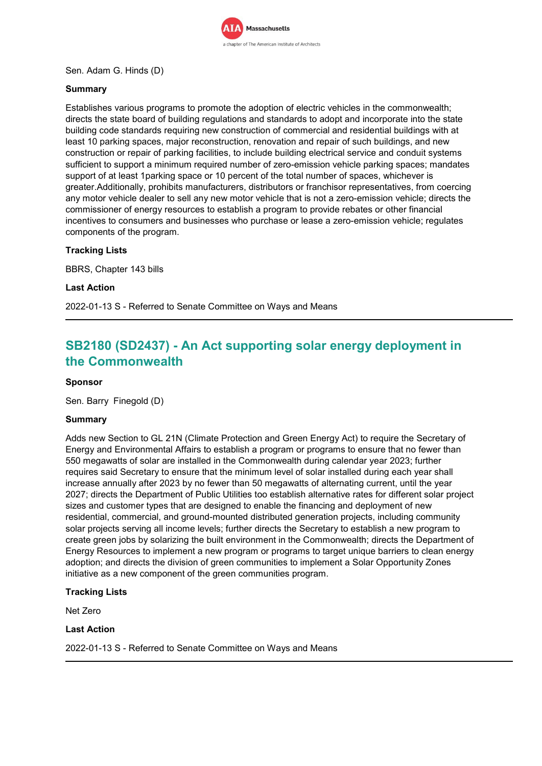

# Sen. Adam G. Hinds (D)

# **Summary**

Establishes various programs to promote the adoption of electric vehicles in the commonwealth; directs the state board of building regulations and standards to adopt and incorporate into the state building code standards requiring new construction of commercial and residential buildings with at least 10 parking spaces, major reconstruction, renovation and repair of such buildings, and new construction or repair of parking facilities, to include building electrical service and conduit systems sufficient to support a minimum required number of zero-emission vehicle parking spaces; mandates support of at least 1parking space or 10 percent of the total number of spaces, whichever is greater.Additionally, prohibits manufacturers, distributors or franchisor representatives, from coercing any motor vehicle dealer to sell any new motor vehicle that is not a zero-emission vehicle; directs the commissioner of energy resources to establish a program to provide rebates or other financial incentives to consumers and businesses who purchase or lease a zero-emission vehicle; regulates components of the program.

# **Tracking Lists**

BBRS, Chapter 143 bills

#### **Last Action**

2022-01-13 S - Referred to Senate Committee on Ways and Means

# **SB2180 (SD2437) - An Act supporting solar energy deployment in the Commonwealth**

### **Sponsor**

Sen. Barry Finegold (D)

#### **Summary**

Adds new Section to GL 21N (Climate Protection and Green Energy Act) to require the Secretary of Energy and Environmental Affairs to establish a program or programs to ensure that no fewer than 550 megawatts of solar are installed in the Commonwealth during calendar year 2023; further requires said Secretary to ensure that the minimum level of solar installed during each year shall increase annually after 2023 by no fewer than 50 megawatts of alternating current, until the year 2027; directs the Department of Public Utilities too establish alternative rates for different solar project sizes and customer types that are designed to enable the financing and deployment of new residential, commercial, and ground-mounted distributed generation projects, including community solar projects serving all income levels; further directs the Secretary to establish a new program to create green jobs by solarizing the built environment in the Commonwealth; directs the Department of Energy Resources to implement a new program or programs to target unique barriers to clean energy adoption; and directs the division of green communities to implement a Solar Opportunity Zones initiative as a new component of the green communities program.

# **Tracking Lists**

Net Zero

#### **Last Action**

2022-01-13 S - Referred to Senate Committee on Ways and Means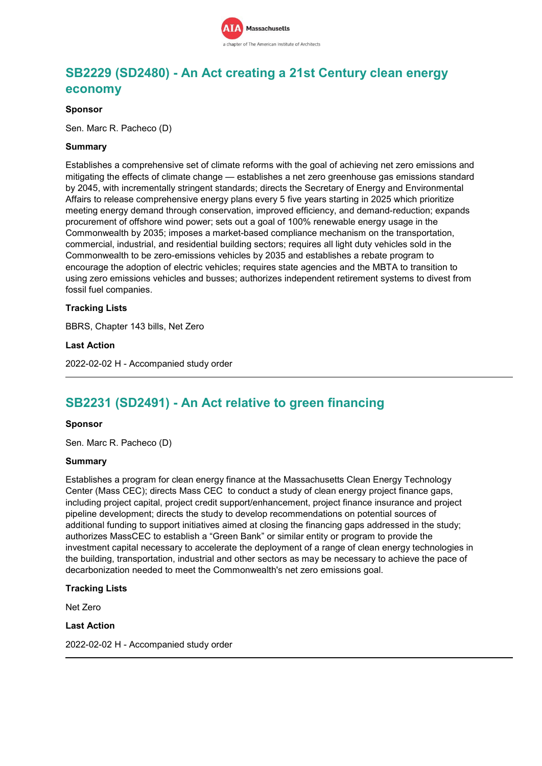

# **SB2229 (SD2480) - An Act creating a 21st Century clean energy economy**

### **Sponsor**

Sen. Marc R. Pacheco (D)

### **Summary**

Establishes a comprehensive set of climate reforms with the goal of achieving net zero emissions and mitigating the effects of climate change — establishes a net zero greenhouse gas emissions standard by 2045, with incrementally stringent standards; directs the Secretary of Energy and Environmental Affairs to release comprehensive energy plans every 5 five years starting in 2025 which prioritize meeting energy demand through conservation, improved efficiency, and demand-reduction; expands procurement of offshore wind power; sets out a goal of 100% renewable energy usage in the Commonwealth by 2035; imposes a market-based compliance mechanism on the transportation, commercial, industrial, and residential building sectors; requires all light duty vehicles sold in the Commonwealth to be zero-emissions vehicles by 2035 and establishes a rebate program to encourage the adoption of electric vehicles; requires state agencies and the MBTA to transition to using zero emissions vehicles and busses; authorizes independent retirement systems to divest from fossil fuel companies.

### **Tracking Lists**

BBRS, Chapter 143 bills, Net Zero

**Last Action**

2022-02-02 H - Accompanied study order

# **SB2231 (SD2491) - An Act relative to green financing**

#### **Sponsor**

Sen. Marc R. Pacheco (D)

#### **Summary**

Establishes a program for clean energy finance at the Massachusetts Clean Energy Technology Center (Mass CEC); directs Mass CEC to conduct a study of clean energy project finance gaps, including project capital, project credit support/enhancement, project finance insurance and project pipeline development; directs the study to develop recommendations on potential sources of additional funding to support initiatives aimed at closing the financing gaps addressed in the study; authorizes MassCEC to establish a "Green Bank" or similar entity or program to provide the investment capital necessary to accelerate the deployment of a range of clean energy technologies in the building, transportation, industrial and other sectors as may be necessary to achieve the pace of decarbonization needed to meet the Commonwealth's net zero emissions goal.

#### **Tracking Lists**

Net Zero

### **Last Action**

2022-02-02 H - Accompanied study order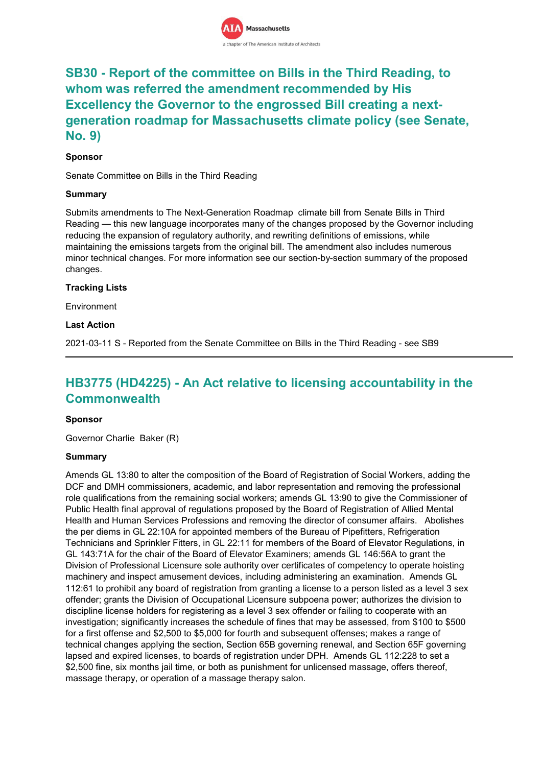

# **SB30 - Report of the committee on Bills in the Third Reading, to whom was referred the amendment recommended by His Excellency the Governor to the engrossed Bill creating a nextgeneration roadmap for Massachusetts climate policy (see Senate, No. 9)**

# **Sponsor**

Senate Committee on Bills in the Third Reading

# **Summary**

Submits amendments to The Next-Generation Roadmap climate bill from Senate Bills in Third Reading — this new language incorporates many of the changes proposed by the Governor including reducing the expansion of regulatory authority, and rewriting definitions of emissions, while maintaining the emissions targets from the original bill. The amendment also includes numerous minor technical changes. For more information see our section-by-section summary of the proposed changes.

### **Tracking Lists**

Environment

### **Last Action**

2021-03-11 S - Reported from the Senate Committee on Bills in the Third Reading - see SB9

# **HB3775 (HD4225) - An Act relative to licensing accountability in the Commonwealth**

# **Sponsor**

Governor Charlie Baker (R)

# **Summary**

Amends GL 13:80 to alter the composition of the Board of Registration of Social Workers, adding the DCF and DMH commissioners, academic, and labor representation and removing the professional role qualifications from the remaining social workers; amends GL 13:90 to give the Commissioner of Public Health final approval of regulations proposed by the Board of Registration of Allied Mental Health and Human Services Professions and removing the director of consumer affairs. Abolishes the per diems in GL 22:10A for appointed members of the Bureau of Pipefitters, Refrigeration Technicians and Sprinkler Fitters, in GL 22:11 for members of the Board of Elevator Regulations, in GL 143:71A for the chair of the Board of Elevator Examiners; amends GL 146:56A to grant the Division of Professional Licensure sole authority over certificates of competency to operate hoisting machinery and inspect amusement devices, including administering an examination. Amends GL 112:61 to prohibit any board of registration from granting a license to a person listed as a level 3 sex offender; grants the Division of Occupational Licensure subpoena power; authorizes the division to discipline license holders for registering as a level 3 sex offender or failing to cooperate with an investigation; significantly increases the schedule of fines that may be assessed, from \$100 to \$500 for a first offense and \$2,500 to \$5,000 for fourth and subsequent offenses; makes a range of technical changes applying the section, Section 65B governing renewal, and Section 65F governing lapsed and expired licenses, to boards of registration under DPH. Amends GL 112:228 to set a \$2,500 fine, six months jail time, or both as punishment for unlicensed massage, offers thereof, massage therapy, or operation of a massage therapy salon.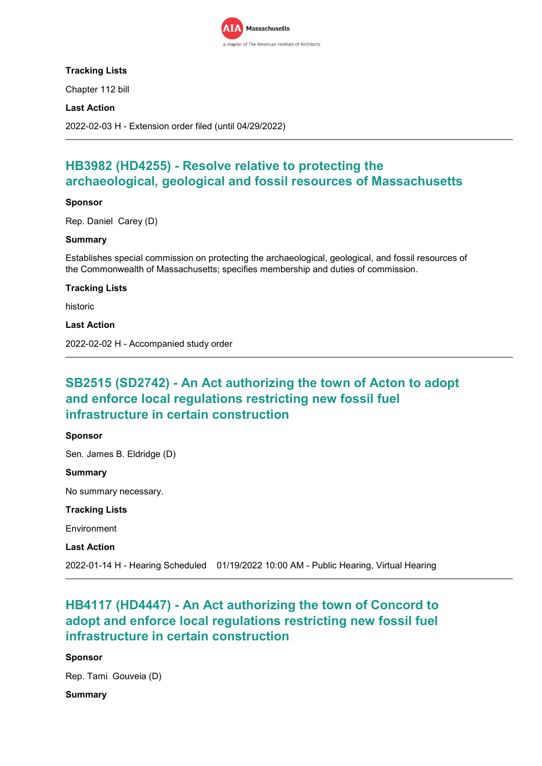

# **Tracking Lists**

Chapter 112 bill

# **Last Action**

2022-02-03 H - Extension order filed (until 04/29/2022)

# **HB3982 (HD4255) - Resolve relative to protecting the archaeological, geological and fossil resources of Massachusetts**

# **Sponsor**

Rep. Daniel Carey (D)

### **Summary**

Establishes special commission on protecting the archaeological, geological, and fossil resources of the Commonwealth of Massachusetts; specifies membership and duties of commission.

### **Tracking Lists**

historic

**Last Action**

2022-02-02 H - Accompanied study order

# **SB2515 (SD2742) - An Act authorizing the town of Acton to adopt and enforce local regulations restricting new fossil fuel infrastructure in certain construction**

# **Sponsor**

Sen. James B. Eldridge (D) **Summary** No summary necessary. **Tracking Lists** Environment **Last Action** 2022-01-14 H - Hearing Scheduled 01/19/2022 10:00 AM - Public Hearing, Virtual Hearing

# **HB4117 (HD4447) - An Act authorizing the town of Concord to adopt and enforce local regulations restricting new fossil fuel infrastructure in certain construction**

# **Sponsor**

Rep. Tami Gouveia (D)

# **Summary**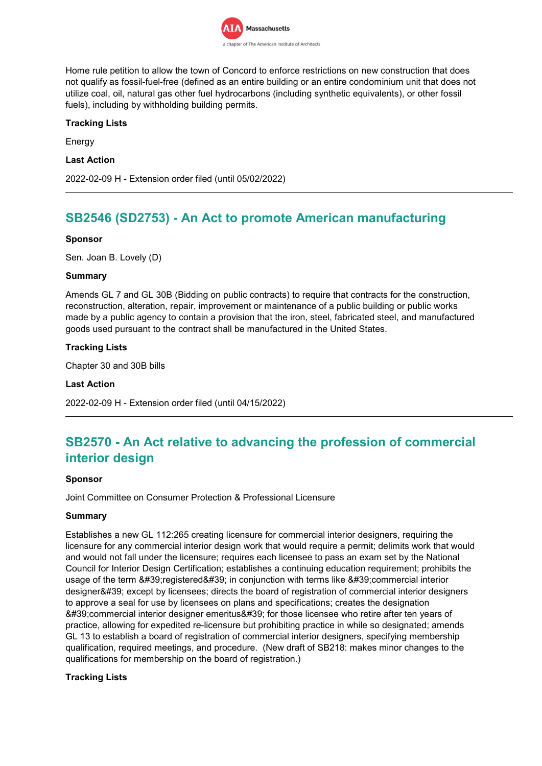

Home rule petition to allow the town of Concord to enforce restrictions on new construction that does not qualify as fossil-fuel-free (defined as an entire building or an entire condominium unit that does not utilize coal, oil, natural gas other fuel hydrocarbons (including synthetic equivalents), or other fossil fuels), including by withholding building permits.

# **Tracking Lists**

Energy

### **Last Action**

2022-02-09 H - Extension order filed (until 05/02/2022)

# **SB2546 (SD2753) - An Act to promote American manufacturing**

### **Sponsor**

Sen. Joan B. Lovely (D)

### **Summary**

Amends GL 7 and GL 30B (Bidding on public contracts) to require that contracts for the construction, reconstruction, alteration, repair, improvement or maintenance of a public building or public works made by a public agency to contain a provision that the iron, steel, fabricated steel, and manufactured goods used pursuant to the contract shall be manufactured in the United States.

# **Tracking Lists**

Chapter 30 and 30B bills

#### **Last Action**

2022-02-09 H - Extension order filed (until 04/15/2022)

# **SB2570 - An Act relative to advancing the profession of commercial interior design**

#### **Sponsor**

Joint Committee on Consumer Protection & Professional Licensure

#### **Summary**

Establishes a new GL 112:265 creating licensure for commercial interior designers, requiring the licensure for any commercial interior design work that would require a permit; delimits work that would and would not fall under the licensure; requires each licensee to pass an exam set by the National Council for Interior Design Certification; establishes a continuing education requirement; prohibits the usage of the term 'registered' in conjunction with terms like 'commercial interior designer' except by licensees; directs the board of registration of commercial interior designers to approve a seal for use by licensees on plans and specifications; creates the designation 8#39;commercial interior designer emeritus' for those licensee who retire after ten years of practice, allowing for expedited re-licensure but prohibiting practice in while so designated; amends GL 13 to establish a board of registration of commercial interior designers, specifying membership qualification, required meetings, and procedure. (New draft of SB218: makes minor changes to the qualifications for membership on the board of registration.)

# **Tracking Lists**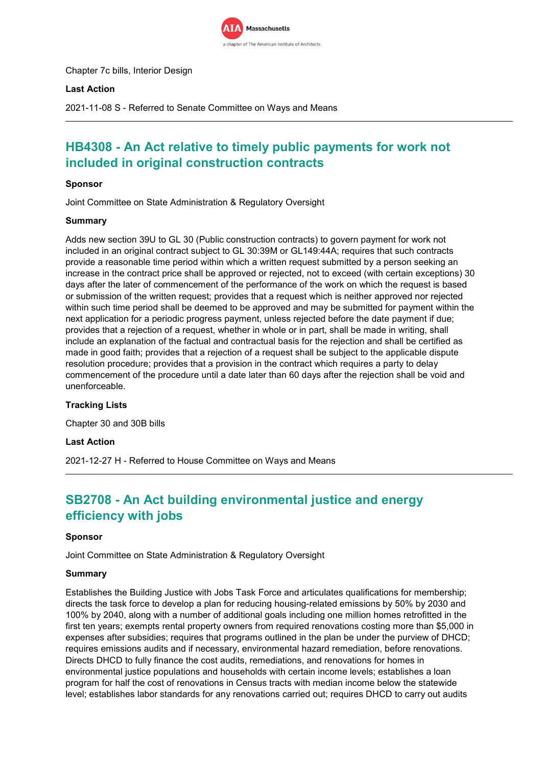

Chapter 7c bills, Interior Design

### **Last Action**

2021-11-08 S - Referred to Senate Committee on Ways and Means

# **HB4308 - An Act relative to timely public payments for work not included in original construction contracts**

### **Sponsor**

Joint Committee on State Administration & Regulatory Oversight

### **Summary**

Adds new section 39U to GL 30 (Public construction contracts) to govern payment for work not included in an original contract subject to GL 30:39M or GL149:44A; requires that such contracts provide a reasonable time period within which a written request submitted by a person seeking an increase in the contract price shall be approved or rejected, not to exceed (with certain exceptions) 30 days after the later of commencement of the performance of the work on which the request is based or submission of the written request; provides that a request which is neither approved nor rejected within such time period shall be deemed to be approved and may be submitted for payment within the next application for a periodic progress payment, unless rejected before the date payment if due; provides that a rejection of a request, whether in whole or in part, shall be made in writing, shall include an explanation of the factual and contractual basis for the rejection and shall be certified as made in good faith; provides that a rejection of a request shall be subject to the applicable dispute resolution procedure; provides that a provision in the contract which requires a party to delay commencement of the procedure until a date later than 60 days after the rejection shall be void and unenforceable.

# **Tracking Lists**

Chapter 30 and 30B bills

**Last Action**

2021-12-27 H - Referred to House Committee on Ways and Means

# **SB2708 - An Act building environmental justice and energy efficiency with jobs**

#### **Sponsor**

Joint Committee on State Administration & Regulatory Oversight

#### **Summary**

Establishes the Building Justice with Jobs Task Force and articulates qualifications for membership; directs the task force to develop a plan for reducing housing-related emissions by 50% by 2030 and 100% by 2040, along with a number of additional goals including one million homes retrofitted in the first ten years; exempts rental property owners from required renovations costing more than \$5,000 in expenses after subsidies; requires that programs outlined in the plan be under the purview of DHCD; requires emissions audits and if necessary, environmental hazard remediation, before renovations. Directs DHCD to fully finance the cost audits, remediations, and renovations for homes in environmental justice populations and households with certain income levels; establishes a loan program for half the cost of renovations in Census tracts with median income below the statewide level; establishes labor standards for any renovations carried out; requires DHCD to carry out audits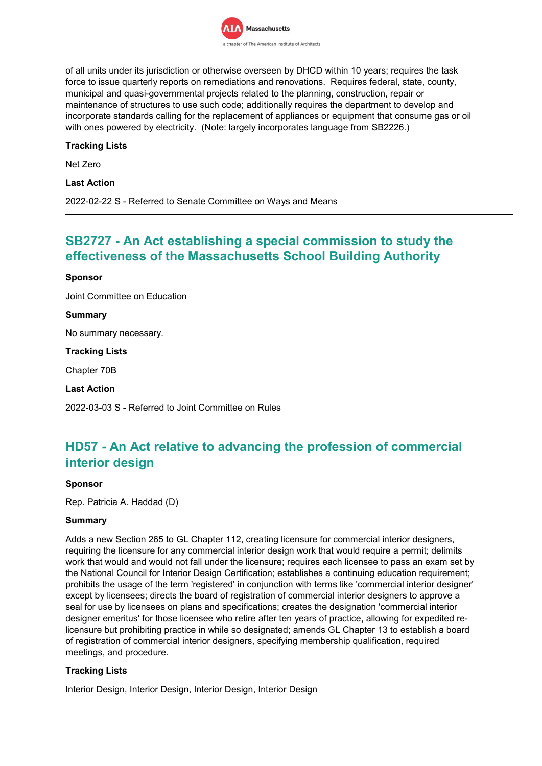

of all units under its jurisdiction or otherwise overseen by DHCD within 10 years; requires the task force to issue quarterly reports on remediations and renovations. Requires federal, state, county, municipal and quasi-governmental projects related to the planning, construction, repair or maintenance of structures to use such code; additionally requires the department to develop and incorporate standards calling for the replacement of appliances or equipment that consume gas or oil with ones powered by electricity. (Note: largely incorporates language from SB2226.)

# **Tracking Lists**

Net Zero

**Last Action**

2022-02-22 S - Referred to Senate Committee on Ways and Means

# **SB2727 - An Act establishing a special commission to study the effectiveness of the Massachusetts School Building Authority**

#### **Sponsor**

Joint Committee on Education

### **Summary**

No summary necessary.

#### **Tracking Lists**

Chapter 70B

#### **Last Action**

2022-03-03 S - Referred to Joint Committee on Rules

# **HD57 - An Act relative to advancing the profession of commercial interior design**

#### **Sponsor**

Rep. Patricia A. Haddad (D)

# **Summary**

Adds a new Section 265 to GL Chapter 112, creating licensure for commercial interior designers, requiring the licensure for any commercial interior design work that would require a permit; delimits work that would and would not fall under the licensure; requires each licensee to pass an exam set by the National Council for Interior Design Certification; establishes a continuing education requirement; prohibits the usage of the term 'registered' in conjunction with terms like 'commercial interior designer' except by licensees; directs the board of registration of commercial interior designers to approve a seal for use by licensees on plans and specifications; creates the designation 'commercial interior designer emeritus' for those licensee who retire after ten years of practice, allowing for expedited relicensure but prohibiting practice in while so designated; amends GL Chapter 13 to establish a board of registration of commercial interior designers, specifying membership qualification, required meetings, and procedure.

# **Tracking Lists**

Interior Design, Interior Design, Interior Design, Interior Design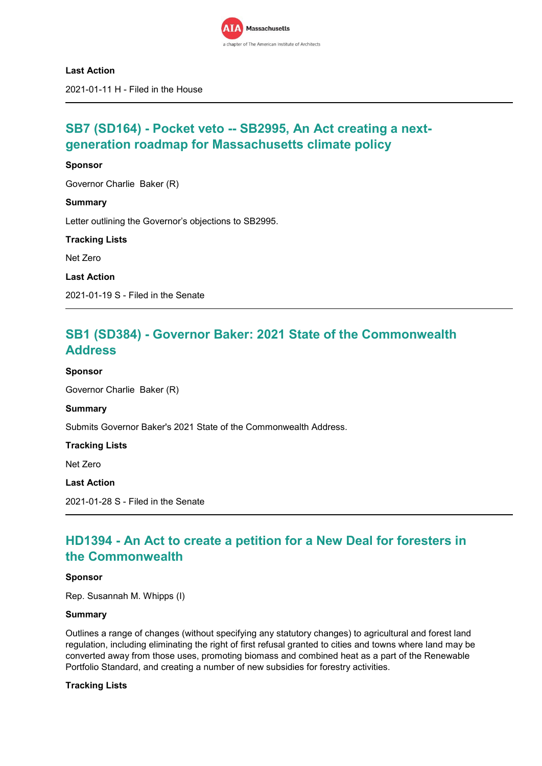

### **Last Action**

2021-01-11 H - Filed in the House

# **SB7 (SD164) - Pocket veto -- SB2995, An Act creating a nextgeneration roadmap for Massachusetts climate policy**

### **Sponsor**

**Summary**

Governor Charlie Baker (R)

Letter outlining the Governor's objections to SB2995.

**Tracking Lists**

Net Zero

**Last Action**

2021-01-19 S - Filed in the Senate

# **SB1 (SD384) - Governor Baker: 2021 State of the Commonwealth Address**

**Sponsor**

Governor Charlie Baker (R)

**Summary**

Submits Governor Baker's 2021 State of the Commonwealth Address.

**Tracking Lists**

Net Zero

**Last Action**

2021-01-28 S - Filed in the Senate

# **HD1394 - An Act to create a petition for a New Deal for foresters in the Commonwealth**

#### **Sponsor**

Rep. Susannah M. Whipps (I)

#### **Summary**

Outlines a range of changes (without specifying any statutory changes) to agricultural and forest land regulation, including eliminating the right of first refusal granted to cities and towns where land may be converted away from those uses, promoting biomass and combined heat as a part of the Renewable Portfolio Standard, and creating a number of new subsidies for forestry activities.

#### **Tracking Lists**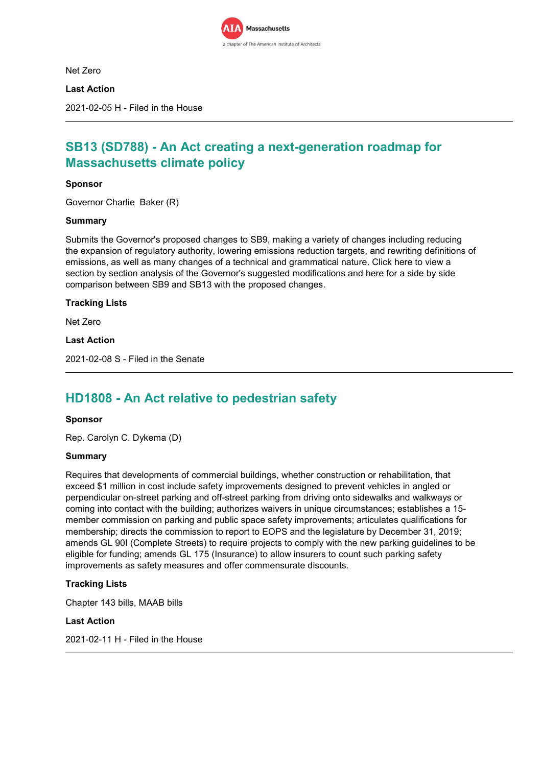

Net Zero

**Last Action**

2021-02-05 H - Filed in the House

# **SB13 (SD788) - An Act creating a next-generation roadmap for Massachusetts climate policy**

### **Sponsor**

Governor Charlie Baker (R)

### **Summary**

Submits the Governor's proposed changes to SB9, making a variety of changes including reducing the expansion of regulatory authority, lowering emissions reduction targets, and rewriting definitions of emissions, as well as many changes of a technical and grammatical nature. Click here to view a section by section analysis of the Governor's suggested modifications and here for a side by side comparison between SB9 and SB13 with the proposed changes.

### **Tracking Lists**

Net Zero

**Last Action**

2021-02-08 S - Filed in the Senate

# **HD1808 - An Act relative to pedestrian safety**

#### **Sponsor**

Rep. Carolyn C. Dykema (D)

#### **Summary**

Requires that developments of commercial buildings, whether construction or rehabilitation, that exceed \$1 million in cost include safety improvements designed to prevent vehicles in angled or perpendicular on-street parking and off-street parking from driving onto sidewalks and walkways or coming into contact with the building; authorizes waivers in unique circumstances; establishes a 15 member commission on parking and public space safety improvements; articulates qualifications for membership; directs the commission to report to EOPS and the legislature by December 31, 2019; amends GL 90I (Complete Streets) to require projects to comply with the new parking guidelines to be eligible for funding; amends GL 175 (Insurance) to allow insurers to count such parking safety improvements as safety measures and offer commensurate discounts.

# **Tracking Lists**

Chapter 143 bills, MAAB bills

#### **Last Action**

2021-02-11 H - Filed in the House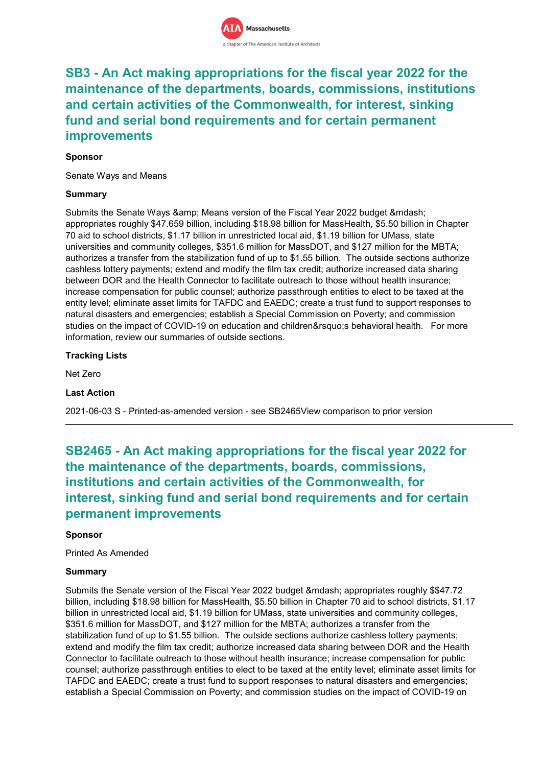# **SB3 - An Act making appropriations for the fiscal year 2022 for the maintenance of the departments, boards, commissions, institutions and certain activities of the Commonwealth, for interest, sinking fund and serial bond requirements and for certain permanent improvements**

# **Sponsor**

Senate Ways and Means

# **Summary**

Submits the Senate Ways & amp; Means version of the Fiscal Year 2022 budget & mdash; appropriates roughly \$47.659 billion, including \$18.98 billion for MassHealth, \$5.50 billion in Chapter 70 aid to school districts, \$1.17 billion in unrestricted local aid, \$1.19 billion for UMass, state universities and community colleges, \$351.6 million for MassDOT, and \$127 million for the MBTA; authorizes a transfer from the stabilization fund of up to \$1.55 billion. The outside sections authorize cashless lottery payments; extend and modify the film tax credit; authorize increased data sharing between DOR and the Health Connector to facilitate outreach to those without health insurance; increase compensation for public counsel; authorize passthrough entities to elect to be taxed at the entity level; eliminate asset limits for TAFDC and EAEDC; create a trust fund to support responses to natural disasters and emergencies; establish a Special Commission on Poverty; and commission studies on the impact of COVID-19 on education and children' s behavioral health. For more information, review our summaries of outside sections.

# **Tracking Lists**

Net Zero

# **Last Action**

2021-06-03 S - Printed-as-amended version - see SB2465View comparison to prior version

# **SB2465 - An Act making appropriations for the fiscal year 2022 for the maintenance of the departments, boards, commissions, institutions and certain activities of the Commonwealth, for interest, sinking fund and serial bond requirements and for certain permanent improvements**

# **Sponsor**

Printed As Amended

# **Summary**

Submits the Senate version of the Fiscal Year 2022 budget & mdash; appropriates roughly \$\$47.72 billion, including \$18.98 billion for MassHealth, \$5.50 billion in Chapter 70 aid to school districts, \$1.17 billion in unrestricted local aid, \$1.19 billion for UMass, state universities and community colleges, \$351.6 million for MassDOT, and \$127 million for the MBTA; authorizes a transfer from the stabilization fund of up to \$1.55 billion. The outside sections authorize cashless lottery payments; extend and modify the film tax credit; authorize increased data sharing between DOR and the Health Connector to facilitate outreach to those without health insurance; increase compensation for public counsel; authorize passthrough entities to elect to be taxed at the entity level; eliminate asset limits for TAFDC and EAEDC; create a trust fund to support responses to natural disasters and emergencies; establish a Special Commission on Poverty; and commission studies on the impact of COVID-19 on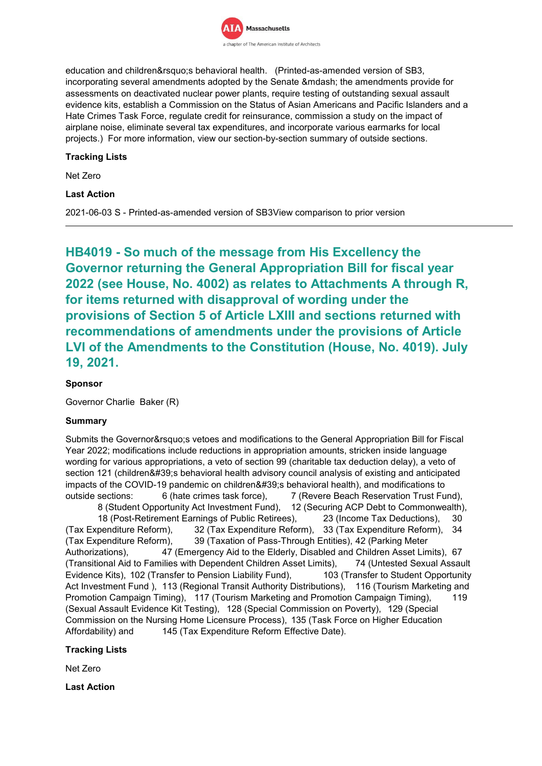

education and children's behavioral health. (Printed-as-amended version of SB3, incorporating several amendments adopted by the Senate & mdash; the amendments provide for assessments on deactivated nuclear power plants, require testing of outstanding sexual assault evidence kits, establish a Commission on the Status of Asian Americans and Pacific Islanders and a Hate Crimes Task Force, regulate credit for reinsurance, commission a study on the impact of airplane noise, eliminate several tax expenditures, and incorporate various earmarks for local projects.) For more information, view our section-by-section summary of outside sections.

### **Tracking Lists**

Net Zero

# **Last Action**

2021-06-03 S - Printed-as-amended version of SB3View comparison to prior version

**HB4019 - So much of the message from His Excellency the Governor returning the General Appropriation Bill for fiscal year 2022 (see House, No. 4002) as relates to Attachments A through R, for items returned with disapproval of wording under the provisions of Section 5 of Article LXIII and sections returned with recommendations of amendments under the provisions of Article LVI of the Amendments to the Constitution (House, No. 4019). July 19, 2021.**

# **Sponsor**

Governor Charlie Baker (R)

# **Summary**

Submits the Governor's vetoes and modifications to the General Appropriation Bill for Fiscal Year 2022; modifications include reductions in appropriation amounts, stricken inside language wording for various appropriations, a veto of section 99 (charitable tax deduction delay), a veto of section 121 (children's behavioral health advisory council analysis of existing and anticipated impacts of the COVID-19 pandemic on children&#39:s behavioral health), and modifications to outside sections: 6 (hate crimes task force), 7 (Revere Beach Reservation Trust Fund), 8 (Student Opportunity Act Investment Fund), 12 (Securing ACP Debt to Commonwealth), 18 (Post-Retirement Earnings of Public Retirees), 23 (Income Tax Deductions), 30 (Tax Expenditure Reform), 32 (Tax Expenditure Reform), 33 (Tax Expenditure Reform), 34 (Tax Expenditure Reform), 39 (Taxation of Pass-Through Entities), 42 (Parking Meter Authorizations), 47 (Emergency Aid to the Elderly, Disabled and Children Asset Limits), 67 (Transitional Aid to Families with Dependent Children Asset Limits), 74 (Untested Sexual Assault Evidence Kits), 102 (Transfer to Pension Liability Fund), 103 (Transfer to Student Opportunity Act Investment Fund ), 113 (Regional Transit Authority Distributions), 116 (Tourism Marketing and Promotion Campaign Timing), 117 (Tourism Marketing and Promotion Campaign Timing), 119 (Sexual Assault Evidence Kit Testing), 128 (Special Commission on Poverty), 129 (Special Commission on the Nursing Home Licensure Process), 135 (Task Force on Higher Education Affordability) and 145 (Tax Expenditure Reform Effective Date).

# **Tracking Lists**

Net Zero

**Last Action**